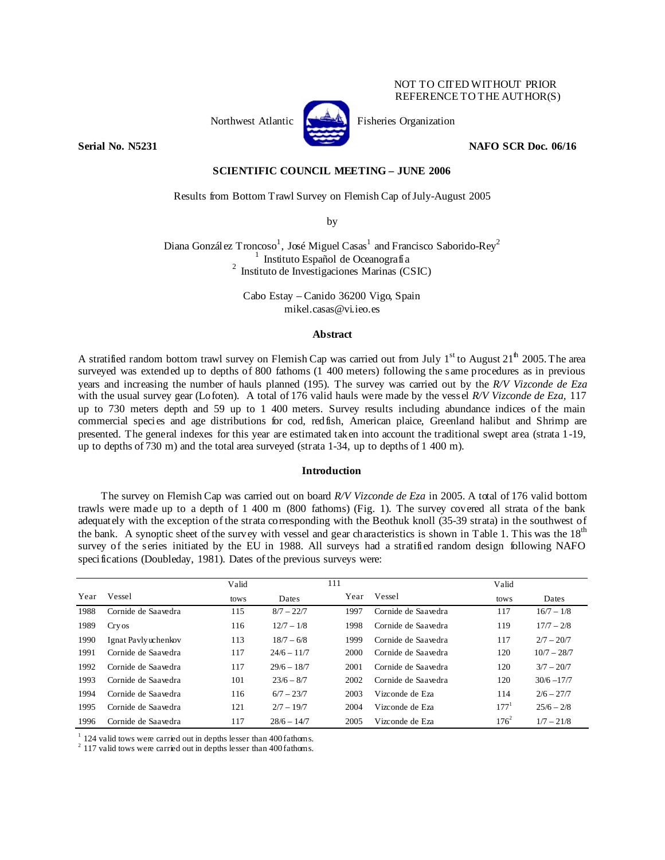## NOT TO CITED WITHOUT PRIOR REFERENCE TO THE AUTHOR(S)



Northwest Atlantic **Kernet** Fisheries Organization

**Serial No. N5231** NAFO SCR Doc. 06/16

### **SCIENTIFIC COUNCIL MEETING – JUNE 2006**

Results from Bottom Trawl Survey on Flemish Cap of July-August 2005

by

Diana González Troncoso<sup>1</sup>, José Miguel Casas<sup>1</sup> and Francisco Saborido-Rey<sup>2</sup>  $\frac{1}{1}$  Instituto Español de Oceanografía 2 Instituto de Investigaciones Marinas (CSIC)

> Cabo Estay – Canido 36200 Vigo, Spain mikel.casas@vi.ieo.es

## **Abstract**

A stratified random bottom trawl survey on Flemish Cap was carried out from July  $1<sup>st</sup>$  to August  $21<sup>th</sup>$  2005. The area surveyed was extended up to depths of 800 fathoms (1 400 meters) following the same procedures as in previous years and increasing the number of hauls planned (195). The survey was carried out by the *R/V Vizconde de Eza* with the usual survey gear (Lofoten). A total of 176 valid hauls were made by the vessel *R/V Vizconde de Eza,* 117 up to 730 meters depth and 59 up to 1 400 meters. Survey results including abundance indices of the main commercial species and age distributions for cod, redfish, American plaice, Greenland halibut and Shrimp are presented. The general indexes for this year are estimated taken into account the traditional swept area (strata 1-19, up to depths of 730 m) and the total area surveyed (strata 1-34, up to depths of 1 400 m).

# **Introduction**

The survey on Flemish Cap was carried out on board *R/V Vizconde de Eza* in 2005. A total of 176 valid bottom trawls were made up to a depth of 1 400 m (800 fathoms) (Fig. 1). The survey covered all strata of the bank adequately with the exception of the strata corresponding with the Beothuk knoll (35-39 strata) in the southwest of the bank. A synoptic sheet of the survey with vessel and gear characteristics is shown in Table 1. This was the 18<sup>th</sup> survey of the series initiated by the EU in 1988. All surveys had a stratified random design following NAFO specifications (Doubleday, 1981). Dates of the previous surveys were:

|      |                     | Valid |               | 111  |                     | Valid   |               |
|------|---------------------|-------|---------------|------|---------------------|---------|---------------|
| Year | Vessel              | tows  | Dates         | Year | Vessel              | tows    | Dates         |
| 1988 | Cornide de Saavedra | 115   | $8/7 - 22/7$  | 1997 | Cornide de Saavedra | 117     | $16/7 - 1/8$  |
| 1989 | Cry os              | 116   | $12/7 - 1/8$  | 1998 | Cornide de Saavedra | 119     | $17/7 - 2/8$  |
| 1990 | Ignat Payly whenkov | 113   | $18/7 - 6/8$  | 1999 | Cornide de Saavedra | 117     | $2/7 - 20/7$  |
| 1991 | Cornide de Saavedra | 117   | $24/6 - 11/7$ | 2000 | Cornide de Saavedra | 120     | $10/7 - 28/7$ |
| 1992 | Cornide de Saavedra | 117   | $29/6 - 18/7$ | 2001 | Cornide de Saavedra | 120     | $3/7 - 20/7$  |
| 1993 | Cornide de Saavedra | 101   | $23/6 - 8/7$  | 2002 | Cornide de Saavedra | 120     | $30/6 - 17/7$ |
| 1994 | Cornide de Saavedra | 116   | $6/7 - 23/7$  | 2003 | Vizconde de Eza     | 114     | $2/6 - 27/7$  |
| 1995 | Cornide de Saavedra | 121   | $2/7 - 19/7$  | 2004 | Vizconde de Eza     | 177'    | $25/6 - 2/8$  |
| 1996 | Cornide de Saavedra | 117   | $28/6 - 14/7$ | 2005 | Vizconde de Eza     | $176^2$ | $1/7 - 21/8$  |

 $^{1}$  124 valid tows were carried out in depths lesser than 400 fathoms.<br><sup>2</sup> 117 valid tows were carried out in depths lesser than 400 fathoms.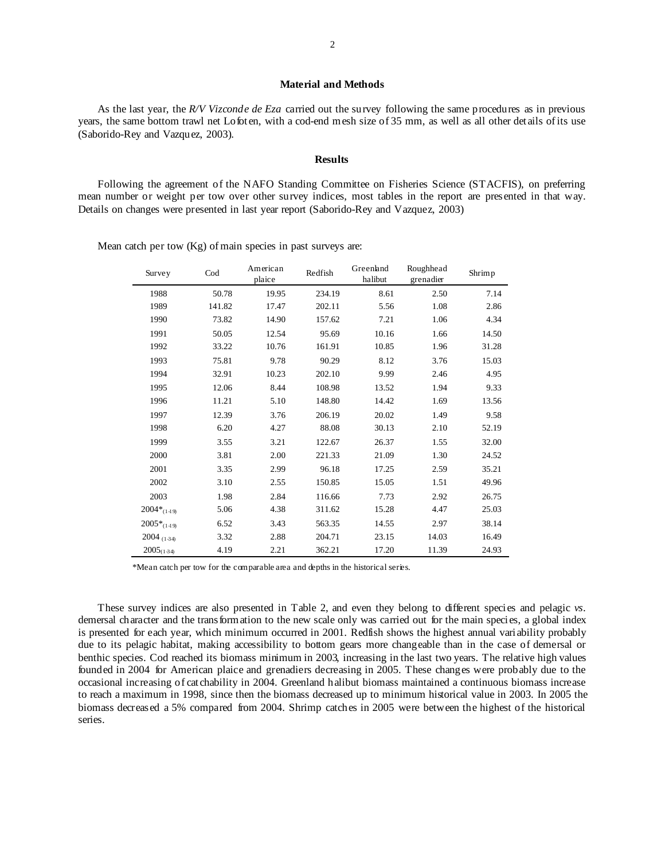#### **Material and Methods**

As the last year, the *R/V Vizconde de Eza* carried out the survey following the same procedures as in previous years, the same bottom trawl net Lofoten, with a cod-end mesh size of 35 mm, as well as all other details of its use (Saborido-Rey and Vazquez, 2003).

#### **Results**

Following the agreement of the NAFO Standing Committee on Fisheries Science (STACFIS), on preferring mean number or weight per tow over other survey indices, most tables in the report are presented in that way. Details on changes were presented in last year report (Saborido-Rey and Vazquez, 2003)

> Survey Cod American plaice Redfish Greenland halibut Roughhead kougnnead<br>grenadier Shrimp 1988 50.78 19.95 234.19 8.61 2.50 7.14 1989 141.82 17.47 202.11 5.56 1.08 2.86 1990 73.82 14.90 157.62 7.21 1.06 4.34 1991 50.05 12.54 95.69 10.16 1.66 14.50 1992 33.22 10.76 161.91 10.85 1.96 31.28 1993 75.81 9.78 90.29 8.12 3.76 15.03 1994 32.91 10.23 202.10 9.99 2.46 4.95 1995 12.06 8.44 108.98 13.52 1.94 9.33 1996 11.21 5.10 148.80 14.42 1.69 13.56 1997 12.39 3.76 206.19 20.02 1.49 9.58 1998 6.20 4.27 88.08 30.13 2.10 52.19 1999 3.55 3.21 122.67 26.37 1.55 32.00 2000 3.81 2.00 221.33 21.09 1.30 24.52 2001 3.35 2.99 96.18 17.25 2.59 35.21 2002 3.10 2.55 150.85 15.05 1.51 49.96 2003 1.98 2.84 116.66 7.73 2.92 26.75  $2004*_{(14.9)}$  5.06 4.38 311.62 15.28 4.47 25.03  $2005*_{(14.9)}$  6.52 3.43 563.35 14.55 2.97 38.14  $2004_{(134)}$   $3.32$   $2.88$   $204.71$   $23.15$   $14.03$   $16.49$  $2005_{(134)}$  4.19 2.21 362.21 17.20 11.39 24.93

Mean catch per tow (Kg) of main species in past surveys are:

\*Mean catch per tow for the comparable area and depths in the historical series.

These survey indices are also presented in Table 2, and even they belong to different species and pelagic *vs*. demersal character and the transformation to the new scale only was carried out for the main species, a global index is presented for each year, which minimum occurred in 2001. Redfish shows the highest annual variability probably due to its pelagic habitat, making accessibility to bottom gears more changeable than in the case of demersal or benthic species. Cod reached its biomass minimum in 2003, increasing in the last two years. The relative high values founded in 2004 for American plaice and grenadiers decreasing in 2005. These changes were probably due to the occasional increasing of catchability in 2004. Greenland halibut biomass maintained a continuous biomass increase to reach a maximum in 1998, since then the biomass decreased up to minimum historical value in 2003. In 2005 the biomass decreased a 5% compared from 2004. Shrimp catches in 2005 were between the highest of the historical series.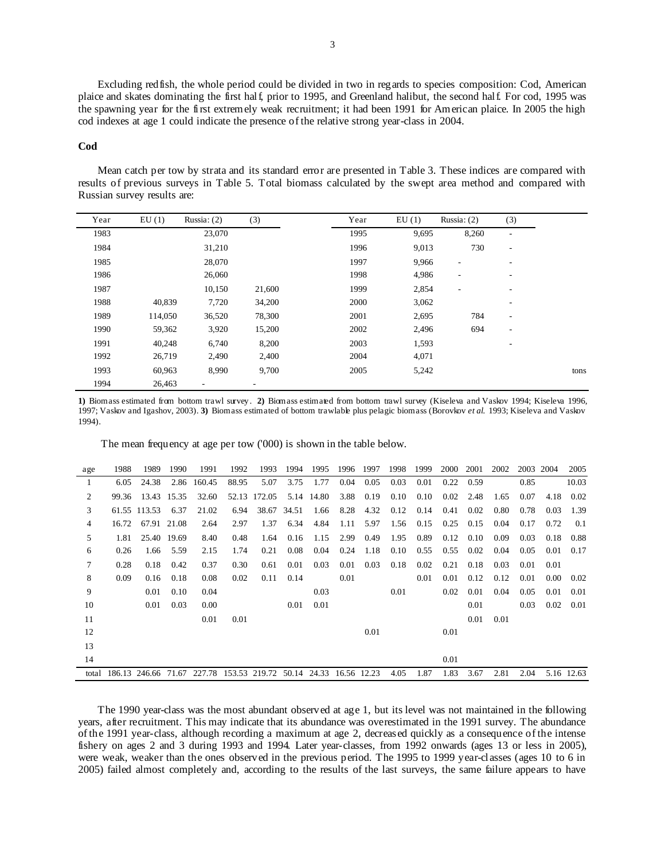Excluding redfish, the whole period could be divided in two in regards to species composition: Cod, American plaice and skates dominating the first half, prior to 1995, and Greenland halibut, the second half. For cod, 1995 was the spawning year for the first extremely weak recruitment; it had been 1991 for American plaice. In 2005 the high cod indexes at age 1 could indicate the presence of the relative strong year-class in 2004.

#### **Cod**

Mean catch per tow by strata and its standard error are presented in Table 3. These indices are compared with results of previous surveys in Table 5. Total biomass calculated by the swept area method and compared with Russian survey results are:

| Year | EU(1)   | Russia: $(2)$            | (3)                      | Year | EU(1) | Russia: $(2)$            | (3)                          |
|------|---------|--------------------------|--------------------------|------|-------|--------------------------|------------------------------|
| 1983 |         | 23,070                   |                          | 1995 | 9,695 | 8,260                    | ٠                            |
| 1984 |         | 31,210                   |                          | 1996 | 9,013 | 730                      | $\overline{\phantom{a}}$     |
| 1985 |         | 28,070                   |                          | 1997 | 9,966 | $\overline{\phantom{a}}$ | $\qquad \qquad \blacksquare$ |
| 1986 |         | 26,060                   |                          | 1998 | 4,986 | $\overline{\phantom{a}}$ | $\qquad \qquad \blacksquare$ |
| 1987 |         | 10,150                   | 21,600                   | 1999 | 2,854 | ٠                        | ٠                            |
| 1988 | 40,839  | 7,720                    | 34,200                   | 2000 | 3,062 |                          | -                            |
| 1989 | 114,050 | 36,520                   | 78,300                   | 2001 | 2,695 | 784                      | ۰.                           |
| 1990 | 59,362  | 3,920                    | 15,200                   | 2002 | 2,496 | 694                      | $\overline{\phantom{a}}$     |
| 1991 | 40,248  | 6,740                    | 8,200                    | 2003 | 1,593 |                          | -                            |
| 1992 | 26,719  | 2,490                    | 2,400                    | 2004 | 4,071 |                          |                              |
| 1993 | 60,963  | 8,990                    | 9,700                    | 2005 | 5,242 |                          |                              |
| 1994 | 26,463  | $\overline{\phantom{a}}$ | $\overline{\phantom{a}}$ |      |       |                          |                              |

**1)** Biomass estimated from bottom trawl survey . **2)** Biomass estimated from bottom trawl survey (Kiseleva and Vaskov 1994; Kiseleva 1996, 1997; Vaskov and Igashov, 2003). **3)** Biomass estimated of bottom trawlable plus pelagic biomass (Borovkov *et al.* 1993; Kiseleva and Vaskov 1994).

The mean frequency at age per tow ('000) is shown in the table below.

| age   | 1988   | 1989         | 1990        | 1991                             | 1992  | 1993   | 1994  | 1995  | 1996        | 1997 | 1998 | 1999 | 2000 | 2001 | 2002 | 2003 | 2004 | 2005       |
|-------|--------|--------------|-------------|----------------------------------|-------|--------|-------|-------|-------------|------|------|------|------|------|------|------|------|------------|
| 1     | 6.05   | 24.38        | 2.86        | 160.45                           | 88.95 | 5.07   | 3.75  | 1.77  | 0.04        | 0.05 | 0.03 | 0.01 | 0.22 | 0.59 |      | 0.85 |      | 10.03      |
| 2     | 99.36  |              | 13.43 15.35 | 32.60                            | 52.13 | 172.05 | 5.14  | 14.80 | 3.88        | 0.19 | 0.10 | 0.10 | 0.02 | 2.48 | 1.65 | 0.07 | 4.18 | 0.02       |
| 3     |        | 61.55 113.53 | 6.37        | 21.02                            | 6.94  | 38.67  | 34.51 | 1.66  | 8.28        | 4.32 | 0.12 | 0.14 | 0.41 | 0.02 | 0.80 | 0.78 | 0.03 | 1.39       |
| 4     | 16.72  |              | 67.91 21.08 | 2.64                             | 2.97  | 1.37   | 6.34  | 4.84  | 1.11        | 5.97 | 1.56 | 0.15 | 0.25 | 0.15 | 0.04 | 0.17 | 0.72 | 0.1        |
| 5     | 1.81   |              | 25.40 19.69 | 8.40                             | 0.48  | 1.64   | 0.16  | 1.15  | 2.99        | 0.49 | 1.95 | 0.89 | 0.12 | 0.10 | 0.09 | 0.03 | 0.18 | 0.88       |
| 6     | 0.26   | 1.66         | 5.59        | 2.15                             | 1.74  | 0.21   | 0.08  | 0.04  | 0.24        | 1.18 | 0.10 | 0.55 | 0.55 | 0.02 | 0.04 | 0.05 | 0.01 | 0.17       |
| 7     | 0.28   | 0.18         | 0.42        | 0.37                             | 0.30  | 0.61   | 0.01  | 0.03  | 0.01        | 0.03 | 0.18 | 0.02 | 0.21 | 0.18 | 0.03 | 0.01 | 0.01 |            |
| 8     | 0.09   | 0.16         | 0.18        | 0.08                             | 0.02  | 0.11   | 0.14  |       | 0.01        |      |      | 0.01 | 0.01 | 0.12 | 0.12 | 0.01 | 0.00 | 0.02       |
| 9     |        | 0.01         | 0.10        | 0.04                             |       |        |       | 0.03  |             |      | 0.01 |      | 0.02 | 0.01 | 0.04 | 0.05 | 0.01 | 0.01       |
| 10    |        | 0.01         | 0.03        | 0.00                             |       |        | 0.01  | 0.01  |             |      |      |      |      | 0.01 |      | 0.03 | 0.02 | 0.01       |
| 11    |        |              |             | 0.01                             | 0.01  |        |       |       |             |      |      |      |      | 0.01 | 0.01 |      |      |            |
| 12    |        |              |             |                                  |       |        |       |       |             | 0.01 |      |      | 0.01 |      |      |      |      |            |
| 13    |        |              |             |                                  |       |        |       |       |             |      |      |      |      |      |      |      |      |            |
| 14    |        |              |             |                                  |       |        |       |       |             |      |      |      | 0.01 |      |      |      |      |            |
| total | 186.13 | 246.66       | 71.67       | 227.78 153.53 219.72 50.14 24.33 |       |        |       |       | 16.56 12.23 |      | 4.05 | 1.87 | 1.83 | 3.67 | 2.81 | 2.04 |      | 5.16 12.63 |

The 1990 year-class was the most abundant observed at age 1, but its level was not maintained in the following years, after recruitment. This may indicate that its abundance was overestimated in the 1991 survey. The abundance of the 1991 year-class, although recording a maximum at age 2, decreased quickly as a consequence of the intense fishery on ages 2 and 3 during 1993 and 1994. Later year-classes, from 1992 onwards (ages 13 or less in 2005), were weak, weaker than the ones observed in the previous period. The 1995 to 1999 year-classes (ages 10 to 6 in 2005) failed almost completely and, according to the results of the last surveys, the same failure appears to have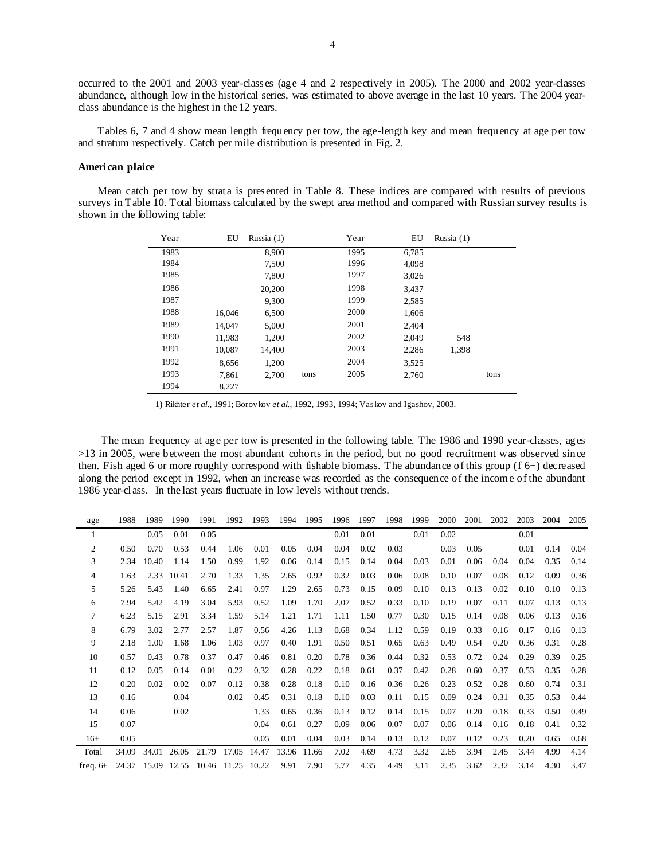occurred to the 2001 and 2003 year-classes (age 4 and 2 respectively in 2005). The 2000 and 2002 year-classes abundance, although low in the historical series, was estimated to above average in the last 10 years. The 2004 yearclass abundance is the highest in the 12 years.

Tables 6, 7 and 4 show mean length frequency per tow, the age-length key and mean frequency at age per tow and stratum respectively. Catch per mile distribution is presented in Fig. 2.

## **American plaice**

Mean catch per tow by strata is presented in Table 8. These indices are compared with results of previous surveys in Table 10. Total biomass calculated by the swept area method and compared with Russian survey results is shown in the following table:

| Year | EU     | Russia (1) |      | Year | EU    | Russia $(1)$ |      |
|------|--------|------------|------|------|-------|--------------|------|
| 1983 |        | 8,900      |      | 1995 | 6,785 |              |      |
| 1984 |        | 7,500      |      | 1996 | 4,098 |              |      |
| 1985 |        | 7,800      |      | 1997 | 3,026 |              |      |
| 1986 |        | 20,200     |      | 1998 | 3,437 |              |      |
| 1987 |        | 9.300      |      | 1999 | 2,585 |              |      |
| 1988 | 16,046 | 6,500      |      | 2000 | 1,606 |              |      |
| 1989 | 14,047 | 5,000      |      | 2001 | 2.404 |              |      |
| 1990 | 11,983 | 1,200      |      | 2002 | 2,049 | 548          |      |
| 1991 | 10,087 | 14.400     |      | 2003 | 2,286 | 1,398        |      |
| 1992 | 8,656  | 1,200      |      | 2004 | 3,525 |              |      |
| 1993 | 7,861  | 2.700      | tons | 2005 | 2,760 |              | tons |
| 1994 | 8,227  |            |      |      |       |              |      |

1) Rikhter *et al.*, 1991; Borov kov *et al.*, 1992, 1993, 1994; Vaskov and Igashov, 2003.

The mean frequency at age per tow is presented in the following table. The 1986 and 1990 year-classes, ages >13 in 2005, were between the most abundant cohorts in the period, but no good recruitment was observed since then. Fish aged 6 or more roughly correspond with fishable biomass. The abundance of this group (f 6+) decreased along the period except in 1992, when an increase was recorded as the consequence of the income of the abundant 1986 year-class. In the last years fluctuate in low levels without trends.

| age            | 1988  | 1989  | 1990       | 1991                                | 1992 | 1993 | 1994 | 1995        | 1996 | 1997 | 1998 | 1999 | 2000 | 2001 | 2002 | 2003 | 2004 | 2005 |
|----------------|-------|-------|------------|-------------------------------------|------|------|------|-------------|------|------|------|------|------|------|------|------|------|------|
| 1              |       | 0.05  | 0.01       | 0.05                                |      |      |      |             | 0.01 | 0.01 |      | 0.01 | 0.02 |      |      | 0.01 |      |      |
| 2              | 0.50  | 0.70  | 0.53       | 0.44                                | 1.06 | 0.01 | 0.05 | 0.04        | 0.04 | 0.02 | 0.03 |      | 0.03 | 0.05 |      | 0.01 | 0.14 | 0.04 |
| 3              | 2.34  | 10.40 | 1.14       | 1.50                                | 0.99 | 1.92 | 0.06 | 0.14        | 0.15 | 0.14 | 0.04 | 0.03 | 0.01 | 0.06 | 0.04 | 0.04 | 0.35 | 0.14 |
| $\overline{4}$ | 1.63  |       | 2.33 10.41 | 2.70                                | 1.33 | 1.35 | 2.65 | 0.92        | 0.32 | 0.03 | 0.06 | 0.08 | 0.10 | 0.07 | 0.08 | 0.12 | 0.09 | 0.36 |
| 5              | 5.26  | 5.43  | 1.40       | 6.65                                | 2.41 | 0.97 | 1.29 | 2.65        | 0.73 | 0.15 | 0.09 | 0.10 | 0.13 | 0.13 | 0.02 | 0.10 | 0.10 | 0.13 |
| 6              | 7.94  | 5.42  | 4.19       | 3.04                                | 5.93 | 0.52 | 1.09 | 1.70        | 2.07 | 0.52 | 0.33 | 0.10 | 0.19 | 0.07 | 0.11 | 0.07 | 0.13 | 0.13 |
| 7              | 6.23  | 5.15  | 2.91       | 3.34                                | 1.59 | 5.14 | 1.21 | 1.71        | 1.11 | 1.50 | 0.77 | 0.30 | 0.15 | 0.14 | 0.08 | 0.06 | 0.13 | 0.16 |
| 8              | 6.79  | 3.02  | 2.77       | 2.57                                | 1.87 | 0.56 | 4.26 | 1.13        | 0.68 | 0.34 | 1.12 | 0.59 | 0.19 | 0.33 | 0.16 | 0.17 | 0.16 | 0.13 |
| 9              | 2.18  | 1.00  | 1.68       | 1.06                                | 1.03 | 0.97 | 0.40 | 1.91        | 0.50 | 0.51 | 0.65 | 0.63 | 0.49 | 0.54 | 0.20 | 0.36 | 0.31 | 0.28 |
| 10             | 0.57  | 0.43  | 0.78       | 0.37                                | 0.47 | 0.46 | 0.81 | 0.20        | 0.78 | 0.36 | 0.44 | 0.32 | 0.53 | 0.72 | 0.24 | 0.29 | 0.39 | 0.25 |
| 11             | 0.12  | 0.05  | 0.14       | 0.01                                | 0.22 | 0.32 | 0.28 | 0.22        | 0.18 | 0.61 | 0.37 | 0.42 | 0.28 | 0.60 | 0.37 | 0.53 | 0.35 | 0.28 |
| 12             | 0.20  | 0.02  | 0.02       | 0.07                                | 0.12 | 0.38 | 0.28 | 0.18        | 0.10 | 0.16 | 0.36 | 0.26 | 0.23 | 0.52 | 0.28 | 0.60 | 0.74 | 0.31 |
| 13             | 0.16  |       | 0.04       |                                     | 0.02 | 0.45 | 0.31 | 0.18        | 0.10 | 0.03 | 0.11 | 0.15 | 0.09 | 0.24 | 0.31 | 0.35 | 0.53 | 0.44 |
| 14             | 0.06  |       | 0.02       |                                     |      | 1.33 | 0.65 | 0.36        | 0.13 | 0.12 | 0.14 | 0.15 | 0.07 | 0.20 | 0.18 | 0.33 | 0.50 | 0.49 |
| 15             | 0.07  |       |            |                                     |      | 0.04 | 0.61 | 0.27        | 0.09 | 0.06 | 0.07 | 0.07 | 0.06 | 0.14 | 0.16 | 0.18 | 0.41 | 0.32 |
| $16+$          | 0.05  |       |            |                                     |      | 0.05 | 0.01 | 0.04        | 0.03 | 0.14 | 0.13 | 0.12 | 0.07 | 0.12 | 0.23 | 0.20 | 0.65 | 0.68 |
| Total          | 34.09 |       |            | 34.01 26.05 21.79 17.05 14.47       |      |      |      | 13.96 11.66 | 7.02 | 4.69 | 4.73 | 3.32 | 2.65 | 3.94 | 2.45 | 3.44 | 4.99 | 4.14 |
| freq. $6+$     |       |       |            | 24.37 15.09 12.55 10.46 11.25 10.22 |      |      | 9.91 | 7.90        | 5.77 | 4.35 | 4.49 | 3.11 | 2.35 | 3.62 | 2.32 | 3.14 | 4.30 | 3.47 |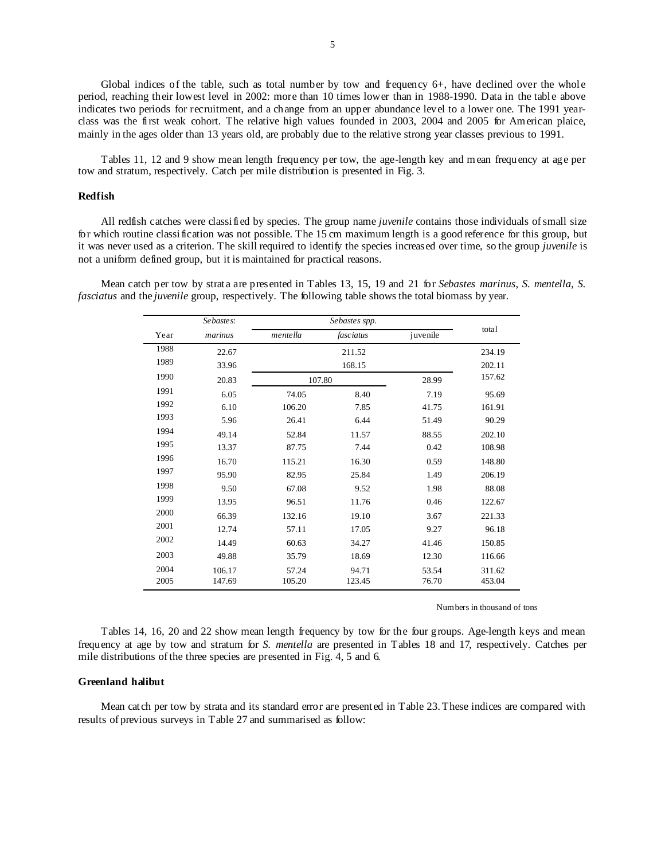Global indices of the table, such as total number by tow and frequency 6+, have declined over the whole period, reaching their lowest level in 2002: more than 10 times lower than in 1988-1990. Data in the table above indicates two periods for recruitment, and a change from an upper abundance level to a lower one. The 1991 yearclass was the first weak cohort. The relative high values founded in 2003, 2004 and 2005 for American plaice, mainly in the ages older than 13 years old, are probably due to the relative strong year classes previous to 1991.

Tables 11, 12 and 9 show mean length frequency per tow, the age-length key and mean frequency at age per tow and stratum, respectively. Catch per mile distribution is presented in Fig. 3.

### **Redfish**

All redfish catches were classified by species. The group name *juvenile* contains those individuals of small size for which routine classification was not possible. The 15 cm maximum length is a good reference for this group, but it was never used as a criterion. The skill required to identify the species increased over time, so the group *juvenile* is not a uniform defined group, but it is maintained for practical reasons.

Mean catch per tow by strata are presented in Tables 13, 15, 19 and 21 for *Sebastes marinus*, *S. mentella*, *S. fasciatus* and the *juvenile* group, respectively. The following table shows the total biomass by year.

|      | Sebastes: |                 |           |          |        |
|------|-----------|-----------------|-----------|----------|--------|
| Year | marinus   | <i>mentella</i> | fasciatus | juvenile | total  |
| 1988 | 22.67     |                 | 211.52    |          | 234.19 |
| 1989 | 33.96     |                 | 168.15    |          | 202.11 |
| 1990 | 20.83     | 107.80          |           | 28.99    | 157.62 |
| 1991 | 6.05      | 74.05           | 8.40      | 7.19     | 95.69  |
| 1992 | 6.10      | 106.20          | 7.85      | 41.75    | 161.91 |
| 1993 | 5.96      | 26.41           | 6.44      | 51.49    | 90.29  |
| 1994 | 49.14     | 52.84           | 11.57     | 88.55    | 202.10 |
| 1995 | 13.37     | 87.75           | 7.44      | 0.42     | 108.98 |
| 1996 | 16.70     | 115.21          | 16.30     | 0.59     | 148.80 |
| 1997 | 95.90     | 82.95           | 25.84     | 1.49     | 206.19 |
| 1998 | 9.50      | 67.08           | 9.52      | 1.98     | 88.08  |
| 1999 | 13.95     | 96.51           | 11.76     | 0.46     | 122.67 |
| 2000 | 66.39     | 132.16          | 19.10     | 3.67     | 221.33 |
| 2001 | 12.74     | 57.11           | 17.05     | 9.27     | 96.18  |
| 2002 | 14.49     | 60.63           | 34.27     | 41.46    | 150.85 |
| 2003 | 49.88     | 35.79           | 18.69     | 12.30    | 116.66 |
| 2004 | 106.17    | 57.24           | 94.71     | 53.54    | 311.62 |
| 2005 | 147.69    | 105.20          | 123.45    | 76.70    | 453.04 |

Numbers in thousand of tons

Tables 14, 16, 20 and 22 show mean length frequency by tow for the four groups. Age-length keys and mean frequency at age by tow and stratum for *S. mentella* are presented in Tables 18 and 17, respectively. Catches per mile distributions of the three species are presented in Fig. 4, 5 and 6.

#### **Greenland halibut**

Mean catch per tow by strata and its standard error are presented in Table 23. These indices are compared with results of previous surveys in Table 27 and summarised as follow: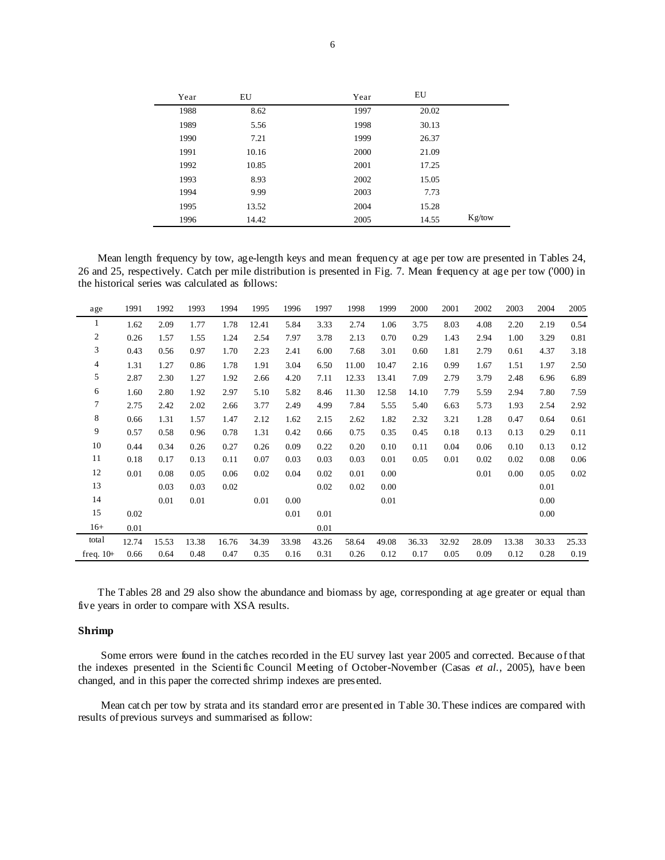| Year | EU    | Year | EU    |        |
|------|-------|------|-------|--------|
| 1988 | 8.62  | 1997 | 20.02 |        |
| 1989 | 5.56  | 1998 | 30.13 |        |
| 1990 | 7.21  | 1999 | 26.37 |        |
| 1991 | 10.16 | 2000 | 21.09 |        |
| 1992 | 10.85 | 2001 | 17.25 |        |
| 1993 | 8.93  | 2002 | 15.05 |        |
| 1994 | 9.99  | 2003 | 7.73  |        |
| 1995 | 13.52 | 2004 | 15.28 |        |
| 1996 | 14.42 | 2005 | 14.55 | Kg/tow |

Mean length frequency by tow, age-length keys and mean frequency at age per tow are presented in Tables 24, 26 and 25, respectively. Catch per mile distribution is presented in Fig. 7. Mean frequency at age per tow ('000) in the historical series was calculated as follows:

| age            | 1991  | 1992  | 1993  | 1994  | 1995  | 1996  | 1997  | 1998  | 1999  | 2000  | 2001  | 2002  | 2003  | 2004  | 2005  |
|----------------|-------|-------|-------|-------|-------|-------|-------|-------|-------|-------|-------|-------|-------|-------|-------|
| 1              | 1.62  | 2.09  | 1.77  | 1.78  | 12.41 | 5.84  | 3.33  | 2.74  | 1.06  | 3.75  | 8.03  | 4.08  | 2.20  | 2.19  | 0.54  |
| $\overline{c}$ | 0.26  | 1.57  | 1.55  | 1.24  | 2.54  | 7.97  | 3.78  | 2.13  | 0.70  | 0.29  | 1.43  | 2.94  | 1.00  | 3.29  | 0.81  |
| 3              | 0.43  | 0.56  | 0.97  | 1.70  | 2.23  | 2.41  | 6.00  | 7.68  | 3.01  | 0.60  | 1.81  | 2.79  | 0.61  | 4.37  | 3.18  |
| 4              | 1.31  | 1.27  | 0.86  | 1.78  | 1.91  | 3.04  | 6.50  | 11.00 | 10.47 | 2.16  | 0.99  | 1.67  | 1.51  | 1.97  | 2.50  |
| 5              | 2.87  | 2.30  | 1.27  | 1.92  | 2.66  | 4.20  | 7.11  | 12.33 | 13.41 | 7.09  | 2.79  | 3.79  | 2.48  | 6.96  | 6.89  |
| 6              | 1.60  | 2.80  | 1.92  | 2.97  | 5.10  | 5.82  | 8.46  | 11.30 | 12.58 | 14.10 | 7.79  | 5.59  | 2.94  | 7.80  | 7.59  |
| $\tau$         | 2.75  | 2.42  | 2.02  | 2.66  | 3.77  | 2.49  | 4.99  | 7.84  | 5.55  | 5.40  | 6.63  | 5.73  | 1.93  | 2.54  | 2.92  |
| 8              | 0.66  | 1.31  | 1.57  | 1.47  | 2.12  | 1.62  | 2.15  | 2.62  | 1.82  | 2.32  | 3.21  | 1.28  | 0.47  | 0.64  | 0.61  |
| 9              | 0.57  | 0.58  | 0.96  | 0.78  | 1.31  | 0.42  | 0.66  | 0.75  | 0.35  | 0.45  | 0.18  | 0.13  | 0.13  | 0.29  | 0.11  |
| 10             | 0.44  | 0.34  | 0.26  | 0.27  | 0.26  | 0.09  | 0.22  | 0.20  | 0.10  | 0.11  | 0.04  | 0.06  | 0.10  | 0.13  | 0.12  |
| 11             | 0.18  | 0.17  | 0.13  | 0.11  | 0.07  | 0.03  | 0.03  | 0.03  | 0.01  | 0.05  | 0.01  | 0.02  | 0.02  | 0.08  | 0.06  |
| 12             | 0.01  | 0.08  | 0.05  | 0.06  | 0.02  | 0.04  | 0.02  | 0.01  | 0.00  |       |       | 0.01  | 0.00  | 0.05  | 0.02  |
| 13             |       | 0.03  | 0.03  | 0.02  |       |       | 0.02  | 0.02  | 0.00  |       |       |       |       | 0.01  |       |
| 14             |       | 0.01  | 0.01  |       | 0.01  | 0.00  |       |       | 0.01  |       |       |       |       | 0.00  |       |
| 15             | 0.02  |       |       |       |       | 0.01  | 0.01  |       |       |       |       |       |       | 0.00  |       |
| $16+$          | 0.01  |       |       |       |       |       | 0.01  |       |       |       |       |       |       |       |       |
| total          | 12.74 | 15.53 | 13.38 | 16.76 | 34.39 | 33.98 | 43.26 | 58.64 | 49.08 | 36.33 | 32.92 | 28.09 | 13.38 | 30.33 | 25.33 |
| freq. $10+$    | 0.66  | 0.64  | 0.48  | 0.47  | 0.35  | 0.16  | 0.31  | 0.26  | 0.12  | 0.17  | 0.05  | 0.09  | 0.12  | 0.28  | 0.19  |

The Tables 28 and 29 also show the abundance and biomass by age, corresponding at age greater or equal than five years in order to compare with XSA results.

### **Shrimp**

Some errors were found in the catches recorded in the EU survey last year 2005 and corrected. Because of that the indexes presented in the Scientific Council Meeting of October-November (Casas *et al.*, 2005), have been changed, and in this paper the corrected shrimp indexes are presented.

Mean catch per tow by strata and its standard error are presented in Table 30. These indices are compared with results of previous surveys and summarised as follow: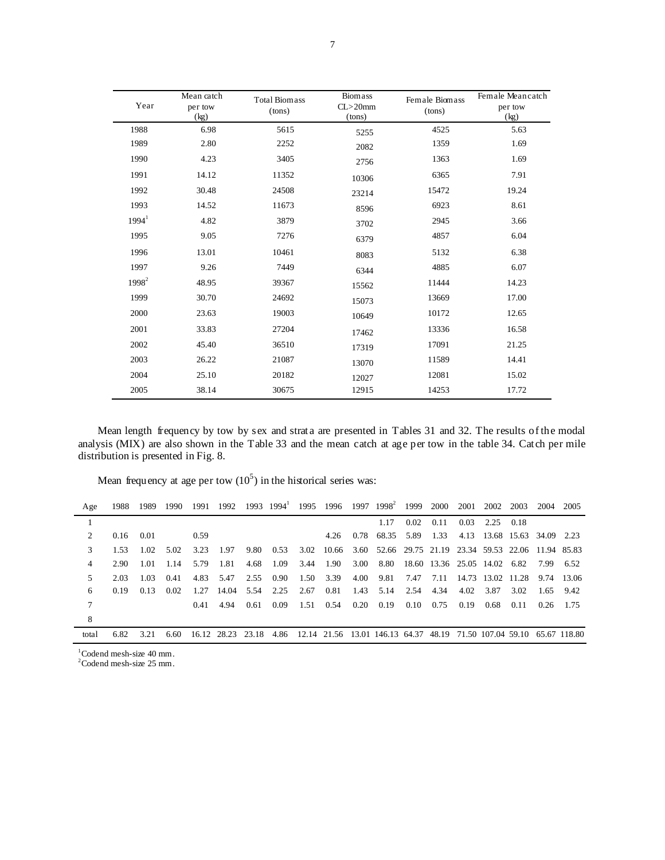| Year     | Mean catch<br>per tow<br>(kg) | <b>Total Biomass</b><br>(tons) | Biomass<br>$CL > 20$ mm<br>(tons) | Female Biomass<br>(tons) | Female Meancatch<br>per tow<br>(kg) |
|----------|-------------------------------|--------------------------------|-----------------------------------|--------------------------|-------------------------------------|
| 1988     | 6.98                          | 5615                           | 5255                              | 4525                     | 5.63                                |
| 1989     | 2.80                          | 2252                           | 2082                              | 1359                     | 1.69                                |
| 1990     | 4.23                          | 3405                           | 2756                              | 1363                     | 1.69                                |
| 1991     | 14.12                         | 11352                          | 10306                             | 6365                     | 7.91                                |
| 1992     | 30.48                         | 24508                          | 23214                             | 15472                    | 19.24                               |
| 1993     | 14.52                         | 11673                          | 8596                              | 6923                     | 8.61                                |
| $1994^1$ | 4.82                          | 3879                           | 3702                              | 2945                     | 3.66                                |
| 1995     | 9.05                          | 7276                           | 6379                              | 4857                     | 6.04                                |
| 1996     | 13.01                         | 10461                          | 8083                              | 5132                     | 6.38                                |
| 1997     | 9.26                          | 7449                           | 6344                              | 4885                     | 6.07                                |
| $1998^2$ | 48.95                         | 39367                          | 15562                             | 11444                    | 14.23                               |
| 1999     | 30.70                         | 24692                          | 15073                             | 13669                    | 17.00                               |
| 2000     | 23.63                         | 19003                          | 10649                             | 10172                    | 12.65                               |
| 2001     | 33.83                         | 27204                          | 17462                             | 13336                    | 16.58                               |
| 2002     | 45.40                         | 36510                          | 17319                             | 17091                    | 21.25                               |
| 2003     | 26.22                         | 21087                          | 13070                             | 11589                    | 14.41                               |
| 2004     | 25.10                         | 20182                          | 12027                             | 12081                    | 15.02                               |
| 2005     | 38.14                         | 30675                          | 12915                             | 14253                    | 17.72                               |

Mean length frequency by tow by sex and strata are presented in Tables 31 and 32. The results of the modal analysis (MIX) are also shown in the Table 33 and the mean catch at age per tow in the table 34. Catch per mile distribution is presented in Fig. 8.

Mean frequency at age per tow  $(10^5)$  in the historical series was:

| Age            | 1988 | 1989 | 1990 |      | 1991 1992 |      |           |                   |      |      | 1993 1994 1995 1996 1997 1998                                                               | 1999 | 2000 | 2001 | 2002                              | 2003 | 2004      | 2005        |
|----------------|------|------|------|------|-----------|------|-----------|-------------------|------|------|---------------------------------------------------------------------------------------------|------|------|------|-----------------------------------|------|-----------|-------------|
|                |      |      |      |      |           |      |           |                   |      |      | 1.17                                                                                        | 0.02 | 0.11 | 0.03 | 2.25 0.18                         |      |           |             |
| $\mathfrak{D}$ | 0.16 | 0.01 |      | 0.59 |           |      |           |                   | 4.26 |      | 0.78 68.35 5.89                                                                             |      | 1.33 |      | 4.13 13.68 15.63 34.09 2.23       |      |           |             |
| 3              | 1.53 | 1.02 | 5.02 | 3.23 | 1.97      |      |           |                   |      |      | 9.80 0.53 3.02 10.66 3.60 52.66 29.75 21.19 23.34 59.53 22.06 11.94 85.83                   |      |      |      |                                   |      |           |             |
| 4              | 2.90 | 1.01 | 1.14 | 5.79 | 1.81      | 4.68 | 1.09      | 3.44              | 1.90 |      | 3.00 8.80                                                                                   |      |      |      | 18.60 13.36 25.05 14.02 6.82      |      | 7.99 6.52 |             |
| 5.             | 2.03 | 1.03 | 0.41 | 4.83 | 5.47      | 2.55 | 0.90      | 1.50              | 3.39 | 4.00 | 9.81                                                                                        | 7.47 |      |      | 7.11 14.73 13.02 11.28 9.74 13.06 |      |           |             |
| 6              | 0.19 | 0.13 | 0.02 | 1.27 | 14.04     |      | 5.54 2.25 | 2.67              | 0.81 | 1.43 | 5.14                                                                                        | 2.54 | 4.34 | 4.02 | 3.87                              | 3.02 | 1.65 9.42 |             |
| 7              |      |      |      | 0.41 | 494       | 0.61 | 0.09      | $1.51 \quad 0.54$ |      | 0.20 | 0.19                                                                                        | 0.10 | 0.75 | 0.19 | 0.68                              | 0.11 |           | $0.26$ 1.75 |
| 8              |      |      |      |      |           |      |           |                   |      |      |                                                                                             |      |      |      |                                   |      |           |             |
| total          | 6.82 | 3.21 | 6.60 |      |           |      |           |                   |      |      | 16.12 28.23 23.18 4.86 12.14 21.56 13.01 146.13 64.37 48.19 71.50 107.04 59.10 65.67 118.80 |      |      |      |                                   |      |           |             |

 $^{1}$ Codend mesh-size 40 mm.<br>  $^{2}$ Codend mesh-size 25 mm.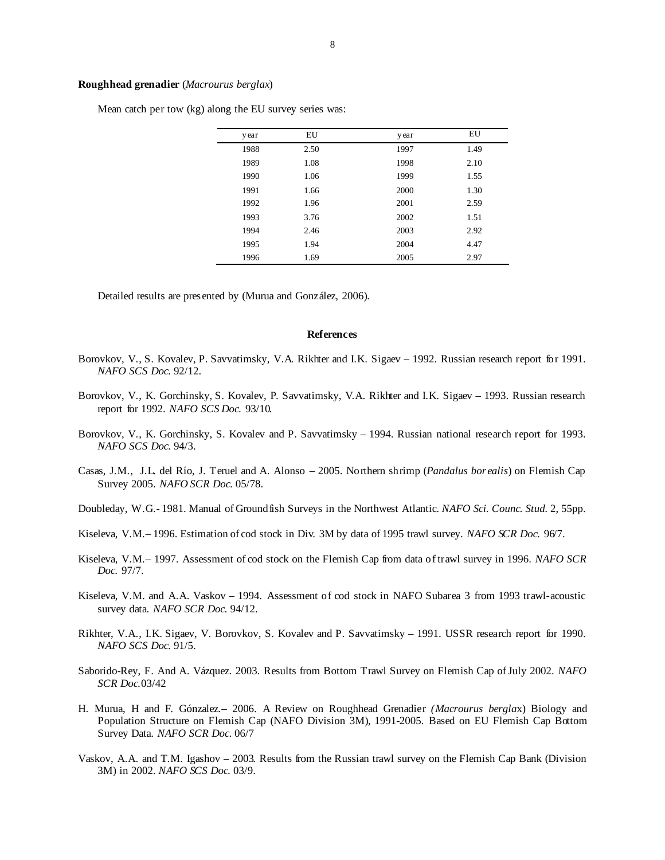### **Roughhead grenadier** (*Macrourus berglax*)

Mean catch per tow (kg) along the EU survey series was:

| y ear | EU   | y ear | EU   |  |
|-------|------|-------|------|--|
| 1988  | 2.50 | 1997  | 1.49 |  |
| 1989  | 1.08 | 1998  | 2.10 |  |
| 1990  | 1.06 | 1999  | 1.55 |  |
| 1991  | 1.66 | 2000  | 1.30 |  |
| 1992  | 1.96 | 2001  | 2.59 |  |
| 1993  | 3.76 | 2002  | 1.51 |  |
| 1994  | 2.46 | 2003  | 2.92 |  |
| 1995  | 1.94 | 2004  | 4.47 |  |
| 1996  | 1.69 | 2005  | 2.97 |  |

Detailed results are presented by (Murua and González, 2006).

#### **References**

- Borovkov, V., S. Kovalev, P. Savvatimsky, V.A. Rikhter and I.K. Sigaev 1992. Russian research report for 1991. *NAFO SCS Doc.* 92/12.
- Borovkov, V., K. Gorchinsky, S. Kovalev, P. Savvatimsky, V.A. Rikhter and I.K. Sigaev 1993. Russian research report for 1992. *NAFO SCS Doc.* 93/10.
- Borovkov, V., K. Gorchinsky, S. Kovalev and P. Savvatimsky 1994. Russian national research report for 1993. *NAFO SCS Doc.* 94/3.
- Casas, J.M., J.L. del Río, J. Teruel and A. Alonso 2005. Northern shrimp (*Pandalus borealis*) on Flemish Cap Survey 2005. *NAFO SCR Doc.* 05/78.
- Doubleday, W.G.- 1981. Manual of Groundfish Surveys in the Northwest Atlantic. *NAFO Sci. Counc. Stud.* 2, 55pp.
- Kiseleva, V.M.– 1996. Estimation of cod stock in Div. 3M by data of 1995 trawl survey. *NAFO SCR Doc.* 96/7.
- Kiseleva, V.M.– 1997. Assessment of cod stock on the Flemish Cap from data of trawl survey in 1996. *NAFO SCR Doc.* 97/7.
- Kiseleva, V.M. and A.A. Vaskov 1994. Assessment of cod stock in NAFO Subarea 3 from 1993 trawl-acoustic survey data. *NAFO SCR Doc.* 94/12.
- Rikhter, V.A., I.K. Sigaev, V. Borovkov, S. Kovalev and P. Savvatimsky 1991. USSR research report for 1990. *NAFO SCS Doc.* 91/5.
- Saborido-Rey, F. And A. Vázquez. 2003. Results from Bottom Trawl Survey on Flemish Cap of July 2002. *NAFO SCR Doc.*03/42
- H. Murua, H and F. Gónzalez.– 2006. A Review on Roughhead Grenadier *(Macrourus bergla*x) Biology and Population Structure on Flemish Cap (NAFO Division 3M), 1991-2005. Based on EU Flemish Cap Bottom Survey Data. *NAFO SCR Doc*. 06/7
- Vaskov, A.A. and T.M. Igashov 2003. Results from the Russian trawl survey on the Flemish Cap Bank (Division 3M) in 2002. *NAFO SCS Doc.* 03/9.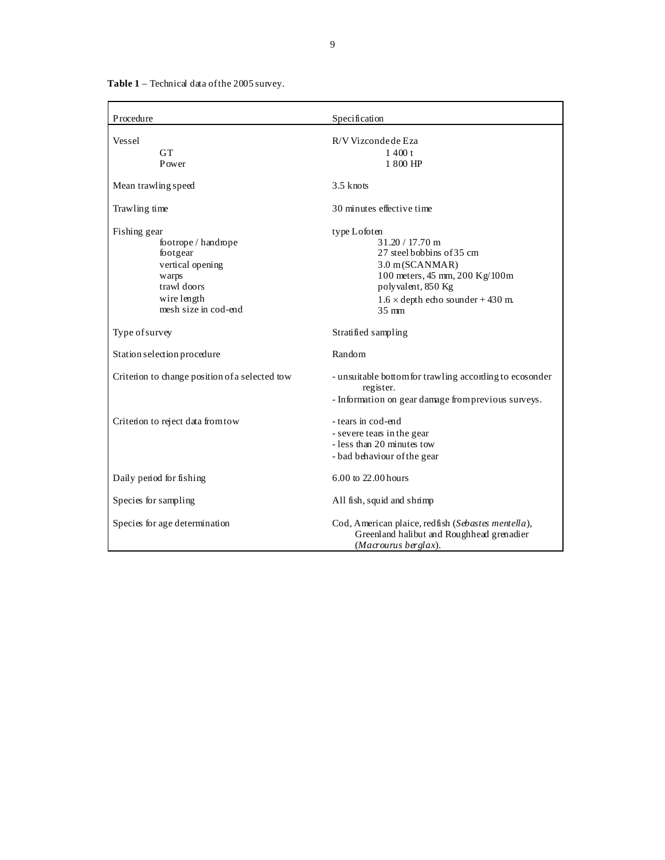**Table 1** – Technical data of the 2005 survey.

| Procedure                                                                                                                          | Specification                                                                                                                                                                                           |
|------------------------------------------------------------------------------------------------------------------------------------|---------------------------------------------------------------------------------------------------------------------------------------------------------------------------------------------------------|
| Vessel<br><b>GT</b><br>Power                                                                                                       | R/V Vizconde de Eza<br>1400 t<br>1 800 HP                                                                                                                                                               |
| Mean trawling speed                                                                                                                | $3.5$ knots                                                                                                                                                                                             |
| Trawling time                                                                                                                      | 30 minutes effective time                                                                                                                                                                               |
| Fishing gear<br>footrope / handrope<br>footgear<br>vertical opening<br>warps<br>trawl doors<br>wire length<br>mesh size in cod-end | type Lofoten<br>$31.20 / 17.70$ m<br>27 steel bobbins of 35 cm<br>3.0 m(SCANMAR)<br>100 meters, 45 mm, 200 Kg/100m<br>polyvalent, 850 Kg<br>$1.6 \times$ depth echo sounder + 430 m.<br>$35 \text{ mm}$ |
| Type of survey                                                                                                                     | Stratified sampling                                                                                                                                                                                     |
| Station selection procedure                                                                                                        | Random                                                                                                                                                                                                  |
| Criterion to change position of a selected tow                                                                                     | - unsuitable bottom for trawling according to ecosonder<br>register.<br>- Information on gear damage from previous surveys.                                                                             |
| Criterion to reject data from tow                                                                                                  | - tears in cod-end<br>- severe tears in the gear<br>- less than 20 minutes tow<br>- bad behaviour of the gear                                                                                           |
| Daily period for fishing                                                                                                           | 6.00 to 22.00 hours                                                                                                                                                                                     |
| Species for sampling                                                                                                               | All fish, squid and shrimp                                                                                                                                                                              |
| Species for age determination                                                                                                      | Cod, American plaice, redfish (Sebastes mentella),<br>Greenland halibut and Roughhead grenadier<br>(Macrourus berglax).                                                                                 |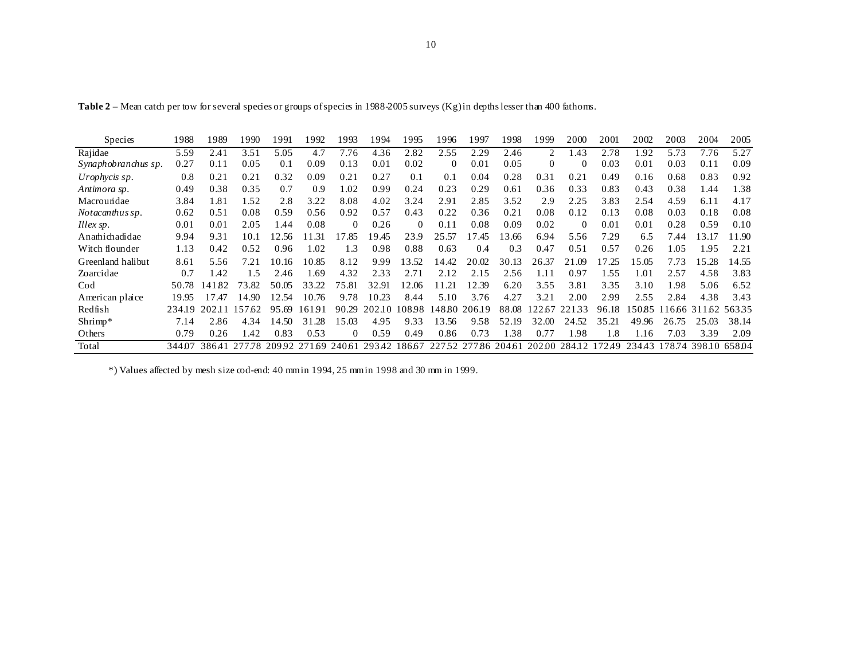| <b>Species</b>      | 1988   | 1989      | 1990   | 1991  | 1992         | 1993     | 1994   | 1995     | 1996     | 1997              | 1998  | 1999           | 2000            | 2001   | 2002   | 2003   | 2004          | 2005  |
|---------------------|--------|-----------|--------|-------|--------------|----------|--------|----------|----------|-------------------|-------|----------------|-----------------|--------|--------|--------|---------------|-------|
| Rajidae             | 5.59   | 2.41      | 3.51   | 5.05  | 4.7          | 7.76     | 4.36   | 2.82     | 2.55     | 2.29              | 2.46  | $\mathfrak{D}$ | L <sub>43</sub> | 2.78   | 1.92   | 5.73   | 7.76          | 5.27  |
| Synaphobranchus sp. | 0.27   | 0.11      | 0.05   | 0.1   | 0.09         | 0.13     | 0.01   | 0.02     | $\theta$ | 0.01              | 0.05  | $\Omega$       | $\Omega$        | 0.03   | 0.01   | 0.03   | 0.11          | 0.09  |
| Urophycis sp.       | 0.8    | 0.21      | 0.21   | 0.32  | 0.09         | 0.21     | 0.27   | 0.1      | 0.1      | 0.04              | 0.28  | 0.31           | 0.21            | 0.49   | 0.16   | 0.68   | 0.83          | 0.92  |
| Antimora sp.        | 0.49   | 0.38      | 0.35   | 0.7   | 0.9          | 1.02     | 0.99   | 0.24     | 0.23     | 0.29              | 0.61  | 0.36           | 0.33            | 0.83   | 0.43   | 0.38   | 1.44          | 1.38  |
| Macroundae          | 3.84   | l .81     | l.52   | 2.8   | 3.22         | 8.08     | 4.02   | 3.24     | 2.91     | 2.85              | 3.52  | 2.9            | 2.25            | 3.83   | 2.54   | 4.59   | 6.11          | 4.17  |
| Notacanthus sp.     | 0.62   | 0.51      | 0.08   | 0.59  | 0.56         | 0.92     | 0.57   | 0.43     | 0.22     | 0.36              | 0.21  | 0.08           | 0.12            | 0.13   | 0.08   | 0.03   | 0.18          | 0.08  |
| Illex sp.           | 0.01   | 0.01      | 2.05   | 44. ا | 0.08         | $\Omega$ | 0.26   | $\Omega$ | 0.11     | 0.08              | 0.09  | 0.02           | $\Omega$        | 0.01   | 0.01   | 0.28   | 0.59          | 0.10  |
| Anamichadidae       | 9.94   | 9.31      | 10.1   | 12.56 | 11.31        | 17.85    | ! 9.45 | 23.9     | 25.57    | 17.45             | 3.66  | 6.94           | 5.56            | 7.29   | 6.5    | 7.44   | 13.17         | 11.90 |
| Witch flounder      | 1.13   | 0.42      | 0.52   | 0.96  | 1.02         | 1.3      | 0.98   | 0.88     | 0.63     | 0.4               | 0.3   | 0.47           | 0.51            | 0.57   | 0.26   | l .05  | 1.95          | 2.21  |
| Greenland halibut   | 8.61   | 5.56      | 7.21   | 10.16 | 10.85        | 8.12     | 9.99   | 13.52    | 14.42    | 20.02             | 30.13 | 26.37          | 21.09           | 17.25  | 5.05   | 7.73   | 15.28         | 14.55 |
| Zoarcidae           | 0.7    | 1.42      | 1.5    | 2.46  | 1.69         | 4.32     | 2.33   | 2.71     | 2.12     | 2.15              | 2.56  | 1.11           | 0.97            | 1.55   | 1.01   | 2.57   | 4.58          | 3.83  |
| Cod                 | 50.78  | 82<br> 41 | 73.82  | 50.05 | 33.22        | 75.81    | 32.91  | 12.06    | 11.21    | 12.39             | 6.20  | 3.55           | 3.81            | 3.35   | 3.10   | l.98   | 5.06          | 6.52  |
| American plaice     | 19.95  | 7.47      | 14.90  | 12.54 | 10.76        | 9.78     | 10.23  | 8.44     | 5.10     | 3.76              | 4.27  | 3.21           | 2.00            | 2.99   | 2.55   | 2.84   | 4.38          | 3.43  |
| Redfish             | 234.19 | 202.11    | 157.62 | 95.69 | 16191        | 90.29    | 202.10 | 108.98   |          | 14880 206.19      | 88.08 | 22.67          | 33<br>22.1      | 96.18  | 5085   | 1666ء  | 311.62        | 56335 |
| Shrimp*             | 7.14   | 2.86      | 4.34   | 14.50 | 31.28        | 15.03    | 4.95   | 9.33     | 13.56    | 9.58              | 52.19 | 32.00          | 24.52           | 35.21  | 49.96  | 26.75  | 25.03         | 38.14 |
| Others              | 0.79   | 0.26      | .42    | 0.83  | 0.53         | 0        | 0.59   | 0.49     | 0.86     | 0.73              | .38   | 0.77           | 1.98            | 1.8    | 1.16   | 7.03   | 3.39          | 2.09  |
| Total               | 344.07 | 38641     | 277.78 |       | 20992 271.69 | 240.61   | 293.42 | 186.67   |          | 22752 27786 20461 |       |                | 20200 284.12    | 172.49 | 234.43 | 178.74 | 398.10 658.04 |       |

**Table 2** – Mean catch per tow for several species or groups of species in 1988-2005 surveys (Kg) in depths lesser than 400 fathoms.

\*) Values affected by mesh size cod-end: 40 mm in 1994, 25 mm in 1998 and 30 mm in 1999.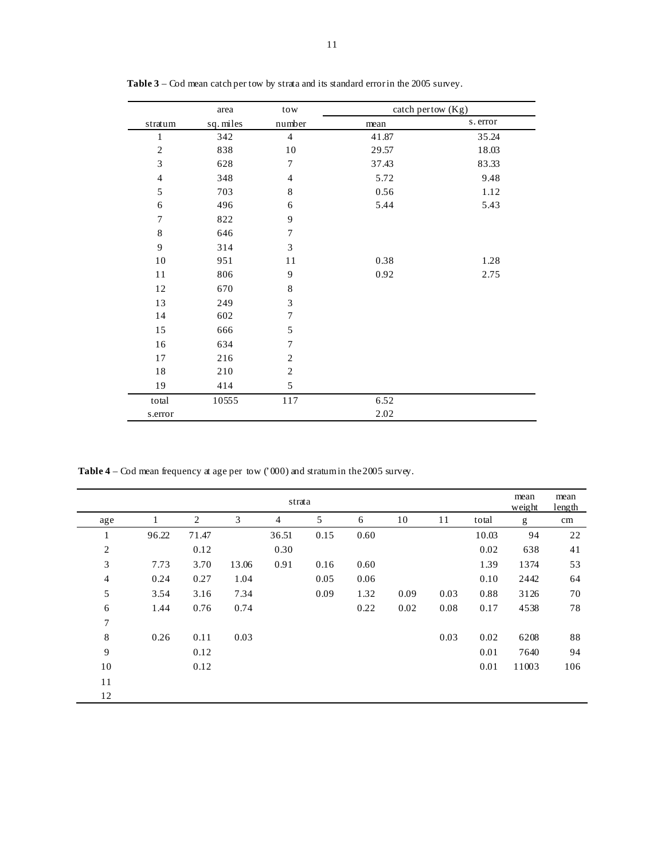|                  | area      | tow              | catch pertow (Kg) |          |
|------------------|-----------|------------------|-------------------|----------|
| stratum          | sq. miles | number           | mean              | s. error |
| 1                | 342       | $\overline{4}$   | 41.87             | 35.24    |
| $\sqrt{2}$       | 838       | 10               | 29.57             | 18.03    |
| 3                | 628       | 7                | 37.43             | 83.33    |
| $\overline{4}$   | 348       | $\overline{4}$   | 5.72              | 9.48     |
| 5                | 703       | $\,8\,$          | 0.56              | 1.12     |
| 6                | 496       | 6                | 5.44              | 5.43     |
| $\boldsymbol{7}$ | 822       | $\overline{9}$   |                   |          |
| $\,8\,$          | 646       | $\boldsymbol{7}$ |                   |          |
| $\mathbf{9}$     | 314       | 3                |                   |          |
| 10               | 951       | 11               | 0.38              | 1.28     |
| 11               | 806       | 9                | 0.92              | 2.75     |
| 12               | 670       | $\,$ 8 $\,$      |                   |          |
| 13               | 249       | 3                |                   |          |
| 14               | 602       | $\boldsymbol{7}$ |                   |          |
| 15               | 666       | 5                |                   |          |
| 16               | 634       | 7                |                   |          |
| 17               | 216       | $\overline{c}$   |                   |          |
| $18\,$           | 210       | $\sqrt{2}$       |                   |          |
| 19               | 414       | 5                |                   |          |
| total            | 10555     | 117              | 6.52              |          |
| s.error          |           |                  | 2.02              |          |

**Table 3** – Cod mean catch per tow by strata and its standard error in the 2005 survey.

Table 4 – Cod mean frequency at age per tow ('000) and stratum in the 2005 survey.

|                  |       |       |       | strata |      |      |      |      |       | mean<br>weight | mean<br>length |
|------------------|-------|-------|-------|--------|------|------|------|------|-------|----------------|----------------|
| age              |       | 2     | 3     | 4      | 5    | 6    | 10   | 11   | total | g              | cm             |
| $\mathbf{I}$     | 96.22 | 71.47 |       | 36.51  | 0.15 | 0.60 |      |      | 10.03 | 94             | 22             |
| $\overline{c}$   |       | 0.12  |       | 0.30   |      |      |      |      | 0.02  | 638            | 41             |
| 3                | 7.73  | 3.70  | 13.06 | 0.91   | 0.16 | 0.60 |      |      | 1.39  | 1374           | 53             |
| $\overline{4}$   | 0.24  | 0.27  | 1.04  |        | 0.05 | 0.06 |      |      | 0.10  | 2442           | 64             |
| 5                | 3.54  | 3.16  | 7.34  |        | 0.09 | 1.32 | 0.09 | 0.03 | 0.88  | 3126           | 70             |
| 6                | 1.44  | 0.76  | 0.74  |        |      | 0.22 | 0.02 | 0.08 | 0.17  | 4538           | 78             |
| $\boldsymbol{7}$ |       |       |       |        |      |      |      |      |       |                |                |
| 8                | 0.26  | 0.11  | 0.03  |        |      |      |      | 0.03 | 0.02  | 6208           | 88             |
| 9                |       | 0.12  |       |        |      |      |      |      | 0.01  | 7640           | 94             |
| 10               |       | 0.12  |       |        |      |      |      |      | 0.01  | 11003          | 106            |
| 11               |       |       |       |        |      |      |      |      |       |                |                |
| 12               |       |       |       |        |      |      |      |      |       |                |                |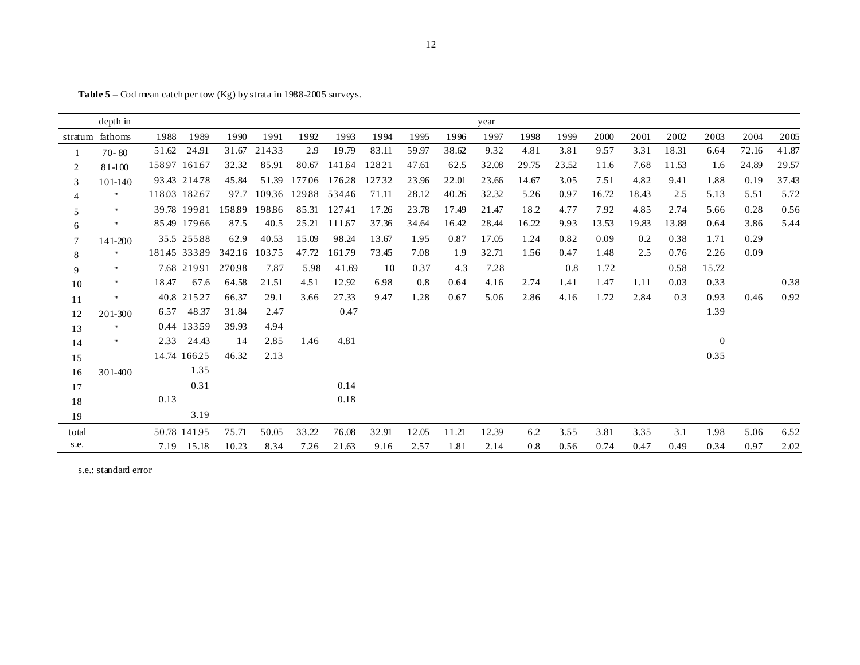|        | depth in        |       |              |        |        |        |        |       |       |       | year  |       |       |       |       |       |                |       |       |
|--------|-----------------|-------|--------------|--------|--------|--------|--------|-------|-------|-------|-------|-------|-------|-------|-------|-------|----------------|-------|-------|
|        | stratum fathoms | 1988  | 1989         | 1990   | 1991   | 1992   | 1993   | 1994  | 1995  | 1996  | 1997  | 1998  | 1999  | 2000  | 2001  | 2002  | 2003           | 2004  | 2005  |
|        | $70 - 80$       | 51.62 | 24.91        | 31.67  | 21433  | 2.9    | 19.79  | 83.11 | 59.97 | 38.62 | 9.32  | 4.81  | 3.81  | 9.57  | 3.31  | 18.31 | 6.64           | 72.16 | 41.87 |
| 2      | $81 - 100$      |       | 15897 16167  | 32.32  | 85.91  | 80.67  | 141.64 | 12821 | 47.61 | 62.5  | 32.08 | 29.75 | 23.52 | 11.6  | 7.68  | 11.53 | 1.6            | 24.89 | 29.57 |
| 3      | 101-140         |       | 93.43 214.78 | 45.84  | 51.39  | 177.06 | 17628  | 12732 | 23.96 | 22.01 | 23.66 | 14.67 | 3.05  | 7.51  | 4.82  | 9.41  | 1.88           | 0.19  | 37.43 |
| 4      | 11              |       | 11803 18267  | 97.7   | 10936  | 12988  | 534.46 | 71.11 | 28.12 | 40.26 | 32.32 | 5.26  | 0.97  | 16.72 | 18.43 | 2.5   | 5.13           | 5.51  | 5.72  |
| 5      |                 |       | 39.78 199.81 | 158.89 | 19886  | 85.31  | 127.41 | 17.26 | 23.78 | 17.49 | 21.47 | 18.2  | 4.77  | 7.92  | 4.85  | 2.74  | 5.66           | 0.28  | 0.56  |
| 6      | $\mathbf{H}$    |       | 85.49 179.66 | 87.5   | 40.5   | 25.21  | 111.67 | 37.36 | 34.64 | 16.42 | 28.44 | 16.22 | 9.93  | 13.53 | 19.83 | 13.88 | 0.64           | 3.86  | 5.44  |
| $\tau$ | 141-200         |       | 35.5 25588   | 62.9   | 40.53  | 15.09  | 98.24  | 13.67 | 1.95  | 0.87  | 17.05 | 1.24  | 0.82  | 0.09  | 0.2   | 0.38  | 1.71           | 0.29  |       |
| 8      | $\blacksquare$  |       | 18145 33389  | 342.16 | 103.75 | 47.72  | 161.79 | 73.45 | 7.08  | 1.9   | 32.71 | 1.56  | 0.47  | 1.48  | 2.5   | 0.76  | 2.26           | 0.09  |       |
| 9      | $\mathbf{H}$    |       | 7.68 21991   | 27098  | 7.87   | 5.98   | 41.69  | 10    | 0.37  | 4.3   | 7.28  |       | 0.8   | 1.72  |       | 0.58  | 15.72          |       |       |
| 10     | π.              | 18.47 | 67.6         | 64.58  | 21.51  | 4.51   | 12.92  | 6.98  | 0.8   | 0.64  | 4.16  | 2.74  | 1.41  | 1.47  | 1.11  | 0.03  | 0.33           |       | 0.38  |
| 11     | $\mathbf{H}$    |       | 40.8 21527   | 66.37  | 29.1   | 3.66   | 27.33  | 9.47  | 1.28  | 0.67  | 5.06  | 2.86  | 4.16  | 1.72  | 2.84  | 0.3   | 0.93           | 0.46  | 0.92  |
| 12     | 201-300         | 6.57  | 48.37        | 31.84  | 2.47   |        | 0.47   |       |       |       |       |       |       |       |       |       | 1.39           |       |       |
| 13     | Ħ               |       | 0.44 13359   | 39.93  | 4.94   |        |        |       |       |       |       |       |       |       |       |       |                |       |       |
| 14     |                 | 2.33  | 24.43        | 14     | 2.85   | 1.46   | 4.81   |       |       |       |       |       |       |       |       |       | $\overline{0}$ |       |       |
| 15     |                 |       | 14.74 16625  | 46.32  | 2.13   |        |        |       |       |       |       |       |       |       |       |       | 0.35           |       |       |
| 16     | 301-400         |       | 1.35         |        |        |        |        |       |       |       |       |       |       |       |       |       |                |       |       |
| 17     |                 |       | 0.31         |        |        |        | 0.14   |       |       |       |       |       |       |       |       |       |                |       |       |
| 18     |                 | 0.13  |              |        |        |        | 0.18   |       |       |       |       |       |       |       |       |       |                |       |       |
| 19     |                 |       | 3.19         |        |        |        |        |       |       |       |       |       |       |       |       |       |                |       |       |
| total  |                 |       | 50.78 14195  | 75.71  | 50.05  | 33.22  | 76.08  | 32.91 | 12.05 | 11.21 | 12.39 | 6.2   | 3.55  | 3.81  | 3.35  | 3.1   | 1.98           | 5.06  | 6.52  |
| s.e.   |                 | 7.19  | 15.18        | 10.23  | 8.34   | 7.26   | 21.63  | 9.16  | 2.57  | 1.81  | 2.14  | 0.8   | 0.56  | 0.74  | 0.47  | 0.49  | 0.34           | 0.97  | 2.02  |

**Table 5** – Cod mean catch per tow (Kg) by strata in 1988-2005 surveys.

s.e.: standard error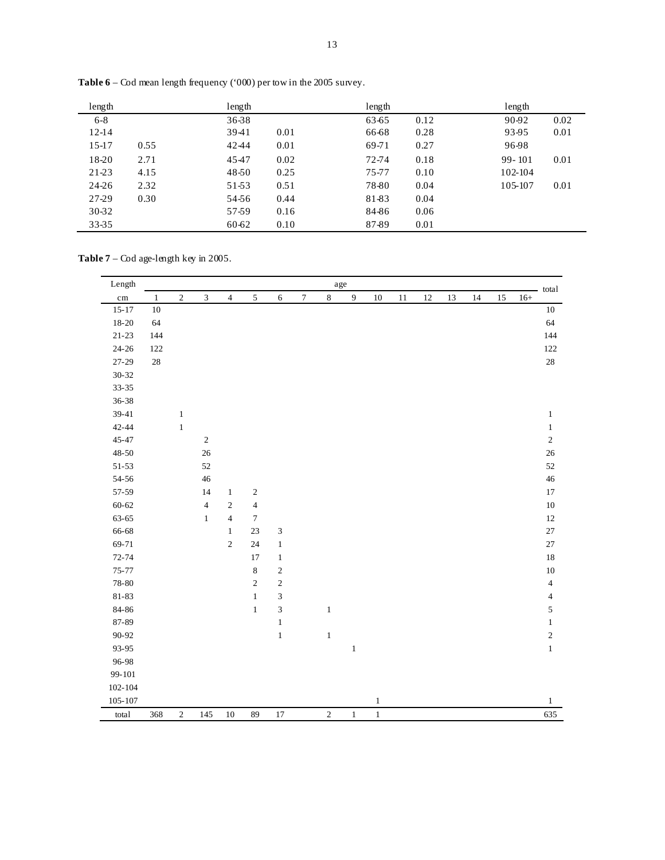| length    |      | length |      | length |      | length     |      |
|-----------|------|--------|------|--------|------|------------|------|
| $6 - 8$   |      | 36-38  |      | 63-65  | 0.12 | 90-92      | 0.02 |
| $12 - 14$ |      | 3941   | 0.01 | 66-68  | 0.28 | 93-95      | 0.01 |
| $15-17$   | 0.55 | 42-44  | 0.01 | 69-71  | 0.27 | 96-98      |      |
| 18-20     | 2.71 | 4547   | 0.02 | 72-74  | 0.18 | $99 - 101$ | 0.01 |
| 21-23     | 4.15 | 48-50  | 0.25 | 75-77  | 0.10 | 102-104    |      |
| 24-26     | 2.32 | 51-53  | 0.51 | 78-80  | 0.04 | 105-107    | 0.01 |
| 27-29     | 0.30 | 54-56  | 0.44 | 81-83  | 0.04 |            |      |
| 30-32     |      | 57-59  | 0.16 | 84-86  | 0.06 |            |      |
| 33-35     |      | 60-62  | 0.10 | 87-89  | 0.01 |            |      |

**Table 6** – Cod mean length frequency ('000) per tow in the 2005 survey.

**Table 7** – Cod age-length key in 2005.

| Length      |              |            |                |                |                  |                             |        |              | $_{\rm age}$ |              |        |        |    |    |    |       | total                   |
|-------------|--------------|------------|----------------|----------------|------------------|-----------------------------|--------|--------------|--------------|--------------|--------|--------|----|----|----|-------|-------------------------|
| $\rm cm$    | $\mathbf{1}$ | $\sqrt{2}$ | $\mathfrak{Z}$ | $\overline{4}$ | $\mathfrak{S}$   | 6                           | $\tau$ | $\,8\,$      | 9            | $10\,$       | $11\,$ | $12\,$ | 13 | 14 | 15 | $16+$ |                         |
| $15 - 17$   | $10\,$       |            |                |                |                  |                             |        |              |              |              |        |        |    |    |    |       | $10\,$                  |
| $18 - 20$   | 64           |            |                |                |                  |                             |        |              |              |              |        |        |    |    |    |       | 64                      |
| $21 - 23$   | 144          |            |                |                |                  |                             |        |              |              |              |        |        |    |    |    |       | 144                     |
| $24 - 26$   | 122          |            |                |                |                  |                             |        |              |              |              |        |        |    |    |    |       | 122                     |
| $27 - 29$   | $28\,$       |            |                |                |                  |                             |        |              |              |              |        |        |    |    |    |       | $28\,$                  |
| $30 - 32$   |              |            |                |                |                  |                             |        |              |              |              |        |        |    |    |    |       |                         |
| $33 - 35$   |              |            |                |                |                  |                             |        |              |              |              |        |        |    |    |    |       |                         |
| 36-38       |              |            |                |                |                  |                             |        |              |              |              |        |        |    |    |    |       |                         |
| $39 - 41$   |              | $\,1$      |                |                |                  |                             |        |              |              |              |        |        |    |    |    |       | $\mathbf{1}$            |
| $42 - 44$   |              | $\,1\,$    |                |                |                  |                             |        |              |              |              |        |        |    |    |    |       | $\mathbf{1}$            |
| $45 - 47$   |              |            | $\sqrt{2}$     |                |                  |                             |        |              |              |              |        |        |    |    |    |       | $\sqrt{2}$              |
| $48 - 50$   |              |            | $26\,$         |                |                  |                             |        |              |              |              |        |        |    |    |    |       | $26\,$                  |
| $51 - 53$   |              |            | 52             |                |                  |                             |        |              |              |              |        |        |    |    |    |       | 52                      |
| $54 - 56$   |              |            | 46             |                |                  |                             |        |              |              |              |        |        |    |    |    |       | $46\,$                  |
| 57-59       |              |            | 14             | $\mathbf{1}$   | $\sqrt{2}$       |                             |        |              |              |              |        |        |    |    |    |       | 17                      |
| $60 - 62$   |              |            | $\overline{4}$ | $\mathbf{2}$   | $\sqrt{4}$       |                             |        |              |              |              |        |        |    |    |    |       | $10\,$                  |
| $63 - 65$   |              |            | $\mathbf{1}$   | $\overline{4}$ | $\boldsymbol{7}$ |                             |        |              |              |              |        |        |    |    |    |       | $12\,$                  |
| 66-68       |              |            |                | $\mathbf{1}$   | $23\,$           | $\ensuremath{\mathfrak{Z}}$ |        |              |              |              |        |        |    |    |    |       | $27\,$                  |
| 69-71       |              |            |                | $\sqrt{2}$     | 24               | $\,1\,$                     |        |              |              |              |        |        |    |    |    |       | $27\,$                  |
| $72 - 74$   |              |            |                |                | 17               | $\mathbf{1}$                |        |              |              |              |        |        |    |    |    |       | 18                      |
| $75 - 77$   |              |            |                |                | $\,$ 8 $\,$      | $\sqrt{2}$                  |        |              |              |              |        |        |    |    |    |       | $10\,$                  |
| 78-80       |              |            |                |                | $\sqrt{2}$       | $\sqrt{2}$                  |        |              |              |              |        |        |    |    |    |       | $\sqrt{4}$              |
| $81 - 83$   |              |            |                |                | $\,1\,$          | $\ensuremath{\mathfrak{Z}}$ |        |              |              |              |        |        |    |    |    |       | $\overline{\mathbf{4}}$ |
| $84 - 86$   |              |            |                |                | $\,1$            | $\ensuremath{\mathfrak{Z}}$ |        | $\mathbf{1}$ |              |              |        |        |    |    |    |       | $\mathfrak s$           |
| 87-89       |              |            |                |                |                  | $\mathbf{1}$                |        |              |              |              |        |        |    |    |    |       | $\mathbf{1}$            |
| $90 - 92$   |              |            |                |                |                  | $\mathbf{1}$                |        | $\mathbf{1}$ |              |              |        |        |    |    |    |       | $\sqrt{2}$              |
| 93-95       |              |            |                |                |                  |                             |        |              | $\mathbf{1}$ |              |        |        |    |    |    |       | $\,1$                   |
| 96-98       |              |            |                |                |                  |                             |        |              |              |              |        |        |    |    |    |       |                         |
| 99-101      |              |            |                |                |                  |                             |        |              |              |              |        |        |    |    |    |       |                         |
| $102 - 104$ |              |            |                |                |                  |                             |        |              |              |              |        |        |    |    |    |       |                         |
| $105 - 107$ |              |            |                |                |                  |                             |        |              |              | $\mathbf{1}$ |        |        |    |    |    |       | $\mathbf{1}$            |
| total       | 368          | $\sqrt{2}$ | 145            | 10             | 89               | 17                          |        | $\sqrt{2}$   | $\mathbf{1}$ | $\,1$        |        |        |    |    |    |       | 635                     |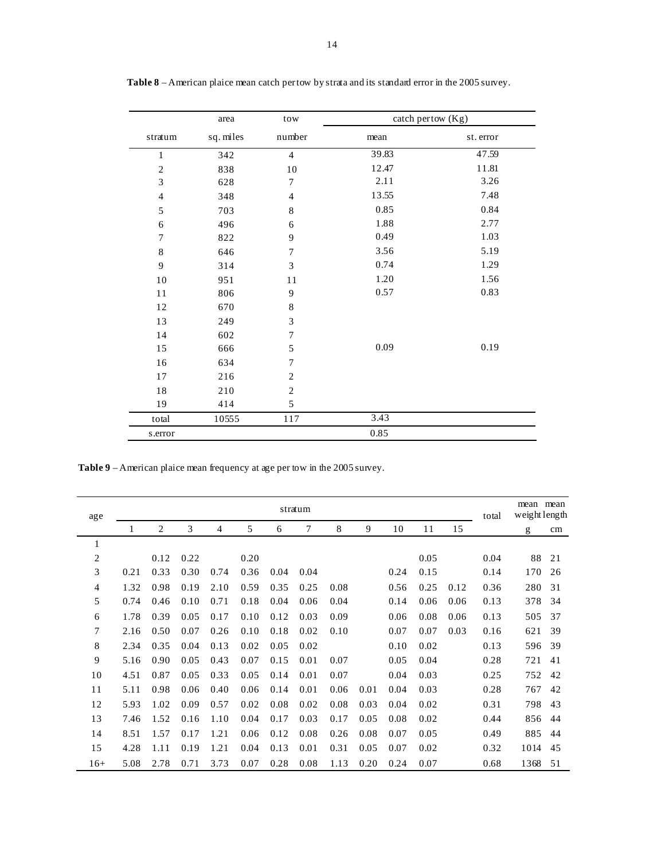|                | area      | tow              |       | catch pertow (Kg) |
|----------------|-----------|------------------|-------|-------------------|
| stratum        | sq. miles | number           | mean  | st. error         |
| $\mathbf{1}$   | 342       | $\overline{4}$   | 39.83 | 47.59             |
| $\overline{c}$ | 838       | 10               | 12.47 | 11.81             |
| 3              | 628       | $\boldsymbol{7}$ | 2.11  | 3.26              |
| $\overline{4}$ | 348       | $\overline{4}$   | 13.55 | 7.48              |
| 5              | 703       | $\,8\,$          | 0.85  | 0.84              |
| 6              | 496       | $\sqrt{6}$       | 1.88  | 2.77              |
| $\overline{7}$ | 822       | 9                | 0.49  | 1.03              |
| 8              | 646       | $\overline{7}$   | 3.56  | 5.19              |
| 9              | 314       | $\mathfrak{Z}$   | 0.74  | 1.29              |
| 10             | 951       | 11               | 1.20  | 1.56              |
| 11             | 806       | $\boldsymbol{9}$ | 0.57  | 0.83              |
| $12\,$         | 670       | $\,$ 8 $\,$      |       |                   |
| 13             | 249       | 3                |       |                   |
| 14             | 602       | $\overline{7}$   |       |                   |
| 15             | 666       | 5                | 0.09  | 0.19              |
| 16             | 634       | $\boldsymbol{7}$ |       |                   |
| $17$           | 216       | $\sqrt{2}$       |       |                   |
| 18             | 210       | $\sqrt{2}$       |       |                   |
| 19             | 414       | $\sqrt{5}$       |       |                   |
| total          | 10555     | 117              | 3.43  |                   |
| s.error        |           |                  | 0.85  |                   |

**Table 8** – American plaice mean catch per tow by strata and its standard error in the 2005 survey.

**Table 9** – American plaice mean frequency at age per tow in the 2005 survey.

| age   |      |      |      |      |      |      | stratum |      |      |      |      |      | total | mean mean<br>weight length |    |
|-------|------|------|------|------|------|------|---------|------|------|------|------|------|-------|----------------------------|----|
|       |      | 2    | 3    | 4    | 5    | 6    | 7       | 8    | 9    | 10   | 11   | 15   |       | g                          | cm |
| 1     |      |      |      |      |      |      |         |      |      |      |      |      |       |                            |    |
| 2     |      | 0.12 | 0.22 |      | 0.20 |      |         |      |      |      | 0.05 |      | 0.04  | 88                         | 21 |
| 3     | 0.21 | 0.33 | 0.30 | 0.74 | 0.36 | 0.04 | 0.04    |      |      | 0.24 | 0.15 |      | 0.14  | 170                        | 26 |
| 4     | 1.32 | 0.98 | 0.19 | 2.10 | 0.59 | 0.35 | 0.25    | 0.08 |      | 0.56 | 0.25 | 0.12 | 0.36  | 280                        | 31 |
| 5     | 0.74 | 0.46 | 0.10 | 0.71 | 0.18 | 0.04 | 0.06    | 0.04 |      | 0.14 | 0.06 | 0.06 | 0.13  | 378                        | 34 |
| 6     | 1.78 | 0.39 | 0.05 | 0.17 | 0.10 | 0.12 | 0.03    | 0.09 |      | 0.06 | 0.08 | 0.06 | 0.13  | 505                        | 37 |
| 7     | 2.16 | 0.50 | 0.07 | 0.26 | 0.10 | 0.18 | 0.02    | 0.10 |      | 0.07 | 0.07 | 0.03 | 0.16  | 621                        | 39 |
| 8     | 2.34 | 0.35 | 0.04 | 0.13 | 0.02 | 0.05 | 0.02    |      |      | 0.10 | 0.02 |      | 0.13  | 596                        | 39 |
| 9     | 5.16 | 0.90 | 0.05 | 0.43 | 0.07 | 0.15 | 0.01    | 0.07 |      | 0.05 | 0.04 |      | 0.28  | 721                        | 41 |
| 10    | 4.51 | 0.87 | 0.05 | 0.33 | 0.05 | 0.14 | 0.01    | 0.07 |      | 0.04 | 0.03 |      | 0.25  | 752                        | 42 |
| 11    | 5.11 | 0.98 | 0.06 | 0.40 | 0.06 | 0.14 | 0.01    | 0.06 | 0.01 | 0.04 | 0.03 |      | 0.28  | 767                        | 42 |
| 12    | 5.93 | 1.02 | 0.09 | 0.57 | 0.02 | 0.08 | 0.02    | 0.08 | 0.03 | 0.04 | 0.02 |      | 0.31  | 798                        | 43 |
| 13    | 7.46 | 1.52 | 0.16 | 1.10 | 0.04 | 0.17 | 0.03    | 0.17 | 0.05 | 0.08 | 0.02 |      | 0.44  | 856                        | 44 |
| 14    | 8.51 | 1.57 | 0.17 | 1.21 | 0.06 | 0.12 | 0.08    | 0.26 | 0.08 | 0.07 | 0.05 |      | 0.49  | 885                        | 44 |
| 15    | 4.28 | 1.11 | 0.19 | 1.21 | 0.04 | 0.13 | 0.01    | 0.31 | 0.05 | 0.07 | 0.02 |      | 0.32  | 1014                       | 45 |
| $16+$ | 5.08 | 2.78 | 0.71 | 3.73 | 0.07 | 0.28 | 0.08    | 1.13 | 0.20 | 0.24 | 0.07 |      | 0.68  | 1368                       | 51 |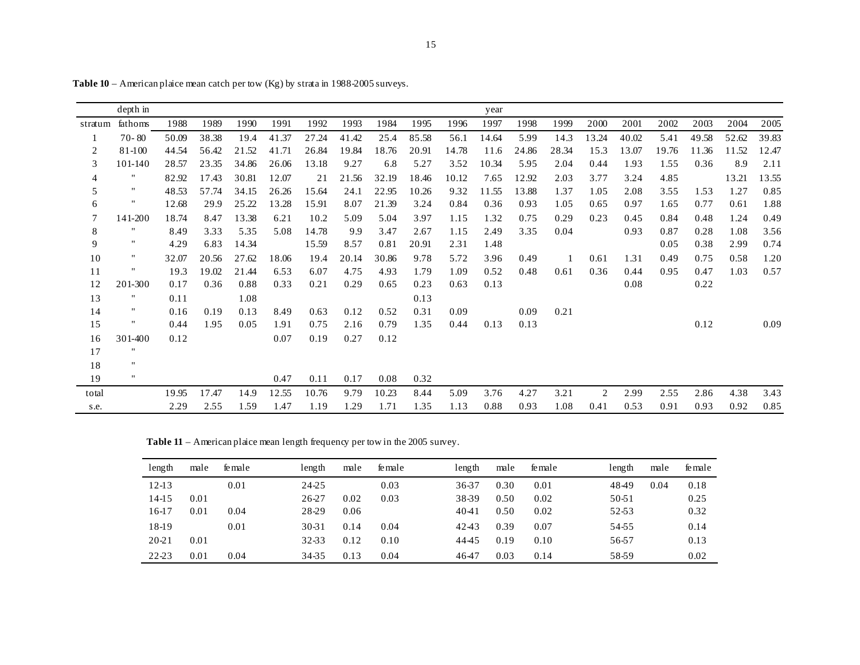|         | depth in           |       |       |       |       |       |       |       |       |       | year  |       |       |       |       |       |       |       |       |
|---------|--------------------|-------|-------|-------|-------|-------|-------|-------|-------|-------|-------|-------|-------|-------|-------|-------|-------|-------|-------|
| stratum | fathoms            | 1988  | 1989  | 1990  | 1991  | 1992  | 1993  | 1984  | 1995  | 1996  | 1997  | 1998  | 1999  | 2000  | 2001  | 2002  | 2003  | 2004  | 2005  |
|         | $70 - 80$          | 50.09 | 38.38 | 19.4  | 41.37 | 27.24 | 41.42 | 25.4  | 85.58 | 56.1  | 14.64 | 5.99  | 14.3  | 13.24 | 40.02 | 5.41  | 49.58 | 52.62 | 39.83 |
| 2       | $81 - 100$         | 44.54 | 56.42 | 21.52 | 41.71 | 26.84 | 19.84 | 18.76 | 20.91 | 14.78 | 11.6  | 24.86 | 28.34 | 15.3  | 13.07 | 19.76 | 11.36 | 11.52 | 12.47 |
| 3       | 101-140            | 28.57 | 23.35 | 34.86 | 26.06 | 13.18 | 9.27  | 6.8   | 5.27  | 3.52  | 10.34 | 5.95  | 2.04  | 0.44  | 1.93  | 1.55  | 0.36  | 8.9   | 2.11  |
| 4       | $\pmb{\mathsf{H}}$ | 82.92 | 17.43 | 30.81 | 12.07 | 21    | 21.56 | 32.19 | 18.46 | 10.12 | 7.65  | 12.92 | 2.03  | 3.77  | 3.24  | 4.85  |       | 13.21 | 13.55 |
| 5       | $^{\prime\prime}$  | 48.53 | 57.74 | 34.15 | 26.26 | 15.64 | 24.1  | 22.95 | 10.26 | 9.32  | 11.55 | 13.88 | 1.37  | 1.05  | 2.08  | 3.55  | 1.53  | 1.27  | 0.85  |
| 6       | $^{\prime\prime}$  | 12.68 | 29.9  | 25.22 | 13.28 | 15.91 | 8.07  | 21.39 | 3.24  | 0.84  | 0.36  | 0.93  | 1.05  | 0.65  | 0.97  | 1.65  | 0.77  | 0.61  | 1.88  |
| 7       | 141-200            | 18.74 | 8.47  | 13.38 | 6.21  | 10.2  | 5.09  | 5.04  | 3.97  | 1.15  | 1.32  | 0.75  | 0.29  | 0.23  | 0.45  | 0.84  | 0.48  | 1.24  | 0.49  |
| 8       | $^{\prime\prime}$  | 8.49  | 3.33  | 5.35  | 5.08  | 14.78 | 9.9   | 3.47  | 2.67  | 1.15  | 2.49  | 3.35  | 0.04  |       | 0.93  | 0.87  | 0.28  | 1.08  | 3.56  |
| 9       | $\pmb{\mathsf{H}}$ | 4.29  | 6.83  | 14.34 |       | 15.59 | 8.57  | 0.81  | 20.91 | 2.31  | 1.48  |       |       |       |       | 0.05  | 0.38  | 2.99  | 0.74  |
| 10      | ,,                 | 32.07 | 20.56 | 27.62 | 18.06 | 19.4  | 20.14 | 30.86 | 9.78  | 5.72  | 3.96  | 0.49  |       | 0.61  | 1.31  | 0.49  | 0.75  | 0.58  | 1.20  |
| 11      | $\pmb{\mathsf{H}}$ | 19.3  | 19.02 | 21.44 | 6.53  | 6.07  | 4.75  | 4.93  | 1.79  | 1.09  | 0.52  | 0.48  | 0.61  | 0.36  | 0.44  | 0.95  | 0.47  | 1.03  | 0.57  |
| 12      | 201-300            | 0.17  | 0.36  | 0.88  | 0.33  | 0.21  | 0.29  | 0.65  | 0.23  | 0.63  | 0.13  |       |       |       | 0.08  |       | 0.22  |       |       |
| 13      | $\pmb{\mathsf{H}}$ | 0.11  |       | 1.08  |       |       |       |       | 0.13  |       |       |       |       |       |       |       |       |       |       |
| 14      | $\pmb{\mathsf{H}}$ | 0.16  | 0.19  | 0.13  | 8.49  | 0.63  | 0.12  | 0.52  | 0.31  | 0.09  |       | 0.09  | 0.21  |       |       |       |       |       |       |
| 15      | $\pmb{\mathsf{H}}$ | 0.44  | 1.95  | 0.05  | 1.91  | 0.75  | 2.16  | 0.79  | 1.35  | 0.44  | 0.13  | 0.13  |       |       |       |       | 0.12  |       | 0.09  |
| 16      | 301-400            | 0.12  |       |       | 0.07  | 0.19  | 0.27  | 0.12  |       |       |       |       |       |       |       |       |       |       |       |
| 17      | ,,                 |       |       |       |       |       |       |       |       |       |       |       |       |       |       |       |       |       |       |
| 18      | $^{\prime\prime}$  |       |       |       |       |       |       |       |       |       |       |       |       |       |       |       |       |       |       |
| 19      | $\pmb{\mathsf{H}}$ |       |       |       | 0.47  | 0.11  | 0.17  | 0.08  | 0.32  |       |       |       |       |       |       |       |       |       |       |
| total   |                    | 19.95 | 17.47 | 14.9  | 12.55 | 10.76 | 9.79  | 10.23 | 8.44  | 5.09  | 3.76  | 4.27  | 3.21  | 2     | 2.99  | 2.55  | 2.86  | 4.38  | 3.43  |
| s.e.    |                    | 2.29  | 2.55  | 1.59  | 1.47  | 1.19  | 1.29  | 1.71  | 1.35  | 1.13  | 0.88  | 0.93  | 1.08  | 0.41  | 0.53  | 0.91  | 0.93  | 0.92  | 0.85  |

**Table 10** – American plaice mean catch per tow (Kg) by strata in 1988-2005 surveys.

**Table 11** – American plaice mean length frequency per tow in the 2005 survey.

| length    | male | female | length    | male | fe male | length | male | fe male | length | male | fe male |
|-----------|------|--------|-----------|------|---------|--------|------|---------|--------|------|---------|
| $12 - 13$ |      | 0.01   | 24-25     |      | 0.03    | 36-37  | 0.30 | 0.01    | 4849   | 0.04 | 0.18    |
| $14-15$   | 0.01 |        | 26-27     | 0.02 | 0.03    | 38-39  | 0.50 | 0.02    | 50-51  |      | 0.25    |
| 16-17     | 0.01 | 0.04   | 28-29     | 0.06 |         | 4041   | 0.50 | 0.02    | 52-53  |      | 0.32    |
| 18-19     |      | 0.01   | $30 - 31$ | 0.14 | 0.04    | 4243   | 0.39 | 0.07    | 54-55  |      | 0.14    |
| $20 - 21$ | 0.01 |        | 32-33     | 0.12 | 0.10    | 4445   | 0.19 | 0.10    | 56-57  |      | 0.13    |
| 22-23     | 0.01 | 0.04   | 34-35     | 0.13 | 0.04    | 4647   | 0.03 | 0.14    | 58-59  |      | 0.02    |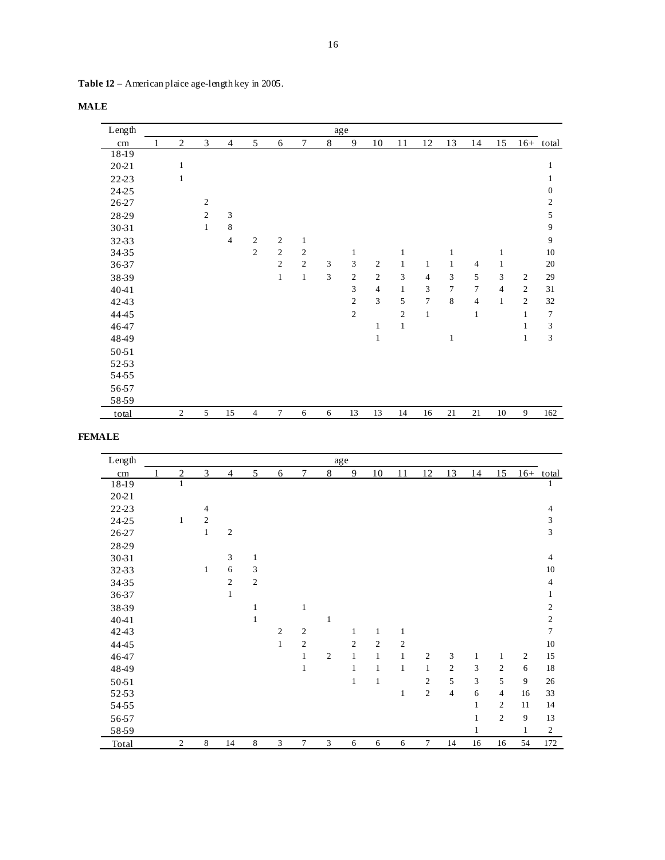| Table 12 – American plaice age-length key in 2005. |  |
|----------------------------------------------------|--|
|----------------------------------------------------|--|

| Length    |                |                |                |                |                |                |   | age            |                |                |                |                |                |                |                |                |
|-----------|----------------|----------------|----------------|----------------|----------------|----------------|---|----------------|----------------|----------------|----------------|----------------|----------------|----------------|----------------|----------------|
| cm        | $\overline{2}$ | 3              | $\overline{4}$ | 5              | 6              | 7              | 8 | 9              | 10             | 11             | 12             | 13             | 14             | 15             |                | $16+$ total    |
| 18-19     |                |                |                |                |                |                |   |                |                |                |                |                |                |                |                |                |
| $20 - 21$ | $\mathbf{1}$   |                |                |                |                |                |   |                |                |                |                |                |                |                |                | $\mathbf{1}$   |
| 22-23     | $\mathbf{1}$   |                |                |                |                |                |   |                |                |                |                |                |                |                |                | 1              |
| 24-25     |                |                |                |                |                |                |   |                |                |                |                |                |                |                |                | $\theta$       |
| 26-27     |                | $\overline{2}$ |                |                |                |                |   |                |                |                |                |                |                |                |                | $\overline{2}$ |
| 28-29     |                | $\mathfrak{2}$ | 3              |                |                |                |   |                |                |                |                |                |                |                |                | $\sqrt{5}$     |
| 30-31     |                | $\mathbf{1}$   | $\,$ 8 $\,$    |                |                |                |   |                |                |                |                |                |                |                |                | 9              |
| 32-33     |                |                | $\overline{4}$ | $\overline{2}$ | $\overline{2}$ | $\mathbf{1}$   |   |                |                |                |                |                |                |                |                | 9              |
| 34-35     |                |                |                | $\overline{c}$ | $\sqrt{2}$     | $\mathfrak{2}$ |   | $\mathbf{1}$   |                | $\mathbf{1}$   |                | $\mathbf{1}$   |                | 1              |                | 10             |
| 36-37     |                |                |                |                | $\sqrt{2}$     | $\overline{2}$ | 3 | 3              | $\overline{2}$ | $\mathbf{1}$   | $\mathbf{1}$   | $\mathbf{1}$   | $\overline{4}$ | 1              |                | 20             |
| 38-39     |                |                |                |                | $\mathbf{1}$   | $\mathbf{1}$   | 3 | $\overline{c}$ | $\overline{c}$ | $\overline{3}$ | $\overline{4}$ | 3              | 5              | 3              | $\overline{2}$ | 29             |
| 4041      |                |                |                |                |                |                |   | 3              | $\overline{4}$ | $\mathbf{1}$   | 3              | $\overline{7}$ | 7              | $\overline{4}$ | 2              | 31             |
| 4243      |                |                |                |                |                |                |   | $\overline{c}$ | $\overline{3}$ | 5              | $\overline{7}$ | 8              | $\overline{4}$ | 1              | 2              | 32             |
| 4445      |                |                |                |                |                |                |   | $\overline{c}$ |                | $\overline{c}$ | $\mathbf{1}$   |                | $\mathbf{1}$   |                | 1              | 7              |
| 4647      |                |                |                |                |                |                |   |                | 1              | $\mathbf{1}$   |                |                |                |                | 1              | $\mathfrak{Z}$ |
| 4849      |                |                |                |                |                |                |   |                | $\mathbf{1}$   |                |                | 1              |                |                | 1              | 3              |
| 50-51     |                |                |                |                |                |                |   |                |                |                |                |                |                |                |                |                |
| 52-53     |                |                |                |                |                |                |   |                |                |                |                |                |                |                |                |                |
| 54-55     |                |                |                |                |                |                |   |                |                |                |                |                |                |                |                |                |
| 56-57     |                |                |                |                |                |                |   |                |                |                |                |                |                |                |                |                |
| 58-59     |                |                |                |                |                |                |   |                |                |                |                |                |                |                |                |                |
| total     | $\mathfrak{2}$ | 5              | 15             | $\overline{4}$ | 7              | 6              | 6 | 13             | 13             | 14             | 16             | 21             | 21             | 10             | 9              | 162            |

## **FEMALE**

| Length    |                |                |                |                |                |                |                | age          |                |                |                |                |    |                |                |                |
|-----------|----------------|----------------|----------------|----------------|----------------|----------------|----------------|--------------|----------------|----------------|----------------|----------------|----|----------------|----------------|----------------|
| cm        | $\overline{2}$ | 3              | $\overline{4}$ | 5              | 6              | $\tau$         | $8\,$          | 9            | 10             | 11             | 12             | 13             | 14 | 15             |                | $16+$ total    |
| 18-19     | $\mathbf{1}$   |                |                |                |                |                |                |              |                |                |                |                |    |                |                | 1              |
| $20 - 21$ |                |                |                |                |                |                |                |              |                |                |                |                |    |                |                |                |
| 22-23     |                | $\overline{4}$ |                |                |                |                |                |              |                |                |                |                |    |                |                | 4              |
| 24-25     | $\mathbf{1}$   | $\overline{2}$ |                |                |                |                |                |              |                |                |                |                |    |                |                | 3              |
| 26-27     |                | $\mathbf{1}$   | $\overline{c}$ |                |                |                |                |              |                |                |                |                |    |                |                | 3              |
| 28-29     |                |                |                |                |                |                |                |              |                |                |                |                |    |                |                |                |
| 30-31     |                |                | 3              | 1              |                |                |                |              |                |                |                |                |    |                |                | $\overline{4}$ |
| 32-33     |                | $\mathbf{1}$   | 6              | 3              |                |                |                |              |                |                |                |                |    |                |                | 10             |
| 34-35     |                |                | $\overline{2}$ | $\overline{2}$ |                |                |                |              |                |                |                |                |    |                |                | $\overline{4}$ |
| 36-37     |                |                | $\mathbf{1}$   |                |                |                |                |              |                |                |                |                |    |                |                | 1              |
| 38-39     |                |                |                | $\mathbf{1}$   |                | $\mathbf{1}$   |                |              |                |                |                |                |    |                |                | $\mathfrak{2}$ |
| 4041      |                |                |                | 1              |                |                | 1              |              |                |                |                |                |    |                |                | $\mathfrak{2}$ |
| 4243      |                |                |                |                | $\overline{2}$ | $\overline{2}$ |                | 1            | 1              | 1              |                |                |    |                |                | $\tau$         |
| 4445      |                |                |                |                | $\mathbf{1}$   | $\overline{c}$ |                | 2            | $\overline{c}$ | $\mathfrak{2}$ |                |                |    |                |                | 10             |
| 4647      |                |                |                |                |                | $\mathbf{1}$   | $\overline{c}$ | $\mathbf{1}$ | $\mathbf{1}$   | $\mathbf{1}$   | 2              | 3              | 1  | 1              | $\overline{2}$ | 15             |
| 4849      |                |                |                |                |                | $\mathbf{1}$   |                | 1            | 1              | $\mathbf{1}$   | $\mathbf{1}$   | $\overline{c}$ | 3  | 2              | 6              | 18             |
| 50-51     |                |                |                |                |                |                |                | $\mathbf{1}$ | $\mathbf{1}$   |                | 2              | 5              | 3  | 5              | 9              | 26             |
| 52-53     |                |                |                |                |                |                |                |              |                | $\mathbf{1}$   | $\overline{2}$ | $\overline{4}$ | 6  | $\overline{4}$ | 16             | 33             |
| 54-55     |                |                |                |                |                |                |                |              |                |                |                |                | 1  | $\mathfrak{2}$ | 11             | 14             |
| 56-57     |                |                |                |                |                |                |                |              |                |                |                |                | 1  | $\overline{c}$ | 9              | 13             |
| 58-59     |                |                |                |                |                |                |                |              |                |                |                |                | 1  |                | $\mathbf{1}$   | $\sqrt{2}$     |
| Total     | $\sqrt{2}$     | $\,$ 8 $\,$    | 14             | 8              | 3              | 7              | 3              | 6            | 6              | 6              | $\tau$         | 14             | 16 | 16             | 54             | 172            |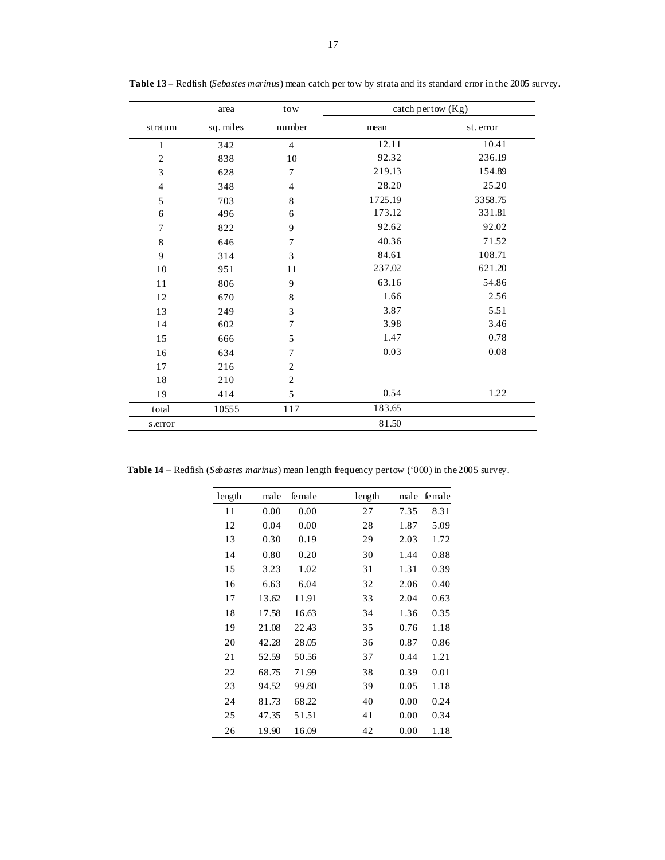|                         | area      | tow            | catch pertow $(Kg)$ |           |
|-------------------------|-----------|----------------|---------------------|-----------|
| stratum                 | sq. miles | number         | mean                | st. error |
| 1                       | 342       | $\overline{4}$ | 12.11               | 10.41     |
| $\mathbf{2}$            | 838       | 10             | 92.32               | 236.19    |
| 3                       | 628       | $\overline{7}$ | 219.13              | 154.89    |
| $\overline{\mathbf{4}}$ | 348       | $\overline{4}$ | 28.20               | 25.20     |
| 5                       | 703       | 8              | 1725.19             | 3358.75   |
| 6                       | 496       | 6              | 173.12              | 331.81    |
| 7                       | 822       | 9              | 92.62               | 92.02     |
| $\,8\,$                 | 646       | 7              | 40.36               | 71.52     |
| 9                       | 314       | 3              | 84.61               | 108.71    |
| 10                      | 951       | 11             | 237.02              | 621.20    |
| 11                      | 806       | 9              | 63.16               | 54.86     |
| 12                      | 670       | 8              | 1.66                | 2.56      |
| 13                      | 249       | 3              | 3.87                | 5.51      |
| 14                      | 602       | 7              | 3.98                | 3.46      |
| 15                      | 666       | 5              | 1.47                | 0.78      |
| 16                      | 634       | 7              | 0.03                | $0.08\,$  |
| 17                      | 216       | $\overline{2}$ |                     |           |
| 18                      | 210       | $\overline{2}$ |                     |           |
| 19                      | 414       | 5              | 0.54                | 1.22      |
| total                   | 10555     | 117            | 183.65              |           |
| s.error                 |           |                | 81.50               |           |

 **Table 13** – Redfish (*Sebastes marinus*) mean catch per tow by strata and its standard error in the 2005 survey.

**Table 14** – Redfish (*Sebastes marinus*) mean length frequency per tow ('000) in the 2005 survey.

| length | male  | fe male | length | male | female |
|--------|-------|---------|--------|------|--------|
| 11     | 0.00  | 0.00    | 27     | 7.35 | 8.31   |
| 12     | 0.04  | 0.00    | 28     | 1.87 | 5.09   |
| 13     | 0.30  | 0.19    | 29     | 2.03 | 1.72   |
| 14     | 0.80  | 0.20    | 30     | 1.44 | 0.88   |
| 15     | 3.23  | 1.02    | 31     | 1.31 | 0.39   |
| 16     | 6.63  | 6.04    | 32     | 2.06 | 0.40   |
| 17     | 13.62 | 11.91   | 33     | 2.04 | 0.63   |
| 18     | 17.58 | 16.63   | 34     | 1.36 | 0.35   |
| 19     | 21.08 | 22.43   | 35     | 0.76 | 1.18   |
| 20     | 42.28 | 28.05   | 36     | 0.87 | 0.86   |
| 21     | 52.59 | 50.56   | 37     | 0.44 | 1.21   |
| 22     | 68.75 | 71.99   | 38     | 0.39 | 0.01   |
| 23     | 94.52 | 99.80   | 39     | 0.05 | 1.18   |
| 24     | 81.73 | 68.22   | 40     | 0.00 | 0.24   |
| 25     | 47.35 | 51.51   | 41     | 0.00 | 0.34   |
| 26     | 19.90 | 16.09   | 42     | 0.00 | 1.18   |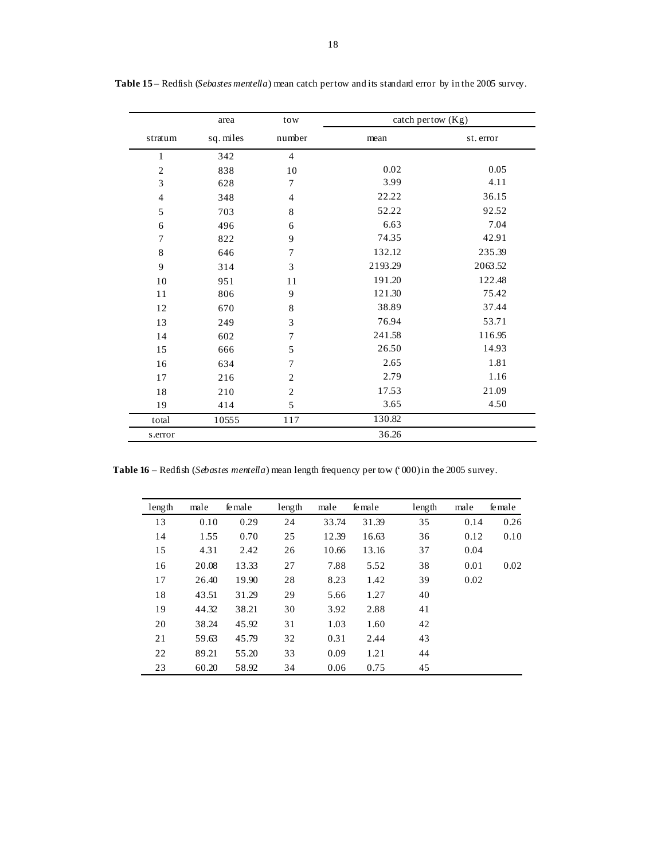|                             | area      | tow            | catch pertow $(Kg)$ |           |
|-----------------------------|-----------|----------------|---------------------|-----------|
| stratum                     | sq. miles | number         | mean                | st. error |
| 1                           | 342       | $\overline{4}$ |                     |           |
| $\sqrt{2}$                  | 838       | 10             | 0.02                | 0.05      |
| $\ensuremath{\mathfrak{Z}}$ | 628       | 7              | 3.99                | 4.11      |
| $\overline{4}$              | 348       | $\overline{4}$ | 22.22               | 36.15     |
| 5                           | 703       | $\,8\,$        | 52.22               | 92.52     |
| 6                           | 496       | 6              | 6.63                | 7.04      |
| 7                           | 822       | 9              | 74.35               | 42.91     |
| 8                           | 646       | 7              | 132.12              | 235.39    |
| 9                           | 314       | 3              | 2193.29             | 2063.52   |
| 10                          | 951       | 11             | 191.20              | 122.48    |
| 11                          | 806       | 9              | 121.30              | 75.42     |
| 12                          | 670       | 8              | 38.89               | 37.44     |
| 13                          | 249       | 3              | 76.94               | 53.71     |
| 14                          | 602       | 7              | 241.58              | 116.95    |
| 15                          | 666       | 5              | 26.50               | 14.93     |
| 16                          | 634       | 7              | 2.65                | 1.81      |
| 17                          | 216       | $\sqrt{2}$     | 2.79                | 1.16      |
| 18                          | 210       | $\sqrt{2}$     | 17.53               | 21.09     |
| 19                          | 414       | 5              | 3.65                | 4.50      |
| total                       | 10555     | 117            | 130.82              |           |
| s.error                     |           |                | 36.26               |           |

 **Table 15** – Redfish (*Sebastes mentella*) mean catch per tow and its standard error by in the 2005 survey.

**Table 16** – Redfish (*Sebastes mentella*) mean length frequency per tow ('000) in the 2005 survey.

| length | male  | fe male | length | male  | fe male | length | male | female |
|--------|-------|---------|--------|-------|---------|--------|------|--------|
| 13     | 0.10  | 0.29    | 24     | 33.74 | 31.39   | 35     | 0.14 | 0.26   |
| 14     | 1.55  | 0.70    | 25     | 12.39 | 16.63   | 36     | 0.12 | 0.10   |
| 15     | 4.31  | 2.42    | 26     | 10.66 | 13.16   | 37     | 0.04 |        |
| 16     | 20.08 | 13.33   | 27     | 7.88  | 5.52    | 38     | 0.01 | 0.02   |
| 17     | 26.40 | 19.90   | 28     | 8.23  | 1.42    | 39     | 0.02 |        |
| 18     | 43.51 | 31.29   | 29     | 5.66  | 1.27    | 40     |      |        |
| 19     | 44.32 | 38.21   | 30     | 3.92  | 2.88    | 41     |      |        |
| 20     | 38.24 | 45.92   | 31     | 1.03  | 1.60    | 42     |      |        |
| 21     | 59.63 | 45.79   | 32     | 0.31  | 2.44    | 43     |      |        |
| 22     | 89.21 | 55.20   | 33     | 0.09  | 1.21    | 44     |      |        |
| 23     | 60.20 | 58.92   | 34     | 0.06  | 0.75    | 45     |      |        |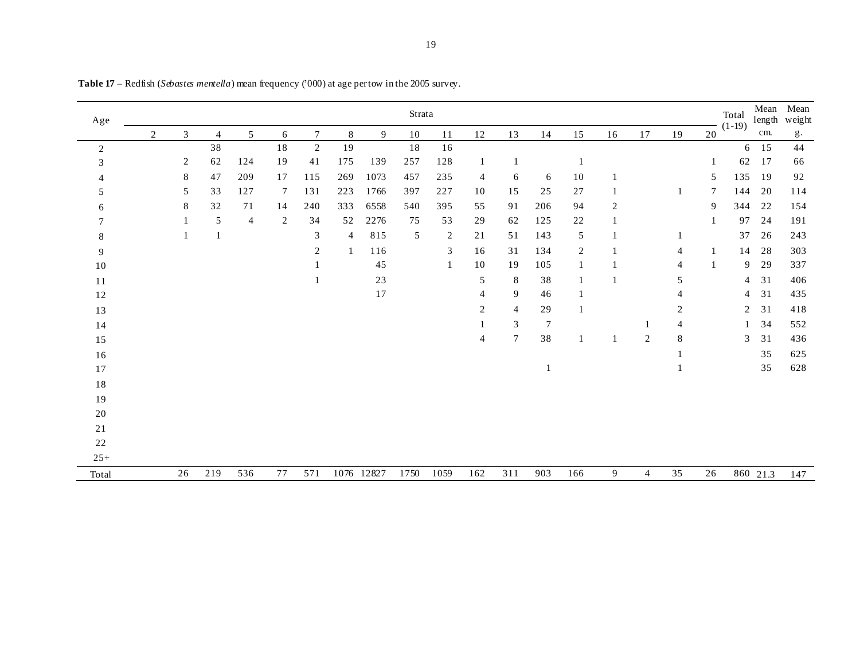| Age    |   |              |                |                |    |                |     |            | Strata |                |                |                |                |     |                |                |    |              | Total<br>$(1-19)$ | Mean<br>length | Mean<br>weight |
|--------|---|--------------|----------------|----------------|----|----------------|-----|------------|--------|----------------|----------------|----------------|----------------|-----|----------------|----------------|----|--------------|-------------------|----------------|----------------|
|        | 2 | 3            | $\overline{4}$ | 5              | 6  | $\overline{7}$ | 8   | 9          | 10     | 11             | 12             | 13             | 14             | 15  | 16             | 17             | 19 | 20           |                   | cm.            | g.             |
| 2      |   |              | 38             |                | 18 | $\overline{2}$ | 19  |            | $18\,$ | 16             |                |                |                |     |                |                |    |              |                   | $6 \t15$       | 44             |
| 3      |   | 2            | 62             | 124            | 19 | 41             | 175 | 139        | 257    | 128            |                |                |                |     |                |                |    |              | 62                | 17             | 66             |
|        |   | 8            | 47             | 209            | 17 | 115            | 269 | 1073       | 457    | 235            | 4              | 6              | 6              | 10  |                |                |    | 5            | 135               | 19             | 92             |
| 5      |   | 5            | 33             | 127            | 7  | 131            | 223 | 1766       | 397    | 227            | 10             | 15             | 25             | 27  | 1              |                | 1  | 7            | 144               | 20             | 114            |
| 6      |   | 8            | 32             | 71             | 14 | 240            | 333 | 6558       | 540    | 395            | 55             | 91             | 206            | 94  | $\overline{c}$ |                |    | 9            | 344               | 22             | 154            |
|        |   |              | $\sqrt{5}$     | $\overline{4}$ | 2  | 34             | 52  | 2276       | 75     | 53             | 29             | 62             | 125            | 22  | 1              |                |    |              | 97                | 24             | 191            |
| 8      |   | $\mathbf{1}$ | $\mathbf{1}$   |                |    | 3              | 4   | 815        | 5      | $\overline{c}$ | 21             | 51             | 143            | 5   |                |                |    |              | 37                | 26             | 243            |
| 9      |   |              |                |                |    | 2              |     | 116        |        | 3              | 16             | 31             | 134            | 2   |                |                | 4  | $\mathbf{1}$ | 14                | 28             | 303            |
| $10\,$ |   |              |                |                |    |                |     | 45         |        | $\mathbf{1}$   | 10             | 19             | 105            |     |                |                | 4  |              | 9                 | 29             | 337            |
| 11     |   |              |                |                |    |                |     | 23         |        |                | 5              | $\,8\,$        | 38             |     |                |                | 5  |              | 4                 | 31             | 406            |
| 12     |   |              |                |                |    |                |     | 17         |        |                | $\overline{4}$ | 9              | 46             |     |                |                | 4  |              | 4                 | 31             | 435            |
| 13     |   |              |                |                |    |                |     |            |        |                | 2              | 4              | 29             |     |                |                | 2  |              | 2                 | 31             | 418            |
| 14     |   |              |                |                |    |                |     |            |        |                |                | 3              | $\overline{7}$ |     |                |                | 4  |              |                   | 34             | 552            |
| 15     |   |              |                |                |    |                |     |            |        |                | $\overline{4}$ | $\overline{7}$ | 38             |     |                | $\overline{c}$ | 8  |              | 3                 | 31             | 436            |
| 16     |   |              |                |                |    |                |     |            |        |                |                |                |                |     |                |                |    |              |                   | 35             | 625            |
| 17     |   |              |                |                |    |                |     |            |        |                |                |                |                |     |                |                |    |              |                   | 35             | 628            |
| $1\,8$ |   |              |                |                |    |                |     |            |        |                |                |                |                |     |                |                |    |              |                   |                |                |
| 19     |   |              |                |                |    |                |     |            |        |                |                |                |                |     |                |                |    |              |                   |                |                |
| $20\,$ |   |              |                |                |    |                |     |            |        |                |                |                |                |     |                |                |    |              |                   |                |                |
| 21     |   |              |                |                |    |                |     |            |        |                |                |                |                |     |                |                |    |              |                   |                |                |
| 22     |   |              |                |                |    |                |     |            |        |                |                |                |                |     |                |                |    |              |                   |                |                |
| $25+$  |   |              |                |                |    |                |     |            |        |                |                |                |                |     |                |                |    |              |                   |                |                |
| Total  |   | 26           | 219            | 536            | 77 | 571            |     | 1076 12827 | 1750   | 1059           | 162            | 311            | 903            | 166 | 9              | $\overline{4}$ | 35 | 26           |                   | 860 21.3       | 147            |

**Table 17** – Redfish (*Sebastes mentella*) mean frequency ('000) at age per tow in the 2005 survey.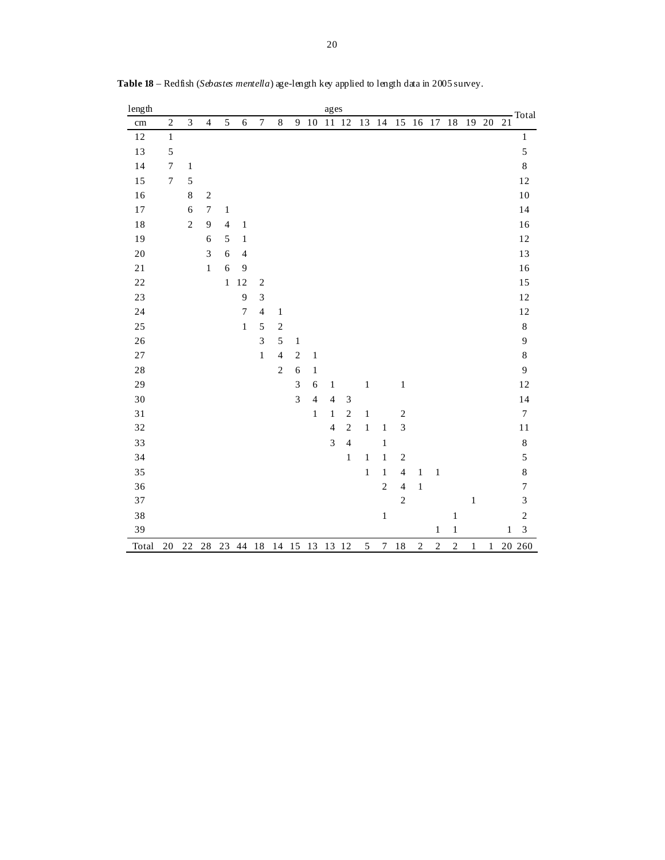| length      |                  |                |                |                |                  |                  |                |                |                          | ages                     |                |         |                  |                  |            |            |                |              |              | - Total                |
|-------------|------------------|----------------|----------------|----------------|------------------|------------------|----------------|----------------|--------------------------|--------------------------|----------------|---------|------------------|------------------|------------|------------|----------------|--------------|--------------|------------------------|
| cm          | $\overline{c}$   | $\mathfrak{Z}$ | $\overline{4}$ | 5              | 6                | $\boldsymbol{7}$ | $\,$ 8 $\,$    | 9              | 10                       | 11 12                    |                | 13      | 14               | 15               |            | 16 17      | 18             |              | 19 20        | 21                     |
| 12          | $\,1$            |                |                |                |                  |                  |                |                |                          |                          |                |         |                  |                  |            |            |                |              |              | $\,1$                  |
| 13          | 5                |                |                |                |                  |                  |                |                |                          |                          |                |         |                  |                  |            |            |                |              |              | 5                      |
| 14          | $\sqrt{ }$       | $\,1\,$        |                |                |                  |                  |                |                |                          |                          |                |         |                  |                  |            |            |                |              |              | 8                      |
| 15          | $\boldsymbol{7}$ | 5              |                |                |                  |                  |                |                |                          |                          |                |         |                  |                  |            |            |                |              |              | 12                     |
| $16$        |                  | 8              | $\overline{c}$ |                |                  |                  |                |                |                          |                          |                |         |                  |                  |            |            |                |              |              | $10\,$                 |
| $17\,$      |                  | $\sqrt{6}$     | $\tau$         | $\,1$          |                  |                  |                |                |                          |                          |                |         |                  |                  |            |            |                |              |              | 14                     |
| $1\,8$      |                  | $\sqrt{2}$     | $\mathbf{9}$   | $\overline{4}$ | $\,1$            |                  |                |                |                          |                          |                |         |                  |                  |            |            |                |              |              | 16                     |
| 19          |                  |                | 6              | $\sqrt{5}$     | $\,1$            |                  |                |                |                          |                          |                |         |                  |                  |            |            |                |              |              | 12                     |
| $20\,$      |                  |                | 3              | 6              | $\overline{4}$   |                  |                |                |                          |                          |                |         |                  |                  |            |            |                |              |              | 13                     |
| $2\sqrt{1}$ |                  |                | $\,1$          | 6              | 9                |                  |                |                |                          |                          |                |         |                  |                  |            |            |                |              |              | 16                     |
| $2\sqrt{2}$ |                  |                |                | $\,1$          | 12               | $\sqrt{2}$       |                |                |                          |                          |                |         |                  |                  |            |            |                |              |              | 15                     |
| 23          |                  |                |                |                | 9                | $\mathfrak{Z}$   |                |                |                          |                          |                |         |                  |                  |            |            |                |              |              | 12                     |
| 24          |                  |                |                |                | $\boldsymbol{7}$ | $\overline{4}$   | $\,1\,$        |                |                          |                          |                |         |                  |                  |            |            |                |              |              | 12                     |
| 25          |                  |                |                |                | $\,1$            | 5                | $\sqrt{2}$     |                |                          |                          |                |         |                  |                  |            |            |                |              |              | $\,$ 8 $\,$            |
| 26          |                  |                |                |                |                  | $\overline{3}$   | 5              | $\mathbf{1}$   |                          |                          |                |         |                  |                  |            |            |                |              |              | $\overline{9}$         |
| $27\,$      |                  |                |                |                |                  | $\,1$            | $\overline{4}$ | $\sqrt{2}$     | $\,1\,$                  |                          |                |         |                  |                  |            |            |                |              |              | $\,8$                  |
| $2\sqrt{8}$ |                  |                |                |                |                  |                  | $\sqrt{2}$     | $\epsilon$     | $\,1\,$                  |                          |                |         |                  |                  |            |            |                |              |              | 9                      |
| 29          |                  |                |                |                |                  |                  |                | 3              | 6                        | $\mathbf{1}$             |                | $\,1\,$ |                  | $\,1\,$          |            |            |                |              |              | 12                     |
| 30          |                  |                |                |                |                  |                  |                | $\overline{3}$ | $\overline{\mathcal{L}}$ | $\overline{4}$           | $\sqrt{3}$     |         |                  |                  |            |            |                |              |              | 14                     |
| $3\sqrt{1}$ |                  |                |                |                |                  |                  |                |                | $\,1\,$                  | $\,1$                    | $\sqrt{2}$     | $\,1$   |                  | $\boldsymbol{2}$ |            |            |                |              |              | $\boldsymbol{7}$       |
| 32          |                  |                |                |                |                  |                  |                |                |                          | $\overline{\mathcal{L}}$ | $\sqrt{2}$     | $\,1\,$ | $\mathbf{1}$     | 3                |            |            |                |              |              | $1\,1$                 |
| 33          |                  |                |                |                |                  |                  |                |                |                          | 3                        | $\overline{4}$ |         | $\mathbf{1}$     |                  |            |            |                |              |              | $\,$ 8 $\,$            |
| 34          |                  |                |                |                |                  |                  |                |                |                          |                          | $\mathbf{1}$   | $\,1$   | $\,1\,$          | $\sqrt{2}$       |            |            |                |              |              | 5                      |
| 35          |                  |                |                |                |                  |                  |                |                |                          |                          |                | $\,1$   | $\,1$            | $\overline{4}$   | $\,1\,$    | $\,1\,$    |                |              |              | $\,8$                  |
| 36          |                  |                |                |                |                  |                  |                |                |                          |                          |                |         | $\overline{c}$   | $\overline{4}$   | $\,1\,$    |            |                |              |              | $\sqrt{ }$             |
| 37          |                  |                |                |                |                  |                  |                |                |                          |                          |                |         |                  | $\overline{c}$   |            |            |                | $\mathbf{1}$ |              | 3                      |
| 38          |                  |                |                |                |                  |                  |                |                |                          |                          |                |         | $\,1$            |                  |            |            | $\,1\,$        |              |              | $\overline{c}$         |
| 39          |                  |                |                |                |                  |                  |                |                |                          |                          |                |         |                  |                  |            | $\,1$      | $\,1$          |              |              | $\mathfrak 3$<br>$\,1$ |
| Total       | $20\,$           | 22             | $2\sqrt{8}$    |                | 23 44            | 18               | 14 15 13       |                |                          | 13                       | 12             | 5       | $\boldsymbol{7}$ | 18               | $\sqrt{2}$ | $\sqrt{2}$ | $\overline{c}$ | $\,1$        | $\mathbf{1}$ | 20 260                 |

**Table 18** – Redfish (*Sebastes mentella*) age-length key applied to length data in 2005 survey.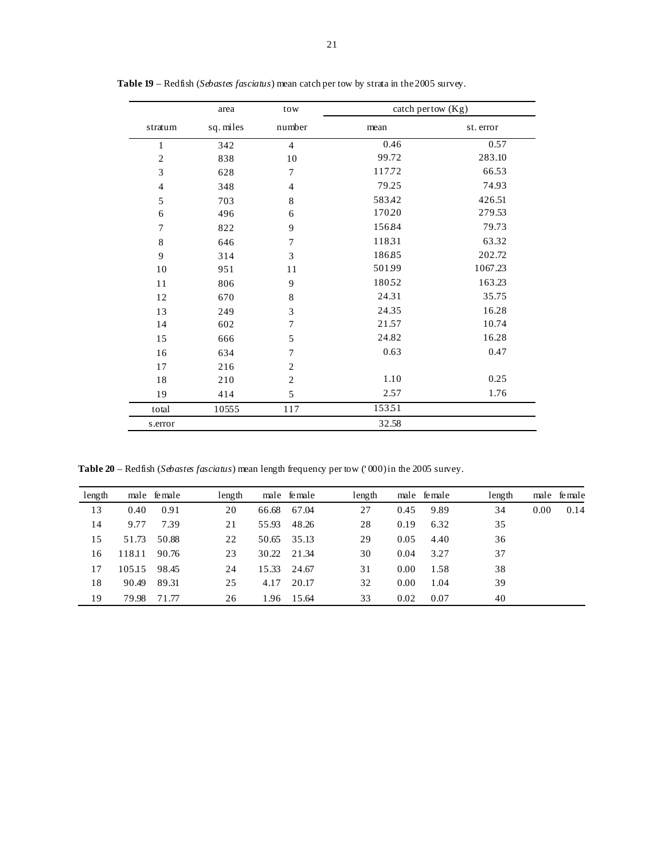|                | area      | tow              | catch pertow (Kg) |           |
|----------------|-----------|------------------|-------------------|-----------|
| stratum        | sq. miles | number           | mean              | st. error |
| 1              | 342       | $\overline{4}$   | 0.46              | 0.57      |
| $\mathfrak{2}$ | 838       | 10               | 99.72             | 283.10    |
| 3              | 628       | 7                | 117.72            | 66.53     |
| $\overline{4}$ | 348       | $\overline{4}$   | 79.25             | 74.93     |
| 5              | 703       | $\,8\,$          | 583.42            | 426.51    |
| 6              | 496       | 6                | 17020             | 279.53    |
| $\overline{7}$ | 822       | 9                | 15684             | 79.73     |
| $\,$ 8 $\,$    | 646       | $\sqrt{ }$       | 11831             | 63.32     |
| 9              | 314       | 3                | 18685             | 202.72    |
| 10             | 951       | 11               | 50199             | 1067.23   |
| 11             | 806       | 9                | 18052             | 163.23    |
| 12             | 670       | $\,8$            | 24.31             | 35.75     |
| 13             | 249       | 3                | 24.35             | 16.28     |
| 14             | 602       | $\boldsymbol{7}$ | 21.57             | 10.74     |
| 15             | 666       | 5                | 24.82             | 16.28     |
| 16             | 634       | $\overline{7}$   | 0.63              | 0.47      |
| 17             | 216       | $\overline{2}$   |                   |           |
| 18             | 210       | $\overline{c}$   | 1.10              | 0.25      |
| 19             | 414       | 5                | 2.57              | 1.76      |
| total          | 10555     | 117              | 15351             |           |
| s.error        |           |                  | 32.58             |           |

**Table 19** – Redfish (*Sebastes fasciatus*) mean catch per tow by strata in the 2005 survey.

**Table 20** – Redfish (*Sebastes fasciatus*) mean length frequency per tow ('000) in the 2005 survey.

| length |        | male female | length      | male female    | length |      | male female | length     | male female |
|--------|--------|-------------|-------------|----------------|--------|------|-------------|------------|-------------|
| 13     | 0.40   | 0.91        | 20<br>66.68 | 67.04          | 27     | 0.45 | 9.89        | 34<br>0.00 | 0.14        |
| 14     | 9.77   | 7.39        | 55.93<br>21 | 48.26          | 28     | 0.19 | 6.32        | 35         |             |
| 15     | 51.73  | 50.88       | 22          | 35.13<br>50.65 | 29     | 0.05 | 4.40        | 36         |             |
| 16     | 118.11 | 90.76       | 23          | 30.22<br>21.34 | 30     | 0.04 | 3.27        | 37         |             |
| 17     | 105.15 | 98.45       | 15.33<br>24 | 24.67          | 31     | 0.00 | 1.58        | 38         |             |
| 18     | 90.49  | 89.31       | 25          | 20.17<br>4.17  | 32     | 0.00 | 1.04        | 39         |             |
| 19     | 79.98  | 71.77       | 26          | 1.96 15.64     | 33     | 0.02 | 0.07        | 40         |             |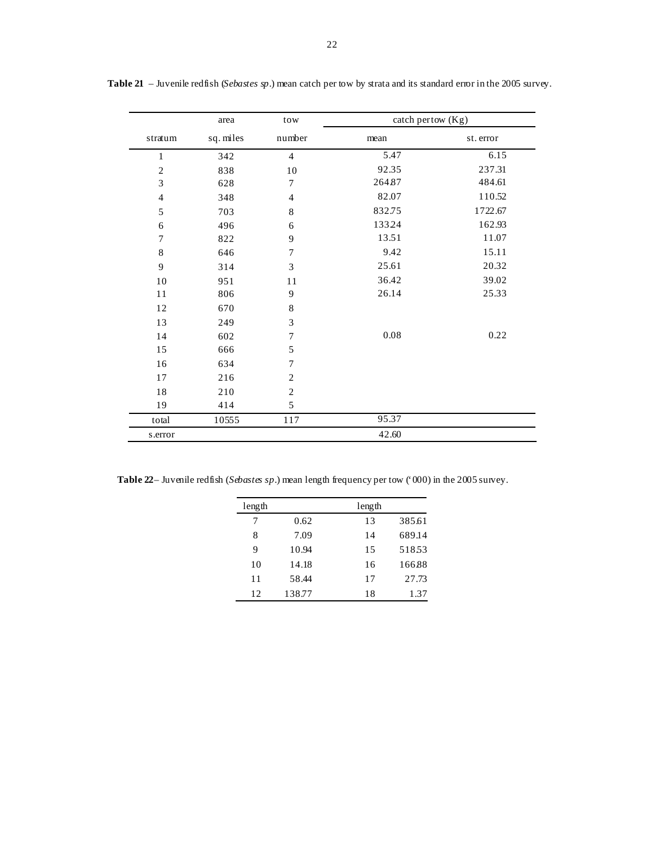|                             | area      | tow              | catch pertow $(Kg)$ |           |
|-----------------------------|-----------|------------------|---------------------|-----------|
| stratum                     | sq. miles | number           | mean                | st. error |
| $\mathbf{1}$                | 342       | $\overline{4}$   | 5.47                | 6.15      |
| $\mathfrak{2}$              | 838       | 10               | 92.35               | 237.31    |
| $\ensuremath{\mathfrak{Z}}$ | 628       | 7                | 26487               | 484.61    |
| $\overline{4}$              | 348       | $\overline{4}$   | 82.07               | 110.52    |
| 5                           | 703       | $\,$ 8 $\,$      | 832.75              | 1722.67   |
| 6                           | 496       | 6                | 13324               | 162.93    |
| $\overline{7}$              | 822       | 9                | 13.51               | 11.07     |
| $\,8\,$                     | 646       | $\sqrt{ }$       | 9.42                | 15.11     |
| 9                           | 314       | $\mathfrak{Z}$   | 25.61               | 20.32     |
| 10                          | 951       | 11               | 36.42               | 39.02     |
| 11                          | 806       | 9                | 26.14               | 25.33     |
| 12                          | 670       | 8                |                     |           |
| 13                          | 249       | 3                |                     |           |
| 14                          | 602       | $\boldsymbol{7}$ | $0.08\,$            | 0.22      |
| 15                          | 666       | 5                |                     |           |
| 16                          | 634       | 7                |                     |           |
| 17                          | 216       | $\mathfrak{2}$   |                     |           |
| 18                          | 210       | $\sqrt{2}$       |                     |           |
| 19                          | 414       | 5                |                     |           |
| total                       | 10555     | 117              | 95.37               |           |
| s.error                     |           |                  | 42.60               |           |

**Table 21** – Juvenile redfish (*Sebastes sp*.) mean catch per tow by strata and its standard error in the 2005 survey.

**Table 22**– Juvenile redfish (*Sebastes sp*.) mean length frequency per tow ('000) in the 2005 survey.

| length |        | length |        |
|--------|--------|--------|--------|
| 7      | 0.62   | 13     | 38561  |
| 8      | 7.09   | 14     | 689.14 |
| 9      | 10.94  | 15     | 51853  |
| 10     | 14.18  | 16     | 16688  |
| 11     | 58.44  | 17     | 27.73  |
| 12     | 138.77 | 18     | 1.37   |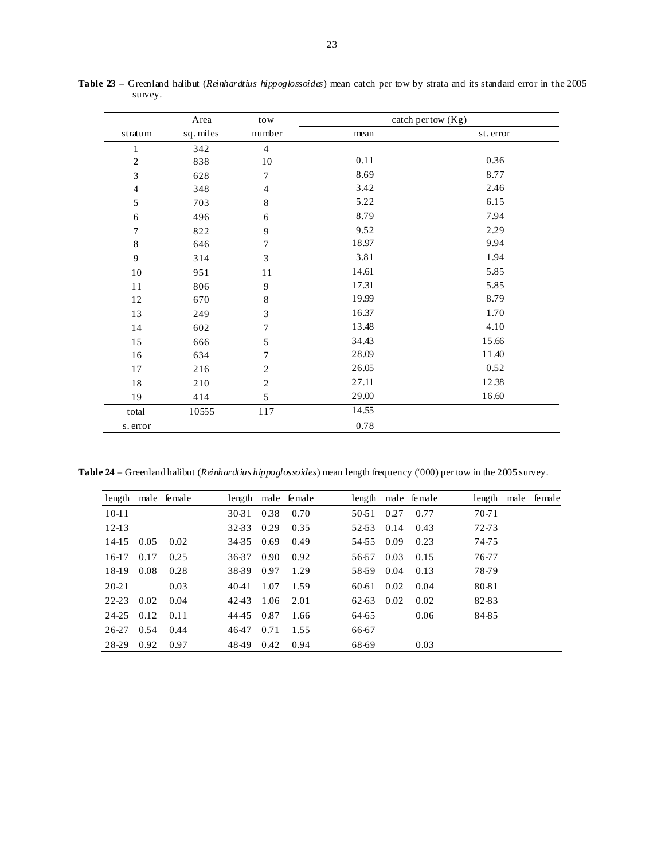|                  | Area      | tow            |       | catch pertow (Kg) |
|------------------|-----------|----------------|-------|-------------------|
| stratum          | sq. miles | number         | mean  | st. error         |
| $\mathbf{1}$     | 342       | $\overline{4}$ |       |                   |
| $\sqrt{2}$       | 838       | $10\,$         | 0.11  | 0.36              |
| $\mathfrak{Z}$   | 628       | $\overline{7}$ | 8.69  | 8.77              |
| $\overline{4}$   | 348       | $\overline{4}$ | 3.42  | 2.46              |
| $\sqrt{5}$       | 703       | $\,8\,$        | 5.22  | 6.15              |
| 6                | 496       | 6              | 8.79  | 7.94              |
| $\boldsymbol{7}$ | 822       | 9              | 9.52  | 2.29              |
| $\,8\,$          | 646       | 7              | 18.97 | 9.94              |
| 9                | 314       | 3              | 3.81  | 1.94              |
| $10\,$           | 951       | 11             | 14.61 | 5.85              |
| 11               | 806       | 9              | 17.31 | 5.85              |
| 12               | 670       | 8              | 19.99 | 8.79              |
| 13               | 249       | 3              | 16.37 | 1.70              |
| 14               | 602       | $\overline{7}$ | 13.48 | 4.10              |
| 15               | 666       | $\sqrt{5}$     | 34.43 | 15.66             |
| 16               | 634       | $\tau$         | 28.09 | 11.40             |
| $17\,$           | 216       | $\mathbf{2}$   | 26.05 | 0.52              |
| $18\,$           | 210       | $\overline{2}$ | 27.11 | 12.38             |
| 19               | 414       | 5              | 29.00 | 16.60             |
| total            | 10555     | 117            | 14.55 |                   |
| s. error         |           |                | 0.78  |                   |

**Table 23** – Greenland halibut (*Reinhardtius hippoglossoides*) mean catch per tow by strata and its standard error in the 2005 survey.

**Table 24** – Greenland halibut (*Reinhardtius hippoglossoides*) mean length frequency ('000) per tow in the 2005 survey.

|         |      | length male female |       |      | length male female |         |      | length male female | length | male female |
|---------|------|--------------------|-------|------|--------------------|---------|------|--------------------|--------|-------------|
| $10-11$ |      |                    | 30-31 | 0.38 | 0.70               | $50-51$ | 0.27 | 0.77               | 70-71  |             |
| $12-13$ |      |                    | 32-33 | 0.29 | 0.35               | 52-53   | 0.14 | 0.43               | 72-73  |             |
| 14-15   | 0.05 | 0.02               | 34-35 | 0.69 | 0.49               | 54-55   | 0.09 | 0.23               | 74-75  |             |
| $16-17$ | 0.17 | 0.25               | 36-37 | 0.90 | 0.92               | 56-57   | 0.03 | 0.15               | 76-77  |             |
| 18-19   | 0.08 | 0.28               | 38-39 | 0.97 | 1.29               | 58-59   | 0.04 | 0.13               | 78-79  |             |
| 20-21   |      | 0.03               | 40-41 | 1.07 | 1.59               | 60-61   | 0.02 | 0.04               | 80-81  |             |
| 22-23   | 0.02 | 0.04               | 4243  | 1.06 | 2.01               | 62-63   | 0.02 | 0.02               | 82-83  |             |
| 24-25   | 0.12 | 0.11               | 4445  | 0.87 | 1.66               | 64-65   |      | 0.06               | 84-85  |             |
| 26-27   | 0.54 | 0.44               | 4647  | 0.71 | 1.55               | 66-67   |      |                    |        |             |
| 28-29   | 0.92 | 0.97               | 4849  | 0.42 | 0.94               | 68-69   |      | 0.03               |        |             |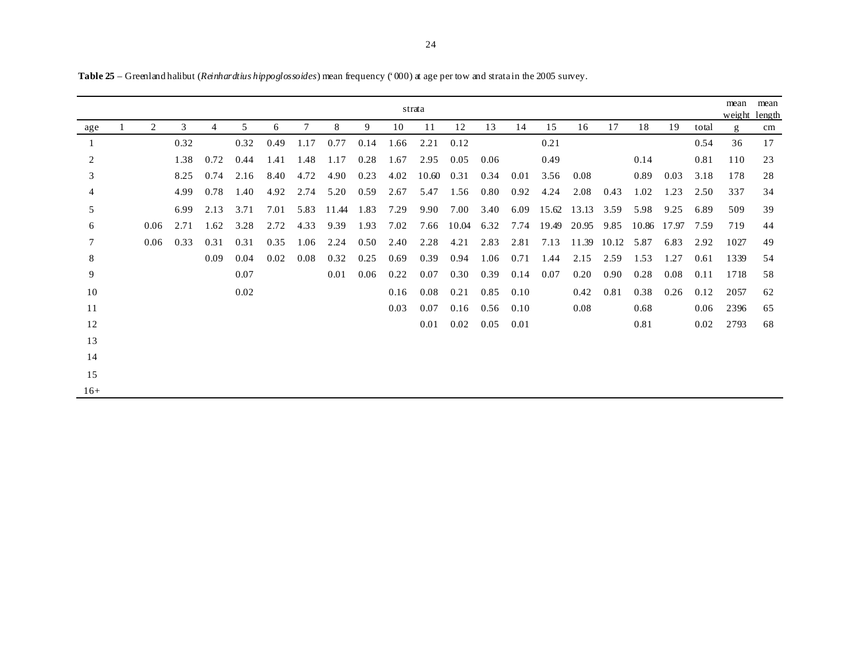|       |      |      |                |      |      |      |       |      |      | strata |       |      |      |       |             |       |       |       |       | mean<br>weight length | mean |
|-------|------|------|----------------|------|------|------|-------|------|------|--------|-------|------|------|-------|-------------|-------|-------|-------|-------|-----------------------|------|
| age   | 2    | 3    | $\overline{4}$ | 5    | 6    | 7    | 8     | 9    | 10   | 11     | 12    | 13   | 14   | 15    | 16          | 17    | 18    | 19    | total | g                     | cm   |
|       |      | 0.32 |                | 0.32 | 0.49 | 1.17 | 0.77  | 0.14 | 1.66 | 2.21   | 0.12  |      |      | 0.21  |             |       |       |       | 0.54  | 36                    | 17   |
| 2     |      | 1.38 | 0.72           | 0.44 | 1.41 | 1.48 | 1.17  | 0.28 | 1.67 | 2.95   | 0.05  | 0.06 |      | 0.49  |             |       | 0.14  |       | 0.81  | 110                   | 23   |
| 3     |      | 8.25 | 0.74           | 2.16 | 8.40 | 4.72 | 4.90  | 0.23 | 4.02 | 10.60  | 0.31  | 0.34 | 0.01 | 3.56  | 0.08        |       | 0.89  | 0.03  | 3.18  | 178                   | 28   |
| 4     |      | 4.99 | 0.78           | 1.40 | 4.92 | 2.74 | 5.20  | 0.59 | 2.67 | 5.47   | 1.56  | 0.80 | 0.92 | 4.24  | 2.08        | 0.43  | 1.02  | 1.23  | 2.50  | 337                   | 34   |
| 5     |      | 6.99 | 2.13           | 3.71 | 7.01 | 5.83 | 11.44 | 1.83 | 7.29 | 9.90   | 7.00  | 3.40 | 6.09 |       | 15.62 13.13 | 3.59  | 5.98  | 9.25  | 6.89  | 509                   | 39   |
| 6     | 0.06 | 2.71 | 1.62           | 3.28 | 2.72 | 4.33 | 9.39  | 1.93 | 7.02 | 7.66   | 10.04 | 6.32 | 7.74 | 19.49 | 20.95       | 9.85  | 10.86 | 17.97 | 7.59  | 719                   | 44   |
| 7     | 0.06 | 0.33 | 0.31           | 0.31 | 0.35 | 1.06 | 2.24  | 0.50 | 2.40 | 2.28   | 4.21  | 2.83 | 2.81 | 7.13  | 11.39       | 10.12 | 5.87  | 6.83  | 2.92  | 1027                  | 49   |
| 8     |      |      | 0.09           | 0.04 | 0.02 | 0.08 | 0.32  | 0.25 | 0.69 | 0.39   | 0.94  | 1.06 | 0.71 | 1.44  | 2.15        | 2.59  | 1.53  | 1.27  | 0.61  | 1339                  | 54   |
| 9     |      |      |                | 0.07 |      |      | 0.01  | 0.06 | 0.22 | 0.07   | 0.30  | 0.39 | 0.14 | 0.07  | 0.20        | 0.90  | 0.28  | 0.08  | 0.11  | 1718                  | 58   |
| 10    |      |      |                | 0.02 |      |      |       |      | 0.16 | 0.08   | 0.21  | 0.85 | 0.10 |       | 0.42        | 0.81  | 0.38  | 0.26  | 0.12  | 2057                  | 62   |
| 11    |      |      |                |      |      |      |       |      | 0.03 | 0.07   | 0.16  | 0.56 | 0.10 |       | 0.08        |       | 0.68  |       | 0.06  | 2396                  | 65   |
| 12    |      |      |                |      |      |      |       |      |      | 0.01   | 0.02  | 0.05 | 0.01 |       |             |       | 0.81  |       | 0.02  | 2793                  | 68   |
| 13    |      |      |                |      |      |      |       |      |      |        |       |      |      |       |             |       |       |       |       |                       |      |
| 14    |      |      |                |      |      |      |       |      |      |        |       |      |      |       |             |       |       |       |       |                       |      |
| 15    |      |      |                |      |      |      |       |      |      |        |       |      |      |       |             |       |       |       |       |                       |      |
| $16+$ |      |      |                |      |      |      |       |      |      |        |       |      |      |       |             |       |       |       |       |                       |      |

**Table 25** – Greenland halibut (*Reinhardtius hippoglossoides*) mean frequency ('000) at age per tow and strata in the 2005 survey.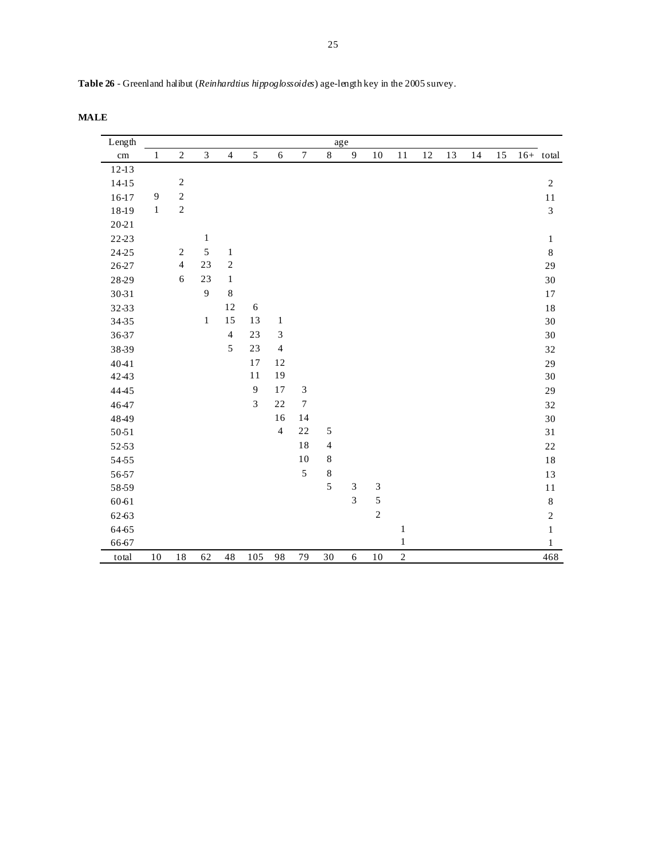| Table 26 - Greenland halibut (Reinhardtius hippoglossoides) age-length key in the 2005 survey. |  |  |  |
|------------------------------------------------------------------------------------------------|--|--|--|
|------------------------------------------------------------------------------------------------|--|--|--|

**MALE** 

| Length    |              |                |                |                |        |                |                             |                | age                         |                |              |    |    |    |    |                |
|-----------|--------------|----------------|----------------|----------------|--------|----------------|-----------------------------|----------------|-----------------------------|----------------|--------------|----|----|----|----|----------------|
| $\rm cm$  | $\mathbf{1}$ | $\overline{2}$ | $\overline{3}$ | $\overline{4}$ | 5      | 6              | $\boldsymbol{7}$            | $\,8\,$        | $\overline{9}$              | $10\,$         | 11           | 12 | 13 | 14 | 15 | $16+$ total    |
| $12-13$   |              |                |                |                |        |                |                             |                |                             |                |              |    |    |    |    |                |
| $14-15$   |              | $\sqrt{2}$     |                |                |        |                |                             |                |                             |                |              |    |    |    |    | $\sqrt{2}$     |
| $16-17$   | 9            | $\sqrt{2}$     |                |                |        |                |                             |                |                             |                |              |    |    |    |    | 11             |
| 18-19     | $\mathbf{1}$ | $\sqrt{2}$     |                |                |        |                |                             |                |                             |                |              |    |    |    |    | $\overline{3}$ |
| $20 - 21$ |              |                |                |                |        |                |                             |                |                             |                |              |    |    |    |    |                |
| 22-23     |              |                | $\mathbf 1$    |                |        |                |                             |                |                             |                |              |    |    |    |    | $\mathbf{1}$   |
| 24-25     |              | $\overline{2}$ | $\sqrt{5}$     | $\mathbf{1}$   |        |                |                             |                |                             |                |              |    |    |    |    | $\,8\,$        |
| 26-27     |              | $\overline{4}$ | 23             | $\sqrt{2}$     |        |                |                             |                |                             |                |              |    |    |    |    | 29             |
| 28-29     |              | 6              | 23             | $\mathbf{1}$   |        |                |                             |                |                             |                |              |    |    |    |    | 30             |
| 30-31     |              |                | 9              | 8              |        |                |                             |                |                             |                |              |    |    |    |    | 17             |
| 32-33     |              |                |                | 12             | 6      |                |                             |                |                             |                |              |    |    |    |    | 18             |
| 34-35     |              |                | $\mathbf{1}$   | 15             | 13     | $\mathbf{1}$   |                             |                |                             |                |              |    |    |    |    | $30\,$         |
| 36-37     |              |                |                | $\overline{4}$ | 23     | $\mathfrak{Z}$ |                             |                |                             |                |              |    |    |    |    | 30             |
| 38-39     |              |                |                | 5              | 23     | $\overline{4}$ |                             |                |                             |                |              |    |    |    |    | 32             |
| 4041      |              |                |                |                | 17     | 12             |                             |                |                             |                |              |    |    |    |    | 29             |
| 4243      |              |                |                |                | $1\,1$ | 19             |                             |                |                             |                |              |    |    |    |    | 30             |
| 4445      |              |                |                |                | 9      | 17             | $\ensuremath{\mathfrak{Z}}$ |                |                             |                |              |    |    |    |    | 29             |
| 4647      |              |                |                |                | 3      | 22             | $\tau$                      |                |                             |                |              |    |    |    |    | 32             |
| 4849      |              |                |                |                |        | 16             | 14                          |                |                             |                |              |    |    |    |    | 30             |
| 50-51     |              |                |                |                |        | $\overline{4}$ | 22                          | $\sqrt{5}$     |                             |                |              |    |    |    |    | 31             |
| 52-53     |              |                |                |                |        |                | $1\,8$                      | $\overline{4}$ |                             |                |              |    |    |    |    | $2\sqrt{2}$    |
| 54-55     |              |                |                |                |        |                | $10\,$                      | $\,8$          |                             |                |              |    |    |    |    | $18\,$         |
| 56-57     |              |                |                |                |        |                | 5                           | $\,8\,$        |                             |                |              |    |    |    |    | 13             |
| 58-59     |              |                |                |                |        |                |                             | 5              | $\ensuremath{\mathfrak{Z}}$ | $\mathfrak{Z}$ |              |    |    |    |    | 11             |
| 60-61     |              |                |                |                |        |                |                             |                | 3                           | 5              |              |    |    |    |    | $\,8\,$        |
| 62-63     |              |                |                |                |        |                |                             |                |                             | $\overline{c}$ |              |    |    |    |    | $\sqrt{2}$     |
| 64-65     |              |                |                |                |        |                |                             |                |                             |                | $\mathbf{1}$ |    |    |    |    | $\mathbf{1}$   |
| 66-67     |              |                |                |                |        |                |                             |                |                             |                | $\,1$        |    |    |    |    | $\mathbf{1}$   |
| total     | 10           | 18             | 62             | 48             | 105    | 98             | 79                          | 30             | 6                           | 10             | $\sqrt{2}$   |    |    |    |    | 468            |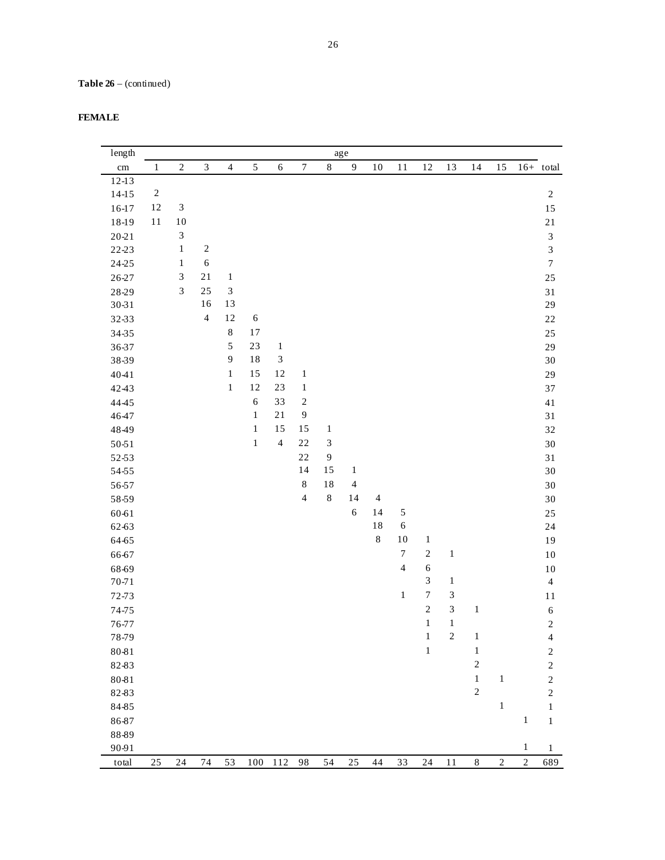| <b>FEMALE</b> |
|---------------|
|---------------|

| length    |            |                             |                         |                             |              |                             |                  |                | $_{\rm age}$     |                |                |                  |                |                |              |              |                             |
|-----------|------------|-----------------------------|-------------------------|-----------------------------|--------------|-----------------------------|------------------|----------------|------------------|----------------|----------------|------------------|----------------|----------------|--------------|--------------|-----------------------------|
| $\rm cm$  | $\,1\,$    | $\sqrt{2}$                  | $\mathfrak{Z}$          | $\overline{4}$              | $\sqrt{5}$   | $\boldsymbol{6}$            | $\boldsymbol{7}$ | $\,8\,$        | $\boldsymbol{9}$ | $10\,$         | 11             | 12               | 13             | 14             | 15           |              | $16+$ total                 |
| $12-13$   |            |                             |                         |                             |              |                             |                  |                |                  |                |                |                  |                |                |              |              |                             |
| $14-15$   | $\sqrt{2}$ |                             |                         |                             |              |                             |                  |                |                  |                |                |                  |                |                |              |              | $\sqrt{2}$                  |
| $16-17$   | $12\,$     | $\ensuremath{\mathfrak{Z}}$ |                         |                             |              |                             |                  |                |                  |                |                |                  |                |                |              |              | 15                          |
| 18-19     | $11$       | $10\,$                      |                         |                             |              |                             |                  |                |                  |                |                |                  |                |                |              |              | $2\sqrt{1}$                 |
| $20 - 21$ |            | $\ensuremath{\mathfrak{Z}}$ |                         |                             |              |                             |                  |                |                  |                |                |                  |                |                |              |              | $\ensuremath{\mathfrak{Z}}$ |
| 22-23     |            | $\,1\,$                     | $\sqrt{2}$              |                             |              |                             |                  |                |                  |                |                |                  |                |                |              |              | $\overline{3}$              |
| 24-25     |            | $\mathbf{1}$                | $\sqrt{6}$              |                             |              |                             |                  |                |                  |                |                |                  |                |                |              |              | $\boldsymbol{7}$            |
| 26-27     |            | $\mathfrak{Z}$              | $21\,$                  | $\mathbf{1}$                |              |                             |                  |                |                  |                |                |                  |                |                |              |              | $25\,$                      |
| 28-29     |            | $\mathfrak{Z}$              | 25                      | $\ensuremath{\mathfrak{Z}}$ |              |                             |                  |                |                  |                |                |                  |                |                |              |              | $3\sqrt{1}$                 |
| 30-31     |            |                             | 16                      | 13                          |              |                             |                  |                |                  |                |                |                  |                |                |              |              | 29                          |
| 32-33     |            |                             | $\overline{\mathbf{4}}$ | $12\,$                      | $\sqrt{6}$   |                             |                  |                |                  |                |                |                  |                |                |              |              | 22                          |
| 34-35     |            |                             |                         | $\,8\,$                     | 17           |                             |                  |                |                  |                |                |                  |                |                |              |              | 25                          |
| 36-37     |            |                             |                         | 5                           | 23           | $\,1\,$                     |                  |                |                  |                |                |                  |                |                |              |              | 29                          |
| 38-39     |            |                             |                         | 9                           | 18           | $\ensuremath{\mathfrak{Z}}$ |                  |                |                  |                |                |                  |                |                |              |              | $30\,$                      |
| 4041      |            |                             |                         | $\mathbf 1$                 | 15           | 12                          | $\,1\,$          |                |                  |                |                |                  |                |                |              |              | 29                          |
| 4243      |            |                             |                         | $\mathbf{1}$                | 12           | $23\,$                      | $\mathbf{1}$     |                |                  |                |                |                  |                |                |              |              | 37                          |
| 4445      |            |                             |                         |                             | $\sqrt{6}$   | 33                          | $\sqrt{2}$       |                |                  |                |                |                  |                |                |              |              | 41                          |
| 4647      |            |                             |                         |                             | $\,1\,$      | $21\,$                      | $\boldsymbol{9}$ |                |                  |                |                |                  |                |                |              |              | 31                          |
| 4849      |            |                             |                         |                             | $\mathbf{1}$ | 15                          | 15               | $\mathbf{1}$   |                  |                |                |                  |                |                |              |              | 32                          |
| 50-51     |            |                             |                         |                             | $\mathbf{1}$ | $\overline{4}$              | $2\sqrt{2}$      | $\sqrt{3}$     |                  |                |                |                  |                |                |              |              | $30\,$                      |
| 52-53     |            |                             |                         |                             |              |                             | $2\sqrt{2}$      | $\overline{9}$ |                  |                |                |                  |                |                |              |              | 31                          |
| 54-55     |            |                             |                         |                             |              |                             | 14               | 15             | $\mathbf{1}$     |                |                |                  |                |                |              |              | $30\,$                      |
| 56-57     |            |                             |                         |                             |              |                             | $\,$ 8 $\,$      | 18             | $\overline{4}$   |                |                |                  |                |                |              |              | 30                          |
| 58-59     |            |                             |                         |                             |              |                             | $\overline{4}$   | $\,8\,$        | 14               | $\overline{4}$ |                |                  |                |                |              |              | $30\,$                      |
| 60-61     |            |                             |                         |                             |              |                             |                  |                | $\sqrt{6}$       | 14             | $\sqrt{5}$     |                  |                |                |              |              | 25                          |
| 62-63     |            |                             |                         |                             |              |                             |                  |                |                  | $1\,8$         | $\sqrt{6}$     |                  |                |                |              |              | 24                          |
| 64-65     |            |                             |                         |                             |              |                             |                  |                |                  | $\,8\,$        | 10             | $\mathbf{1}$     |                |                |              |              | 19                          |
| 66-67     |            |                             |                         |                             |              |                             |                  |                |                  |                | $\tau$         | $\sqrt{2}$       | $\,1$          |                |              |              | 10                          |
| 68-69     |            |                             |                         |                             |              |                             |                  |                |                  |                | $\overline{4}$ | $\sqrt{6}$       |                |                |              |              | 10                          |
| $70 - 71$ |            |                             |                         |                             |              |                             |                  |                |                  |                |                | $\mathfrak{Z}$   | $\,1$          |                |              |              | $\overline{4}$              |
| 72-73     |            |                             |                         |                             |              |                             |                  |                |                  |                | $\,1\,$        | $\boldsymbol{7}$ | 3              |                |              |              | $1\,1$                      |
| 74-75     |            |                             |                         |                             |              |                             |                  |                |                  |                |                | $\overline{c}$   | $\overline{3}$ | $\,1$          |              |              | $\sqrt{6}$                  |
| 76-77     |            |                             |                         |                             |              |                             |                  |                |                  |                |                | $\mathbf 1$      | $\,1\,$        |                |              |              | $\overline{c}$              |
| 78-79     |            |                             |                         |                             |              |                             |                  |                |                  |                |                | $\mathbf{1}$     | $\overline{c}$ | $\mathbf{1}$   |              |              | 4                           |
| 80-81     |            |                             |                         |                             |              |                             |                  |                |                  |                |                | $\mathbf{1}$     |                | $\mathbf{1}$   |              |              | $\overline{\mathbf{c}}$     |
| 82-83     |            |                             |                         |                             |              |                             |                  |                |                  |                |                |                  |                | $\sqrt{2}$     |              |              | 2                           |
| 80-81     |            |                             |                         |                             |              |                             |                  |                |                  |                |                |                  |                | $\mathbf{1}$   | $\mathbf{1}$ |              | $\sqrt{2}$                  |
| 82-83     |            |                             |                         |                             |              |                             |                  |                |                  |                |                |                  |                | $\overline{c}$ |              |              | $\mathfrak{2}$              |
| 84-85     |            |                             |                         |                             |              |                             |                  |                |                  |                |                |                  |                |                | $\mathbf 1$  |              | $\mathbf{1}$                |
| 86-87     |            |                             |                         |                             |              |                             |                  |                |                  |                |                |                  |                |                |              | $\mathbf{1}$ | $\mathbf{1}$                |
| 88-89     |            |                             |                         |                             |              |                             |                  |                |                  |                |                |                  |                |                |              |              |                             |
| 90-91     |            |                             |                         |                             |              |                             |                  |                |                  |                |                |                  |                |                |              | $\mathbf{1}$ | 1                           |
| total     | $25\,$     | 24                          | 74                      | 53                          | $100\,$      | 112                         | 98               | 54             | 25               | 44             | 33             | 24               | 11             | $\,8\,$        | $\sqrt{2}$   | $\sqrt{2}$   | 689                         |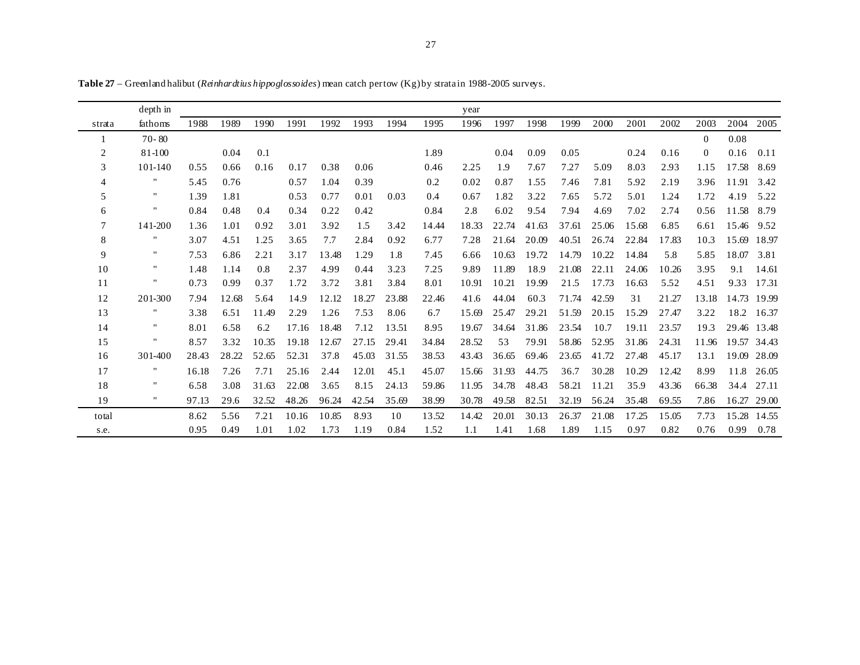|                | depth in           |       |       |       |       |       |       |       |       | year  |       |       |       |       |       |       |          |       |       |
|----------------|--------------------|-------|-------|-------|-------|-------|-------|-------|-------|-------|-------|-------|-------|-------|-------|-------|----------|-------|-------|
| strata         | fathoms            | 1988  | 1989  | 1990  | 1991  | 1992  | 1993  | 1994  | 1995  | 1996  | 1997  | 1998  | 1999  | 2000  | 2001  | 2002  | 2003     | 2004  | 2005  |
|                | $70 - 80$          |       |       |       |       |       |       |       |       |       |       |       |       |       |       |       | $\Omega$ | 0.08  |       |
| $\overline{c}$ | 81-100             |       | 0.04  | 0.1   |       |       |       |       | 1.89  |       | 0.04  | 0.09  | 0.05  |       | 0.24  | 0.16  | $\Omega$ | 0.16  | 0.11  |
| 3              | 101-140            | 0.55  | 0.66  | 0.16  | 0.17  | 0.38  | 0.06  |       | 0.46  | 2.25  | 1.9   | 7.67  | 7.27  | 5.09  | 8.03  | 2.93  | 1.15     | 17.58 | 8.69  |
| 4              | н.                 | 5.45  | 0.76  |       | 0.57  | 1.04  | 0.39  |       | 0.2   | 0.02  | 0.87  | 1.55  | 7.46  | 7.81  | 5.92  | 2.19  | 3.96     | 11.91 | 3.42  |
| 5              | 11                 | 1.39  | 1.81  |       | 0.53  | 0.77  | 0.01  | 0.03  | 0.4   | 0.67  | 1.82  | 3.22  | 7.65  | 5.72  | 5.01  | 1.24  | 1.72     | 4.19  | 5.22  |
| 6              | н.                 | 0.84  | 0.48  | 0.4   | 0.34  | 0.22  | 0.42  |       | 0.84  | 2.8   | 6.02  | 9.54  | 7.94  | 4.69  | 7.02  | 2.74  | 0.56     | 11.58 | 8.79  |
| $\tau$         | 141-200            | 1.36  | 1.01  | 0.92  | 3.01  | 3.92  | 1.5   | 3.42  | 14.44 | 18.33 | 22.74 | 41.63 | 37.61 | 25.06 | 15.68 | 6.85  | 6.61     | 15.46 | 9.52  |
| 8              | $\pmb{\mathsf{H}}$ | 3.07  | 4.51  | 1.25  | 3.65  | 7.7   | 2.84  | 0.92  | 6.77  | 7.28  | 21.64 | 20.09 | 40.51 | 26.74 | 22.84 | 17.83 | 10.3     | 15.69 | 18.97 |
| 9              | 11                 | 7.53  | 6.86  | 2.21  | 3.17  | 13.48 | 1.29  | 1.8   | 7.45  | 6.66  | 10.63 | 19.72 | 14.79 | 10.22 | 14.84 | 5.8   | 5.85     | 18.07 | 3.81  |
| 10             | 11                 | 1.48  | 1.14  | 0.8   | 2.37  | 4.99  | 0.44  | 3.23  | 7.25  | 9.89  | 11.89 | 18.9  | 21.08 | 22.11 | 24.06 | 10.26 | 3.95     | 9.1   | 14.61 |
| 11             | н.                 | 0.73  | 0.99  | 0.37  | 1.72  | 3.72  | 3.81  | 3.84  | 8.01  | 10.91 | 10.21 | 19.99 | 21.5  | 17.73 | 16.63 | 5.52  | 4.51     | 9.33  | 17.31 |
| 12             | 201-300            | 7.94  | 12.68 | 5.64  | 14.9  | 12.12 | 18.27 | 23.88 | 22.46 | 41.6  | 44.04 | 60.3  | 71.74 | 42.59 | 31    | 21.27 | 13.18    | 14.73 | 19.99 |
| 13             | $\pmb{\mathsf{H}}$ | 3.38  | 6.51  | 11.49 | 2.29  | 1.26  | 7.53  | 8.06  | 6.7   | 15.69 | 25.47 | 29.21 | 51.59 | 20.15 | 15.29 | 27.47 | 3.22     | 18.2  | 16.37 |
| 14             | $\mathbf{H}$       | 8.01  | 6.58  | 6.2   | 17.16 | 18.48 | 7.12  | 13.51 | 8.95  | 19.67 | 34.64 | 31.86 | 23.54 | 10.7  | 19.11 | 23.57 | 19.3     | 29.46 | 13.48 |
| 15             | $\pmb{\mathsf{H}}$ | 8.57  | 3.32  | 10.35 | 19.18 | 12.67 | 27.15 | 29.41 | 34.84 | 28.52 | 53    | 79.91 | 58.86 | 52.95 | 31.86 | 24.31 | 11.96    | 19.57 | 34.43 |
| 16             | 301-400            | 28.43 | 28.22 | 52.65 | 52.31 | 37.8  | 45.03 | 31.55 | 38.53 | 43.43 | 36.65 | 69.46 | 23.65 | 41.72 | 27.48 | 45.17 | 13.1     | 19.09 | 28.09 |
| 17             | $\mathbf{H}$       | 16.18 | 7.26  | 7.71  | 25.16 | 2.44  | 12.01 | 45.1  | 45.07 | 15.66 | 31.93 | 44.75 | 36.7  | 30.28 | 10.29 | 12.42 | 8.99     | 11.8  | 26.05 |
| 18             | $\pmb{\mathsf{H}}$ | 6.58  | 3.08  | 31.63 | 22.08 | 3.65  | 8.15  | 24.13 | 59.86 | 11.95 | 34.78 | 48.43 | 58.21 | 11.21 | 35.9  | 43.36 | 66.38    | 34.4  | 27.11 |
| 19             | $\mathbf{H}$       | 97.13 | 29.6  | 32.52 | 48.26 | 96.24 | 42.54 | 35.69 | 38.99 | 30.78 | 49.58 | 82.51 | 32.19 | 56.24 | 35.48 | 69.55 | 7.86     | 16.27 | 29.00 |
| total          |                    | 8.62  | 5.56  | 7.21  | 10.16 | 10.85 | 8.93  | 10    | 13.52 | 14.42 | 20.01 | 30.13 | 26.37 | 21.08 | 17.25 | 15.05 | 7.73     | 15.28 | 14.55 |
| s.e.           |                    | 0.95  | 0.49  | 1.01  | 1.02  | 1.73  | 1.19  | 0.84  | 1.52  | 1.1   | 1.41  | 1.68  | 1.89  | 1.15  | 0.97  | 0.82  | 0.76     | 0.99  | 0.78  |

**Table 27** – Greenland halibut (*Reinhardtius hippoglossoides*) mean catch per tow (Kg) by strata in 1988-2005 surveys.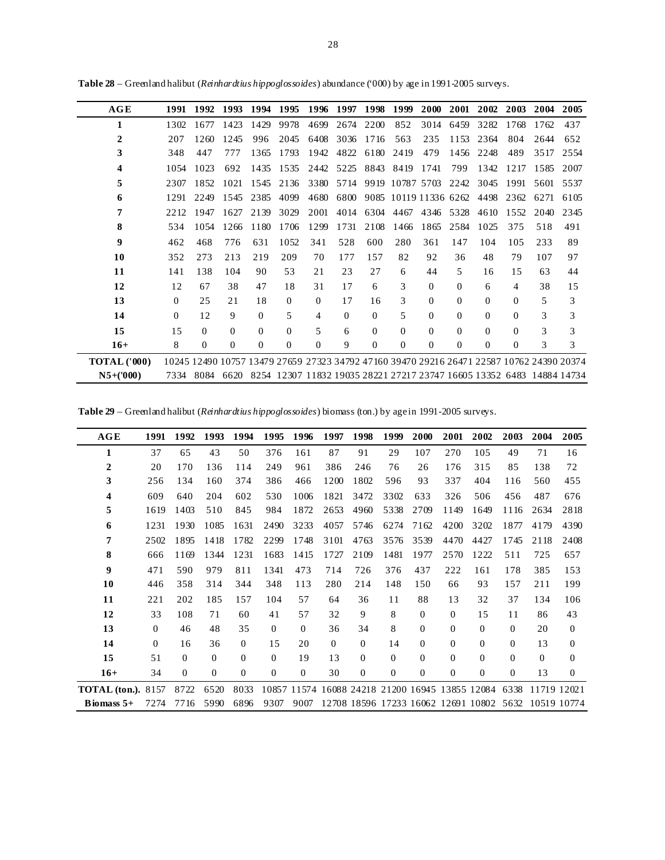| AGE                 | 1991     | 1992     | 1993     | 1994     | 1995         | 1996     | 1997     | 1998     | 1999                                                                                      | 2000     | 2001           | 2002           | 2003           | 2004 | 2005 |
|---------------------|----------|----------|----------|----------|--------------|----------|----------|----------|-------------------------------------------------------------------------------------------|----------|----------------|----------------|----------------|------|------|
| 1                   | 1302     | 1677     | 1423     | 1429     | 9978         | 4699     | 2674     | 2200     | 852                                                                                       | 3014     | 6459           | 3282           | 1768           | 1762 | 437  |
| 2                   | 207      | 1260     | 1245     | 996      | 2045         | 6408     | 3036     | 1716     | 563                                                                                       | 235      | 1153           | 2364           | 804            | 2644 | 652  |
| 3                   | 348      | 447      | 777      | 1365     | 1793         | 1942     | 4822     | 6180     | 2419                                                                                      | 479      | 1456           | 2248           | 489            | 3517 | 2554 |
| 4                   | 10.54    | 1023     | 692      | 1435     | 1535         | 2442     | 5225     | 8843     | 8419                                                                                      | 1741     | 799            | 1342           | 1217           | 1585 | 2007 |
| 5                   | 2307     | 1852     | 1021     | 1545     | 2136         | 3380     | 5714     | 9919     | 10787 5703                                                                                |          | 2242           | 3045           | 1991           | 5601 | 5537 |
| 6                   | 1291     | 2249     | 1545     | 2385     | 4099         | 4680     | 6800     |          | 9085 10119 11336 6262                                                                     |          |                | 4498           | 2362           | 6271 | 6105 |
| 7                   | 2212     | 1947     | 1627     | 2139     | 3029         | 2001     | 4014     | 6304     | 4467                                                                                      | 4346     | 5328           | 4610           | 1552           | 2040 | 2345 |
| 8                   | 534      | 10.54    | 1266     | 1180     | 1706         | 1299     | 1731     | 2108     | 1466                                                                                      | 1865     | 2584           | 1025           | 375            | 518  | 491  |
| 9                   | 462      | 468      | 776      | 631      | 1052         | 341      | 528      | 600      | 280                                                                                       | 361      | 147            | 104            | 105            | 233  | 89   |
| 10                  | 352      | 273      | 213      | 219      | 209          | 70       | 177      | 157      | 82                                                                                        | 92       | 36             | 48             | 79             | 107  | 97   |
| 11                  | 141      | 138      | 104      | 90       | 53           | 21       | 23       | 27       | 6                                                                                         | 44       | 5              | 16             | 15             | 63   | 44   |
| 12                  | 12       | 67       | 38       | 47       | 18           | 31       | 17       | 6        | 3                                                                                         | $\Omega$ | $\overline{0}$ | 6              | $\overline{4}$ | 38   | 15   |
| 13                  | $\Omega$ | 25       | 2.1      | 18       | $\Omega$     | $\Omega$ | 17       | 16       | 3                                                                                         | $\Omega$ | $\overline{0}$ | $\overline{0}$ | $\overline{0}$ | 5    | 3    |
| 14                  | $\Omega$ | 12       | 9        | $\Omega$ | 5            | 4        | $\Omega$ | $\Omega$ | 5                                                                                         | $\Omega$ | $\Omega$       | $\overline{0}$ | $\Omega$       | 3    | 3    |
| 15                  | 15       | $\Omega$ | $\Omega$ | $\Omega$ | $\Omega$     | 5        | 6        | $\Omega$ | $\Omega$                                                                                  | $\Omega$ | $\Omega$       | $\Omega$       | $\Omega$       | 3    | 3    |
| $16+$               | 8        | $\Omega$ | $\Omega$ | $\Omega$ | $\mathbf{0}$ | $\Omega$ | 9        | $\Omega$ | $\overline{0}$                                                                            | $\Omega$ | $\Omega$       | $\overline{0}$ | $\overline{0}$ | 3    | 3    |
| <b>TOTAL</b> ('000) |          |          |          |          |              |          |          |          | 10245 12490 10757 13479 27659 27323 34792 47160 39470 29216 26471 22587 10762 24390 20374 |          |                |                |                |      |      |
| $N5+(7000)$         | 7334     | 8084     | 6620     |          |              |          |          |          | 8254 12307 11832 19035 28221 27217 23747 16605 13352 6483 14884 14734                     |          |                |                |                |      |      |

**Table 28** – Greenland halibut (*Reinhardtius hippoglossoides*) abundance ('000) by age in 1991-2005 surveys.

**Table 29** – Greenland halibut (*Reinhardtius hippoglossoides*) biomass (ton.) by age in 1991-2005 surveys.

| AGE                       | 1991     | 1992         | 1993     | 1994           | 1995     | 1996         | 1997           | 1998         | 1999           | 2000           | 2001           | 2002                                            | 2003         | 2004           | 2005           |
|---------------------------|----------|--------------|----------|----------------|----------|--------------|----------------|--------------|----------------|----------------|----------------|-------------------------------------------------|--------------|----------------|----------------|
| 1                         | 37       | 65           | 43       | 50             | 376      | 161          | 87             | 91           | 29             | 107            | 270            | 105                                             | 49           | 71             | 16             |
| $\mathbf 2$               | 20       | 170          | 136      | 114            | 249      | 961          | 386            | 246          | 76             | 26             | 176            | 315                                             | 85           | 138            | 72             |
| 3                         | 256      | 134          | 160      | 374            | 386      | 466          | 1200           | 1802         | 596            | 93             | 337            | 404                                             | 116          | 560            | 455            |
| 4                         | 609      | 640          | 204      | 602            | 530      | 1006         | 1821           | 3472         | 3302           | 633            | 326            | 506                                             | 456          | 487            | 676            |
| 5                         | 1619     | 1403         | 510      | 845            | 984      | 1872         | 2653           | 4960         | 5338           | 2709           | 1149           | 1649                                            | 1116         | 2634           | 2818           |
| 6                         | 1231     | 1930         | 1085     | 1631           | 2490     | 3233         | 4057           | 5746         | 6274           | 7162           | 4200           | 3202                                            | 1877         | 4179           | 4390           |
| 7                         | 2502     | 1895         | 1418     | 1782           | 2299     | 1748         | 3101           | 4763         | 3576           | 3539           | 4470           | 4427                                            | 1745         | 2118           | 2408           |
| 8                         | 666      | 1169         | 1344     | 1231           | 1683     | 1415         | 1727           | 2109         | 1481           | 1977           | 2570           | 1222                                            | 511          | 725            | 657            |
| $\boldsymbol{9}$          | 471      | 590          | 979      | 811            | 1341     | 473          | 714            | 726          | 376            | 437            | 222            | 161                                             | 178          | 385            | 153            |
| 10                        | 446      | 358          | 314      | 344            | 348      | 113          | 280            | 214          | 148            | 150            | 66             | 93                                              | 157          | 211            | 199            |
| 11                        | 221      | 202          | 185      | 157            | 104      | 57           | 64             | 36           | 11             | 88             | 13             | 32                                              | 37           | 134            | 106            |
| 12                        | 33       | 108          | 71       | 60             | 41       | 57           | 32             | 9            | 8              | $\Omega$       | $\Omega$       | 15                                              | 11           | 86             | 43             |
| 13                        | $\theta$ | 46           | 48       | 35             | $\theta$ | $\theta$     | 36             | 34           | 8              | $\overline{0}$ | $\Omega$       | $\overline{0}$                                  | $\mathbf{0}$ | 20             | $\overline{0}$ |
| 14                        | $\Omega$ | 16           | 36       | $\theta$       | 15       | 20           | $\overline{0}$ | $\mathbf{0}$ | 14             | $\Omega$       | $\Omega$       | $\mathbf{0}$                                    | 0            | 13             | $\theta$       |
| 15                        | 51       | $\theta$     | $\theta$ | $\theta$       | $\Omega$ | 19           | 13             | $\mathbf{0}$ | $\theta$       | $\Omega$       | $\Omega$       | $\Omega$                                        | $\mathbf{0}$ | $\overline{0}$ | $\theta$       |
| $16+$                     | 34       | $\mathbf{0}$ | $\theta$ | $\overline{0}$ | $\Omega$ | $\mathbf{0}$ | 30             | $\mathbf{0}$ | $\overline{0}$ | $\mathbf{0}$   | $\overline{0}$ | $\Omega$                                        | $\Omega$     | 13             | $\overline{0}$ |
| <b>TOTAL</b> (ton.). 8157 |          | 8722         | 6520     | 8033           |          |              |                |              |                |                |                | 10857 11574 16088 24218 21200 16945 13855 12084 | 6338         | 11719 12021    |                |
| Biomass $5+$              | 7274     | 7716         | 5990     | 6896           | 9307     | 9007         |                |              |                |                |                | 12708 18596 17233 16062 12691 10802             | 5632         |                | 10519 10774    |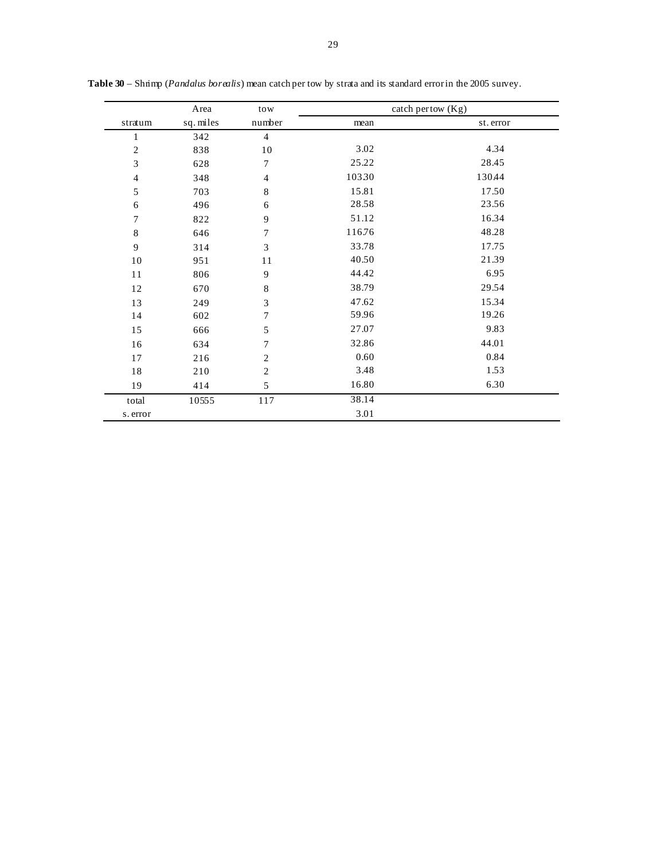|                | Area      | tow              |        | catch pertow (Kg) |
|----------------|-----------|------------------|--------|-------------------|
| stratum        | sq. miles | number           | mean   | st. error         |
| $\mathbf{1}$   | 342       | $\overline{4}$   |        |                   |
| $\overline{c}$ | 838       | 10               | 3.02   | 4.34              |
| 3              | 628       | $\tau$           | 25.22  | 28.45             |
| $\overline{4}$ | 348       | $\overline{4}$   | 10330  | 130.44            |
| 5              | 703       | $\,8\,$          | 15.81  | 17.50             |
| $\sqrt{6}$     | 496       | 6                | 28.58  | 23.56             |
| $\overline{7}$ | 822       | 9                | 51.12  | 16.34             |
| 8              | 646       | $\overline{7}$   | 116.76 | 48.28             |
| 9              | 314       | 3                | 33.78  | 17.75             |
| $10\,$         | 951       | 11               | 40.50  | 21.39             |
| $11\,$         | 806       | 9                | 44.42  | 6.95              |
| 12             | 670       | 8                | 38.79  | 29.54             |
| 13             | 249       | 3                | 47.62  | 15.34             |
| 14             | 602       | $\tau$           | 59.96  | 19.26             |
| 15             | 666       | 5                | 27.07  | 9.83              |
| 16             | 634       | $\overline{7}$   | 32.86  | 44.01             |
| $17$           | 216       | $\overline{2}$   | 0.60   | 0.84              |
| $18\,$         | 210       | $\boldsymbol{2}$ | 3.48   | 1.53              |
| 19             | 414       | 5                | 16.80  | 6.30              |
| total          | 10555     | 117              | 38.14  |                   |
| s. error       |           |                  | 3.01   |                   |

**Table 30** – Shrimp (*Pandalus borealis*) mean catch per tow by strata and its standard error in the 2005 survey.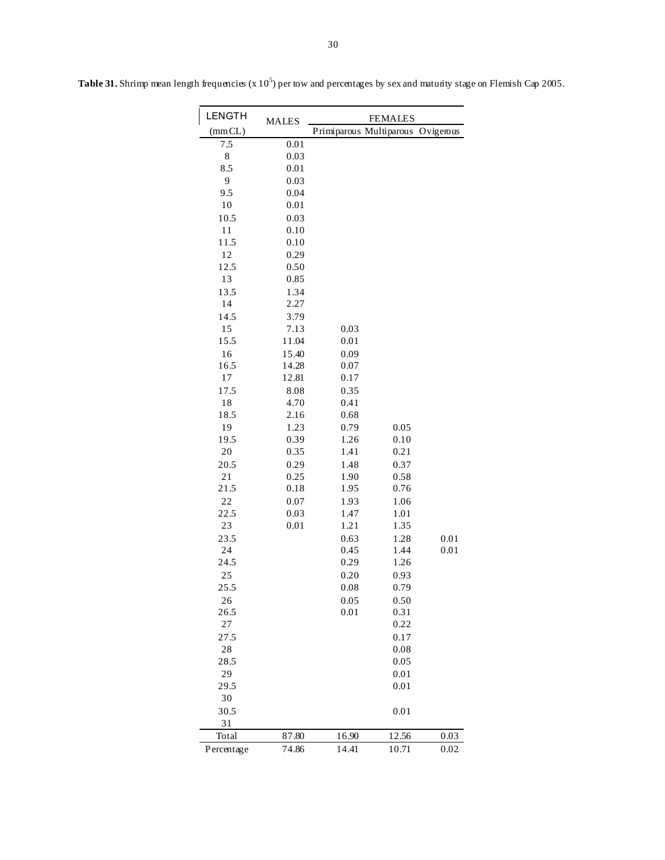| <b>LENGTH</b> | <b>MALES</b> | <b>FEMALES</b>          |       |           |  |  |  |  |  |
|---------------|--------------|-------------------------|-------|-----------|--|--|--|--|--|
| (mmCL)        |              | Primiparous Multiparous |       | Ovigerous |  |  |  |  |  |
| 7.5           | 0.01         |                         |       |           |  |  |  |  |  |
| 8             | 0.03         |                         |       |           |  |  |  |  |  |
| 8.5           | 0.01         |                         |       |           |  |  |  |  |  |
| 9             | 0.03         |                         |       |           |  |  |  |  |  |
| 9.5           | 0.04         |                         |       |           |  |  |  |  |  |
| 10            | 0.01         |                         |       |           |  |  |  |  |  |
| 10.5          | 0.03         |                         |       |           |  |  |  |  |  |
| 11            | 0.10         |                         |       |           |  |  |  |  |  |
| 11.5          | 0.10         |                         |       |           |  |  |  |  |  |
| 12            | 0.29         |                         |       |           |  |  |  |  |  |
| 12.5          | 0.50         |                         |       |           |  |  |  |  |  |
| 13            | 0.85         |                         |       |           |  |  |  |  |  |
| 13.5          | 1.34         |                         |       |           |  |  |  |  |  |
| 14            | 2.27         |                         |       |           |  |  |  |  |  |
| 14.5          | 3.79         |                         |       |           |  |  |  |  |  |
| 15            | 7.13         | 0.03                    |       |           |  |  |  |  |  |
| 15.5          | 11.04        | 0.01                    |       |           |  |  |  |  |  |
| 16            | 15.40        | 0.09                    |       |           |  |  |  |  |  |
| 16.5          | 14.28        | 0.07                    |       |           |  |  |  |  |  |
| 17            | 12.81        | 0.17                    |       |           |  |  |  |  |  |
| 17.5          | 8.08         | 0.35                    |       |           |  |  |  |  |  |
| 18            | 4.70         | 0.41                    |       |           |  |  |  |  |  |
| 18.5          | 2.16         | 0.68                    |       |           |  |  |  |  |  |
| 19            | 1.23         | 0.79                    | 0.05  |           |  |  |  |  |  |
| 19.5          | 0.39         | 1.26                    | 0.10  |           |  |  |  |  |  |
| 20            | 0.35         | 1.41                    | 0.21  |           |  |  |  |  |  |
| 20.5          | 0.29         | 1.48                    | 0.37  |           |  |  |  |  |  |
| 21            | 0.25         | 1.90                    | 0.58  |           |  |  |  |  |  |
| 21.5          | 0.18         | 1.95                    | 0.76  |           |  |  |  |  |  |
| 22            | 0.07         | 1.93                    | 1.06  |           |  |  |  |  |  |
| 22.5          | 0.03         | 1.47                    | 1.01  |           |  |  |  |  |  |
| 23            | 0.01         | 1.21                    | 1.35  |           |  |  |  |  |  |
| 23.5          |              | 0.63                    | 1.28  | 0.01      |  |  |  |  |  |
| 24            |              | 0.45                    | 1.44  | 0.01      |  |  |  |  |  |
| 24.5          |              | 0.29                    | 1.26  |           |  |  |  |  |  |
| 25            |              | 0.20                    | 0.93  |           |  |  |  |  |  |
| 25.5          |              | 0.08                    | 0.79  |           |  |  |  |  |  |
| 26            |              | 0.05                    | 0.50  |           |  |  |  |  |  |
| 26.5          |              | 0.01                    | 0.31  |           |  |  |  |  |  |
| 27            |              |                         | 0.22  |           |  |  |  |  |  |
| 27.5          |              |                         | 0.17  |           |  |  |  |  |  |
| 28            |              |                         | 0.08  |           |  |  |  |  |  |
| 28.5          |              |                         | 0.05  |           |  |  |  |  |  |
| 29            |              |                         | 0.01  |           |  |  |  |  |  |
| 29.5          |              |                         | 0.01  |           |  |  |  |  |  |
| 30            |              |                         |       |           |  |  |  |  |  |
| 30.5          |              |                         | 0.01  |           |  |  |  |  |  |
| 31            |              |                         |       |           |  |  |  |  |  |
| Total         | 87.80        | 16.90                   | 12.56 | 0.03      |  |  |  |  |  |
| Percentage    | 74.86        | 14.41                   | 10.71 | 0.02      |  |  |  |  |  |

Table 31. Shrimp mean length frequencies (x 10<sup>5</sup>) per tow and percentages by sex and maturity stage on Flemish Cap 2005.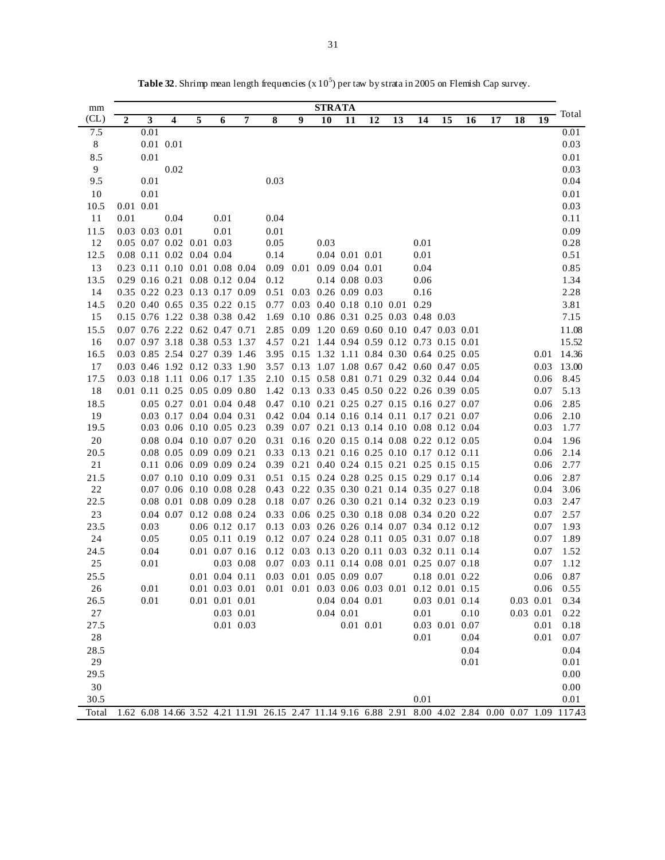| mm         |             | <b>STRATA</b>  |                                                      |   |                      |             |                                                                                     |   |                                                                                         |                  |    |    |          |                  |      |    |    |              |                                                                                                     |
|------------|-------------|----------------|------------------------------------------------------|---|----------------------|-------------|-------------------------------------------------------------------------------------|---|-----------------------------------------------------------------------------------------|------------------|----|----|----------|------------------|------|----|----|--------------|-----------------------------------------------------------------------------------------------------|
| CL)        | $\mathbf 2$ | 3              | 4                                                    | 5 | 6                    | 7           | 8                                                                                   | 9 | 10                                                                                      | 11               | 12 | 13 | 14       | 15               | 16   | 17 | 18 | 19           | - Total                                                                                             |
| 7.5        |             | 0.01           |                                                      |   |                      |             |                                                                                     |   |                                                                                         |                  |    |    |          |                  |      |    |    |              | 0.01                                                                                                |
| $8\,$      |             |                | 0.01 0.01                                            |   |                      |             |                                                                                     |   |                                                                                         |                  |    |    |          |                  |      |    |    |              | 0.03                                                                                                |
| 8.5        |             | 0.01           |                                                      |   |                      |             |                                                                                     |   |                                                                                         |                  |    |    |          |                  |      |    |    |              | 0.01                                                                                                |
| 9          |             |                | 0.02                                                 |   |                      |             |                                                                                     |   |                                                                                         |                  |    |    |          |                  |      |    |    |              | 0.03                                                                                                |
| 9.5        |             | 0.01           |                                                      |   |                      |             | 0.03                                                                                |   |                                                                                         |                  |    |    |          |                  |      |    |    |              | 0.04                                                                                                |
| 10         |             | 0.01           |                                                      |   |                      |             |                                                                                     |   |                                                                                         |                  |    |    |          |                  |      |    |    |              | 0.01                                                                                                |
| 10.5       |             | 0.01 0.01      |                                                      |   |                      |             |                                                                                     |   |                                                                                         |                  |    |    |          |                  |      |    |    |              | 0.03                                                                                                |
| 11         | 0.01        |                | 0.04                                                 |   | 0.01                 |             | 0.04                                                                                |   |                                                                                         |                  |    |    |          |                  |      |    |    |              | 0.11                                                                                                |
| 11.5       |             | 0.03 0.03 0.01 |                                                      |   | 0.01                 |             | 0.01                                                                                |   |                                                                                         |                  |    |    |          |                  |      |    |    |              | 0.09                                                                                                |
| 12         |             |                | 0.05 0.07 0.02 0.01 0.03                             |   |                      |             | 0.05                                                                                |   | 0.03                                                                                    |                  |    |    | 0.01     |                  |      |    |    |              | 0.28                                                                                                |
| 12.5       |             |                | 0.08 0.11 0.02 0.04 0.04                             |   |                      |             | 0.14                                                                                |   |                                                                                         | $0.04$ 0.01 0.01 |    |    | 0.01     |                  |      |    |    |              | 0.51                                                                                                |
| 13         |             |                | 0.23 0.11 0.10 0.01 0.08 0.04                        |   |                      |             |                                                                                     |   | 0.09 0.01 0.09 0.04 0.01                                                                |                  |    |    | 0.04     |                  |      |    |    |              | 0.85                                                                                                |
| 13.5       |             |                | 0.29 0.16 0.21 0.08 0.12 0.04                        |   |                      |             | 0.12                                                                                |   |                                                                                         | 0.14 0.08 0.03   |    |    | $0.06\,$ |                  |      |    |    |              | 1.34                                                                                                |
| 14         |             |                | 0.35 0.22 0.23 0.13 0.17 0.09                        |   |                      |             |                                                                                     |   | 0.51 0.03 0.26 0.09 0.03                                                                |                  |    |    | 0.16     |                  |      |    |    |              | 2.28                                                                                                |
| 14.5       |             |                | 0.20 0.40 0.65 0.35 0.22 0.15                        |   |                      |             | 0.77                                                                                |   | 0.03 0.40 0.18 0.10 0.01 0.29                                                           |                  |    |    |          |                  |      |    |    |              | 3.81                                                                                                |
| 15         |             |                | 0.15 0.76 1.22 0.38 0.38 0.42                        |   |                      |             | 1.69                                                                                |   | 0.10 0.86 0.31 0.25 0.03 0.48 0.03                                                      |                  |    |    |          |                  |      |    |    |              | 7.15                                                                                                |
| 15.5       |             |                | 0.07 0.76 2.22 0.62 0.47 0.71                        |   |                      |             |                                                                                     |   | 2.85 0.09 1.20 0.69 0.60 0.10 0.47 0.03 0.01                                            |                  |    |    |          |                  |      |    |    |              | 11.08                                                                                               |
| 16         |             |                | 0.07 0.97 3.18 0.38 0.53 1.37                        |   |                      |             |                                                                                     |   | 4.57 0.21 1.44 0.94 0.59 0.12 0.73 0.15 0.01                                            |                  |    |    |          |                  |      |    |    |              | 15.52                                                                                               |
| 16.5       |             |                | 0.03 0.85 2.54 0.27 0.39 1.46                        |   |                      |             |                                                                                     |   | 3.95 0.15 1.32 1.11 0.84 0.30 0.64 0.25 0.05                                            |                  |    |    |          |                  |      |    |    |              | 0.01 14.36                                                                                          |
| 17         |             |                | 0.03 0.46 1.92 0.12 0.33 1.90                        |   |                      |             |                                                                                     |   | 3.57 0.13 1.07 1.08 0.67 0.42 0.60 0.47 0.05                                            |                  |    |    |          |                  |      |    |    | 0.03         | 13.00                                                                                               |
| 17.5       |             |                | 0.03 0.18 1.11 0.06 0.17 1.35                        |   |                      |             |                                                                                     |   | 2.10 0.15 0.58 0.81 0.71 0.29 0.32 0.44 0.04                                            |                  |    |    |          |                  |      |    |    | 0.06         | 8.45                                                                                                |
| 18         |             |                | 0.01 0.11 0.25 0.05 0.09 0.80                        |   |                      |             |                                                                                     |   | 1.42 0.13 0.33 0.45 0.50 0.22 0.26 0.39 0.05<br>0.10 0.21 0.25 0.27 0.15 0.16 0.27 0.07 |                  |    |    |          |                  |      |    |    | 0.07         | 5.13                                                                                                |
| 18.5<br>19 |             |                | 0.05 0.27 0.01 0.04 0.48<br>0.03 0.17 0.04 0.04 0.31 |   |                      |             | 0.47                                                                                |   | 0.42 0.04 0.14 0.16 0.14 0.11 0.17 0.21 0.07                                            |                  |    |    |          |                  |      |    |    | 0.06<br>0.06 | 2.85<br>2.10                                                                                        |
| 19.5       |             |                | 0.03 0.06 0.10 0.05 0.23                             |   |                      |             |                                                                                     |   | 0.39 0.07 0.21 0.13 0.14 0.10 0.08 0.12 0.04                                            |                  |    |    |          |                  |      |    |    | 0.03         | 1.77                                                                                                |
| 20         |             |                | 0.08 0.04 0.10 0.07 0.20                             |   |                      |             | 0.31                                                                                |   | 0.16 0.20 0.15 0.14 0.08 0.22 0.12 0.05                                                 |                  |    |    |          |                  |      |    |    | 0.04         | 1.96                                                                                                |
| 20.5       |             |                | 0.08 0.05 0.09 0.09 0.21                             |   |                      |             |                                                                                     |   | 0.33 0.13 0.21 0.16 0.25 0.10 0.17 0.12 0.11                                            |                  |    |    |          |                  |      |    |    | 0.06         | 2.14                                                                                                |
| 21         |             |                | 0.11 0.06 0.09 0.09 0.24                             |   |                      |             |                                                                                     |   | 0.39 0.21 0.40 0.24 0.15 0.21 0.25 0.15 0.15                                            |                  |    |    |          |                  |      |    |    | 0.06         | 2.77                                                                                                |
| 21.5       |             |                | 0.07 0.10 0.10 0.09 0.31                             |   |                      |             |                                                                                     |   | 0.51 0.15 0.24 0.28 0.25 0.15 0.29 0.17 0.14                                            |                  |    |    |          |                  |      |    |    | 0.06         | 2.87                                                                                                |
| 22         |             |                | 0.07 0.06 0.10 0.08 0.28                             |   |                      |             |                                                                                     |   | 0.43 0.22 0.35 0.30 0.21 0.14 0.35 0.27 0.18                                            |                  |    |    |          |                  |      |    |    | 0.04         | 3.06                                                                                                |
| 22.5       |             |                | $0.08$ 0.01 0.08 0.09 0.28                           |   |                      |             |                                                                                     |   | 0.18 0.07 0.26 0.30 0.21 0.14 0.32 0.23 0.19                                            |                  |    |    |          |                  |      |    |    | 0.03         | 2.47                                                                                                |
| 23         |             |                | 0.04 0.07 0.12 0.08 0.24                             |   |                      |             | 0.33                                                                                |   | 0.06 0.25 0.30 0.18 0.08 0.34 0.20 0.22                                                 |                  |    |    |          |                  |      |    |    | 0.07         | 2.57                                                                                                |
| 23.5       |             | 0.03           |                                                      |   | $0.06$ 0.12 0.17     |             |                                                                                     |   | 0.13 0.03 0.26 0.26 0.14 0.07 0.34 0.12 0.12                                            |                  |    |    |          |                  |      |    |    | 0.07         | 1.93                                                                                                |
| 24         |             | 0.05           |                                                      |   | $0.05$ 0.11 0.19     |             |                                                                                     |   | 0.12 0.07 0.24 0.28 0.11 0.05 0.31 0.07 0.18                                            |                  |    |    |          |                  |      |    |    | 0.07         | 1.89                                                                                                |
| 24.5       |             | 0.04           |                                                      |   | $0.01$ $0.07$ $0.16$ |             | 0.12                                                                                |   | 0.03 0.13 0.20 0.11 0.03 0.32 0.11 0.14                                                 |                  |    |    |          |                  |      |    |    | 0.07         | 1.52                                                                                                |
| $25\,$     |             | 0.01           |                                                      |   |                      | $0.03$ 0.08 |                                                                                     |   | 0.07 0.03 0.11 0.14 0.08 0.01 0.25 0.07 0.18                                            |                  |    |    |          |                  |      |    |    | 0.07         | 1.12                                                                                                |
| 25.5       |             |                |                                                      |   | $0.01$ 0.04 0.11     |             |                                                                                     |   | 0.03 0.01 0.05 0.09 0.07                                                                |                  |    |    |          | 0.18 0.01 0.22   |      |    |    | 0.06         | 0.87                                                                                                |
| 26         |             | $0.01\,$       |                                                      |   |                      |             | $0.01$ $0.03$ $0.01$ $0.01$ $0.01$ $0.03$ $0.06$ $0.03$ $0.01$ $0.12$ $0.01$ $0.15$ |   |                                                                                         |                  |    |    |          |                  |      |    |    |              | $0.06$ 0.55                                                                                         |
| 26.5       |             | 0.01           |                                                      |   | $0.01$ $0.01$ $0.01$ |             |                                                                                     |   |                                                                                         | $0.04$ 0.04 0.01 |    |    |          | 0.03 0.01 0.14   |      |    |    | 0.03 0.01    | 0.34                                                                                                |
| 27         |             |                |                                                      |   |                      | $0.03$ 0.01 |                                                                                     |   |                                                                                         | 0.04 0.01        |    |    | 0.01     |                  | 0.10 |    |    | $0.03$ 0.01  | 0.22                                                                                                |
| 27.5       |             |                |                                                      |   |                      | 0.01 0.03   |                                                                                     |   |                                                                                         | $0.01$ $0.01$    |    |    |          | $0.03$ 0.01 0.07 |      |    |    | 0.01         | 0.18                                                                                                |
| 28         |             |                |                                                      |   |                      |             |                                                                                     |   |                                                                                         |                  |    |    | 0.01     |                  | 0.04 |    |    | 0.01         | 0.07                                                                                                |
| 28.5       |             |                |                                                      |   |                      |             |                                                                                     |   |                                                                                         |                  |    |    |          |                  | 0.04 |    |    |              | 0.04                                                                                                |
| 29         |             |                |                                                      |   |                      |             |                                                                                     |   |                                                                                         |                  |    |    |          |                  | 0.01 |    |    |              | 0.01                                                                                                |
| 29.5       |             |                |                                                      |   |                      |             |                                                                                     |   |                                                                                         |                  |    |    |          |                  |      |    |    |              | $0.00\,$                                                                                            |
| 30         |             |                |                                                      |   |                      |             |                                                                                     |   |                                                                                         |                  |    |    |          |                  |      |    |    |              | $0.00\,$                                                                                            |
| 30.5       |             |                |                                                      |   |                      |             |                                                                                     |   |                                                                                         |                  |    |    | 0.01     |                  |      |    |    |              | 0.01                                                                                                |
| Total      |             |                |                                                      |   |                      |             |                                                                                     |   |                                                                                         |                  |    |    |          |                  |      |    |    |              | 1.62 6.08 14.66 3.52 4.21 11.91 26.15 2.47 11.14 9.16 6.88 2.91 8.00 4.02 2.84 0.00 0.07 1.09 11743 |

**Table 32**. Shrimp mean length frequencies  $(x 10^5)$  per taw by strata in 2005 on Flemish Cap survey.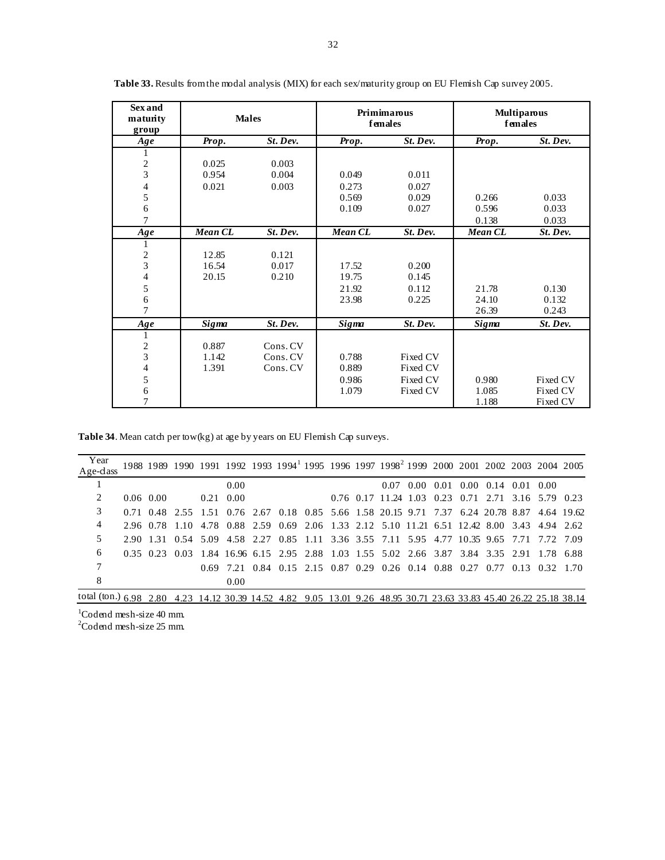| <b>Sex and</b><br>maturity<br>group |         | <b>Males</b> |              | Primimarous<br>females | <b>Multiparous</b><br>females |          |  |  |  |
|-------------------------------------|---------|--------------|--------------|------------------------|-------------------------------|----------|--|--|--|
| Age                                 | Prop.   | St. Dev.     | Prop.        | St. Dev.               | Prop.                         | St. Dev. |  |  |  |
| 1                                   |         |              |              |                        |                               |          |  |  |  |
| $\overline{c}$                      | 0.025   | 0.003        |              |                        |                               |          |  |  |  |
| 3                                   | 0.954   | 0.004        | 0.049        | 0.011                  |                               |          |  |  |  |
| 4                                   | 0.021   | 0.003        | 0.273        | 0.027                  |                               |          |  |  |  |
| 5                                   |         |              | 0.569        | 0.029                  | 0.266                         | 0.033    |  |  |  |
| 6                                   |         |              | 0.109        | 0.027                  | 0.596                         | 0.033    |  |  |  |
| 7                                   |         |              |              |                        | 0.138                         | 0.033    |  |  |  |
| Age                                 | Mean CL | St. Dev.     | Mean CL      | St. Dev.               | Mean CL                       | St. Dev. |  |  |  |
| 1                                   |         |              |              |                        |                               |          |  |  |  |
| $\frac{2}{3}$                       | 12.85   | 0.121        |              |                        |                               |          |  |  |  |
|                                     | 16.54   | 0.017        | 17.52        | 0.200                  |                               |          |  |  |  |
| 4                                   | 20.15   | 0.210        | 19.75        | 0.145                  |                               |          |  |  |  |
| 5                                   |         |              | 21.92        | 0.112                  | 21.78                         | 0.130    |  |  |  |
| 6                                   |         |              | 23.98        | 0.225                  | 24.10                         | 0.132    |  |  |  |
| $\overline{7}$                      |         |              |              |                        | 26.39                         | 0.243    |  |  |  |
| Age                                 | Sigma   | St. Dev.     | <b>Sigma</b> | St. Dev.               | Sigma                         | St. Dev. |  |  |  |
| 1                                   |         |              |              |                        |                               |          |  |  |  |
| $\overline{\mathbf{c}}$             | 0.887   | Cons. CV     |              |                        |                               |          |  |  |  |
| 3                                   | 1.142   | Cons. CV     | 0.788        | Fixed CV               |                               |          |  |  |  |
| 4                                   | 1.391   | Cons. CV     | 0.889        | Fixed CV               |                               |          |  |  |  |
| 5                                   |         |              | 0.986        | Fixed CV               | 0.980                         | Fixed CV |  |  |  |
| 6                                   |         |              | 1.079        | Fixed CV               | 1.085                         | Fixed CV |  |  |  |
| 7                                   |         |              |              |                        | 1.188                         | Fixed CV |  |  |  |

Table 33. Results from the modal analysis (MIX) for each sex/maturity group on EU Flemish Cap survey 2005.

Table 34. Mean catch per tow(kg) at age by years on EU Flemish Cap surveys.

| Year<br>$Age-class$      |             |      |                   |      |  |  | 1988 1989 1990 1991 1992 1993 1994 1995 1996 1997 1998 1999 2000 2001 2002 2003 2004 2005    |  |                                                          |  |  |
|--------------------------|-------------|------|-------------------|------|--|--|----------------------------------------------------------------------------------------------|--|----------------------------------------------------------|--|--|
|                          |             |      |                   | 0.00 |  |  | 0.07                                                                                         |  | $0.00\quad 0.01\quad 0.00\quad 0.14\quad 0.01\quad 0.00$ |  |  |
| 2                        | $0.06$ 0.00 |      | $0.21 \quad 0.00$ |      |  |  | 0.76 0.17 11.24 1.03 0.23 0.71 2.71 3.16 5.79 0.23                                           |  |                                                          |  |  |
| 3                        |             |      |                   |      |  |  | 0.71 0.48 2.55 1.51 0.76 2.67 0.18 0.85 5.66 1.58 20.15 9.71 7.37 6.24 20.78 8.87 4.64 19.62 |  |                                                          |  |  |
| 4                        |             |      |                   |      |  |  | 2.96 0.78 1.10 4.78 0.88 2.59 0.69 2.06 1.33 2.12 5.10 11.21 6.51 12.42 8.00 3.43 4.94 2.62  |  |                                                          |  |  |
| 5                        |             |      |                   |      |  |  | 2.90 1.31 0.54 5.09 4.58 2.27 0.85 1.11 3.36 3.55 7.11 5.95 4.77 10.35 9.65 7.71 7.72 7.09   |  |                                                          |  |  |
| 6                        |             |      |                   |      |  |  | 0.35 0.23 0.03 1.84 16.96 6.15 2.95 2.88 1.03 1.55 5.02 2.66 3.87 3.84 3.35 2.91 1.78 6.88   |  |                                                          |  |  |
|                          |             |      |                   |      |  |  | 0.69 7.21 0.84 0.15 2.15 0.87 0.29 0.26 0.14 0.88 0.27 0.77 0.13 0.32 1.70                   |  |                                                          |  |  |
| 8                        |             |      |                   | 0.00 |  |  |                                                                                              |  |                                                          |  |  |
| total (ton.) $6.98$ 2.80 |             | 4.23 |                   |      |  |  | 14.12 30.39 14.52 4.82 9.05 13.01 9.26 48.95 30.71 23.63 33.83 45.40 26.22 25.18 38.14       |  |                                                          |  |  |

 $1$ Codend mesh-size 40 mm.<br>  $2$ Codend mesh-size 25 mm.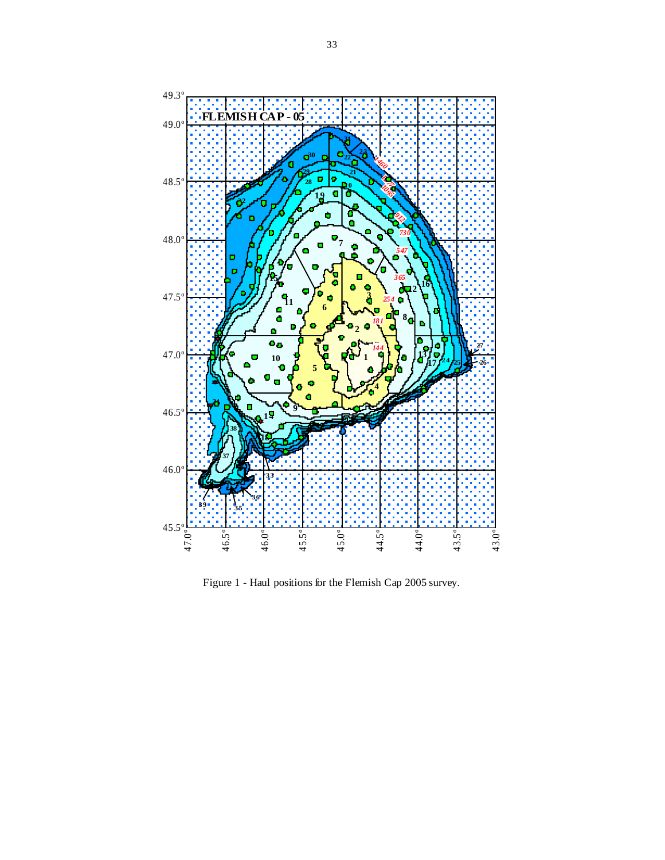

Figure 1 - Haul positions for the Flemish Cap 2005 survey.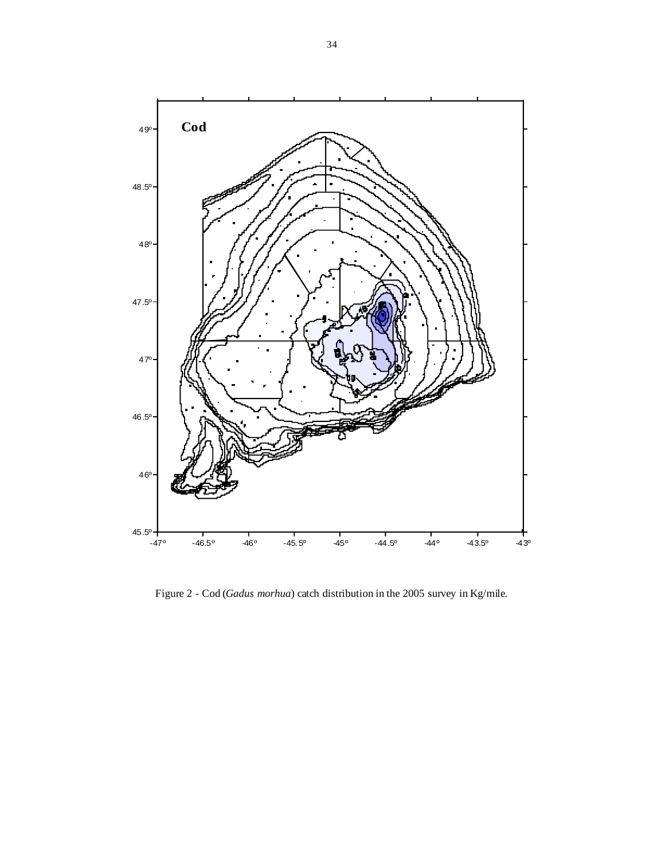

Figure 2 - Cod (*Gadus morhua*) catch distribution in the 2005 survey in Kg/mile.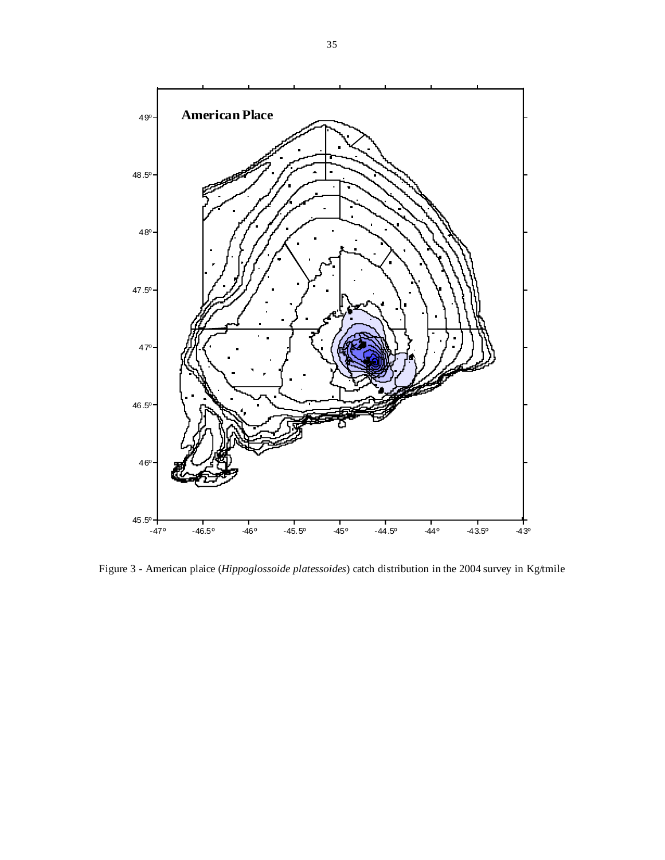

Figure 3 - American plaice (*Hippoglossoide platessoides*) catch distribution in the 2004 survey in Kg/tmile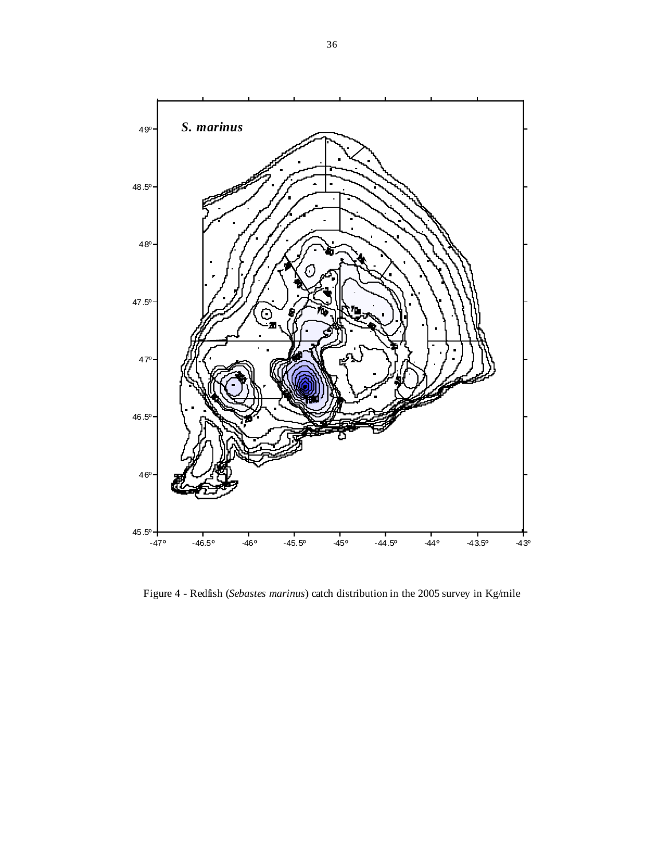

Figure 4 - Redfish (*Sebastes marinus*) catch distribution in the 2005 survey in Kg/mile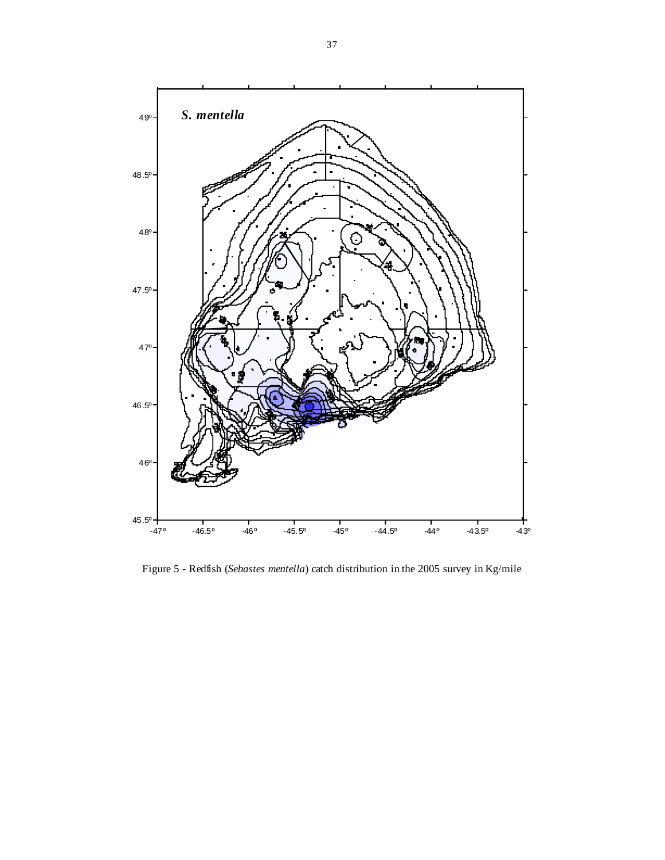

Figure 5 - Redfish (*Sebastes mentella*) catch distribution in the 2005 survey in Kg/mile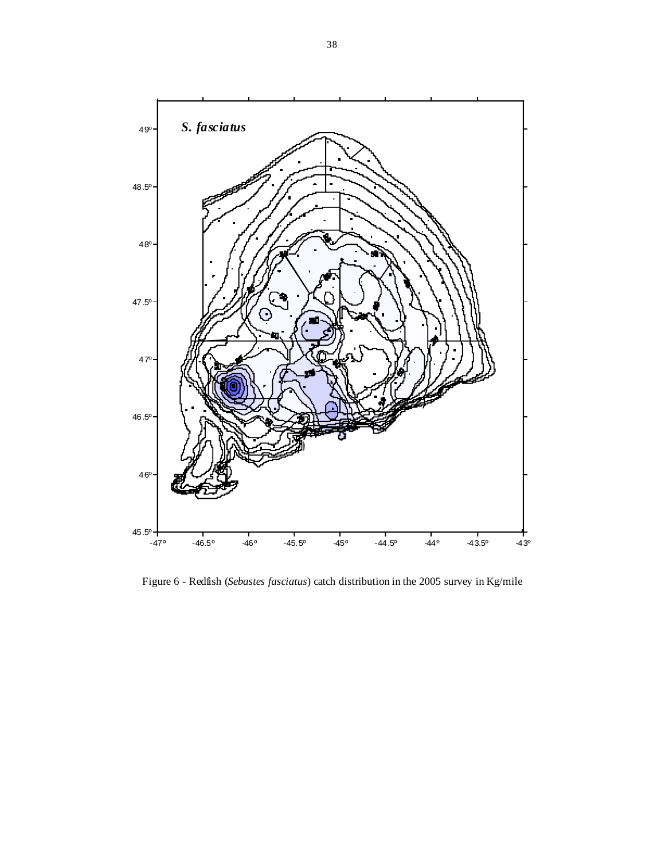

Figure 6 - Redfish (*Sebastes fasciatus*) catch distribution in the 2005 survey in Kg/mile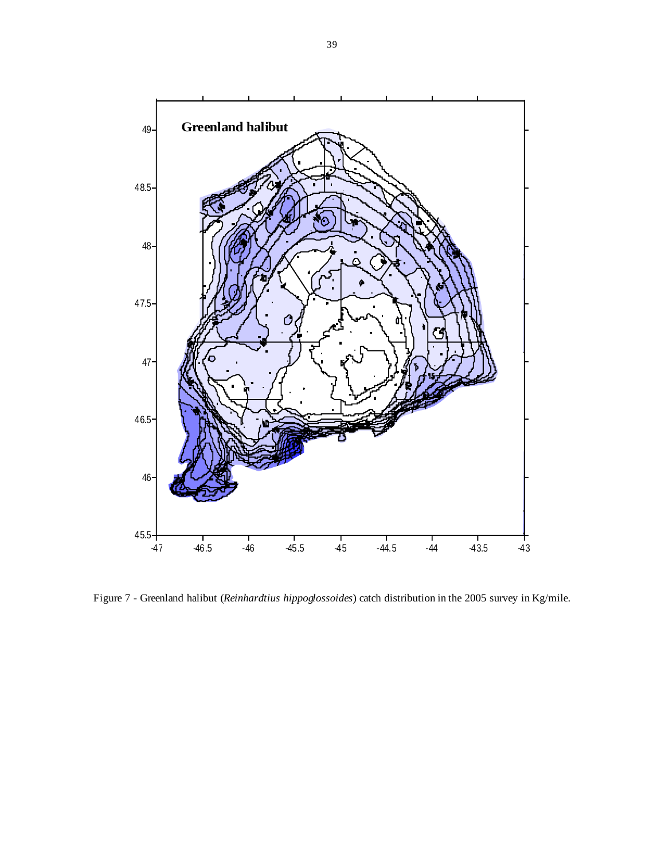

Figure 7 - Greenland halibut (*Reinhardtius hippoglossoides*) catch distribution in the 2005 survey in Kg/mile.